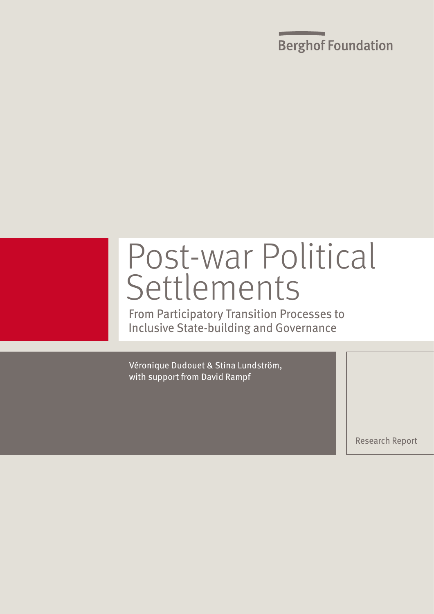**Berghof Foundation** 

# Post-war Political Settlements

From Participatory Transition Processes to Inclusive State-building and Governance

Véronique Dudouet & Stina Lundström, with support from David Rampf

Research Report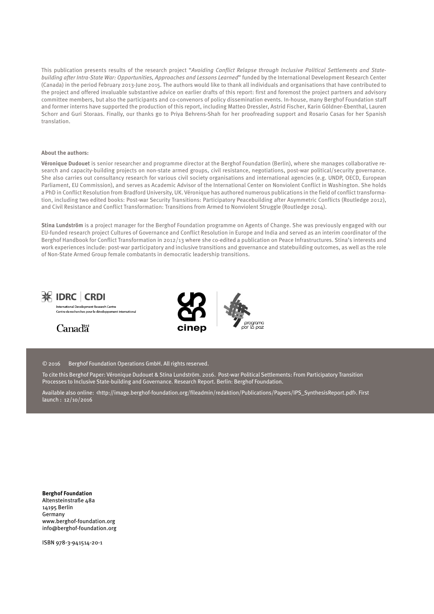This publication presents results of the research project "Avoiding Conflict Relapse through Inclusive Political Settlements and Statebuilding after Intra-State War: Opportunities, Approaches and Lessons Learned" funded by the International Development Research Center (Canada) in the period February 2013-June 2015. The authors would like to thank all individuals and organisations that have contributed to the project and offered invaluable substantive advice on earlier drafts of this report: first and foremost the project partners and advisory committee members, but also the participants and co-convenors of policy dissemination events. In-house, many Berghof Foundation staff and former interns have supported the production of this report, including Matteo Dressler, Astrid Fischer, Karin Göldner-Ebenthal, Lauren Schorr and Guri Storaas. Finally, our thanks go to Priya Behrens-Shah for her proofreading support and Rosario Casas for her Spanish translation.

#### **About the authors:**

**Véronique Dudouet** is senior researcher and programme director at the Berghof Foundation (Berlin), where she manages collaborative research and capacity-building projects on non-state armed groups, civil resistance, negotiations, post-war political/security governance. She also carries out consultancy research for various civil society organisations and international agencies (e.g. UNDP, OECD, European Parliament, EU Commission), and serves as Academic Advisor of the International Center on Nonviolent Conflict in Washington. She holds a PhD in Conflict Resolution from Bradford University, UK. Véronique has authored numerous publications in the field of conflict transformation, including two edited books: Post-war Security Transitions: Participatory Peacebuilding after Asymmetric Conflicts (Routledge 2012), and Civil Resistance and Conflict Transformation: Transitions from Armed to Nonviolent Struggle (Routledge 2014).

**Stina Lundström** is a project manager for the Berghof Foundation programme on Agents of Change. She was previously engaged with our EU-funded research project Cultures of Governance and Conflict Resolution in Europe and India and served as an interim coordinator of the Berghof Handbook for Conflict Transformation in 2012/13 where she co-edited a publication on Peace Infrastructures. Stina's interests and work experiences include: post-war participatory and inclusive transitions and governance and statebuilding outcomes, as well as the role of Non-State Armed Group female combatants in democratic leadership transitions.



International Development Research Centre<br>Centre de recherches pour le développement internationa







© 2016 Berghof Foundation Operations GmbH. All rights reserved.

To cite this Berghof Paper: Véronique Dudouet & Stina Lundström. 2016. Post-war Political Settlements: From Participatory Transition Processes to Inclusive State-building and Governance. Research Report. Berlin: Berghof Foundation.

Available also online: <http://image.berghof-foundation.org/fileadmin/redaktion/Publications/Papers/IPS\_SynthesisReport.pdf>. First launch : 12/10/2016

**Berghof Foundation**  Altensteinstraße 48a 14195 Berlin Germany www.berghof-foundation.org info@berghof-foundation.org

ISBN 978-3-941514-20-1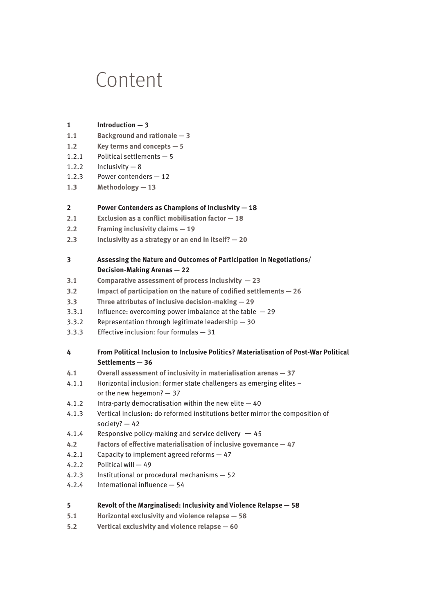## Content

- **1 Introduction 3**
- **1.1 Background and rationale 3**
- **1.2 Key terms and concepts 5**
- 1.2.1 Political settlements 5
- 1.2.2 Inclusivity  $-8$
- 1.2.3 Power contenders 12
- **1.3 Methodology 13**

#### **2 Power Contenders as Champions of Inclusivity — 18**

- **2.1 Exclusion as a conflict mobilisation factor 18**
- **2.2 Framing inclusivity claims 19**
- **2.3 Inclusivity as a strategy or an end in itself? 20**

#### **3 Assessing the Nature and Outcomes of Participation in Negotiations/ Decision-Making Arenas — 22**

- **3.1 Comparative assessment of process inclusivity 23**
- **3.2 Impact of participation on the nature of codified settlements 26**
- **3.3 Three attributes of inclusive decision-making 29**
- 3.3.1 Influence: overcoming power imbalance at the table  $-29$
- 3.3.2 Representation through legitimate leadership 30
- 3.3.3 Effective inclusion: four formulas 31

### **4 From Political Inclusion to Inclusive Politics? Materialisation of Post-War Political Settlements — 36**

- **4.1 Overall assessment of inclusivity in materialisation arenas 37**
- 4.1.1 Horizontal inclusion: former state challengers as emerging elites or the new hegemon? — 37
- 4.1.2 Intra-party democratisation within the new elite 40
- 4.1.3 Vertical inclusion: do reformed institutions better mirror the composition of society? — 42
- 4.1.4 Responsive policy-making and service delivery  $-45$
- **4.2 Factors of effective materialisation of inclusive governance 47**
- 4.2.1 Capacity to implement agreed reforms 47
- 4.2.2 Political will 49
- 4.2.3 Institutional or procedural mechanisms 52
- 4.2.4 International influence 54

#### **5 Revolt of the Marginalised: Inclusivity and Violence Relapse — 58**

- **5.1 Horizontal exclusivity and violence relapse 58**
- **5.2 Vertical exclusivity and violence relapse 60**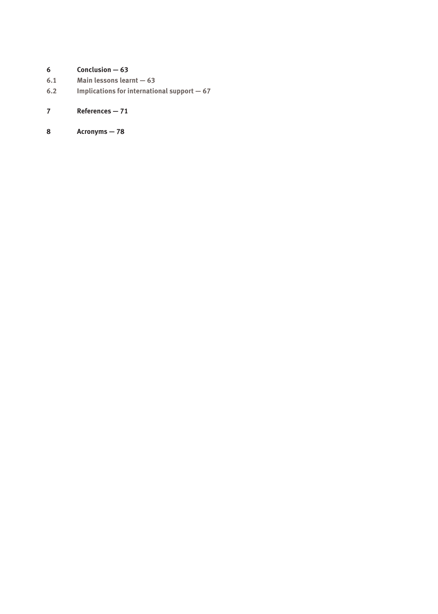## **6 Conclusion — 63**

- **6.1 Main lessons learnt 63**
- **6.2 Implications for international support 67**

## **7 References — 71**

**8 Acronyms — 78**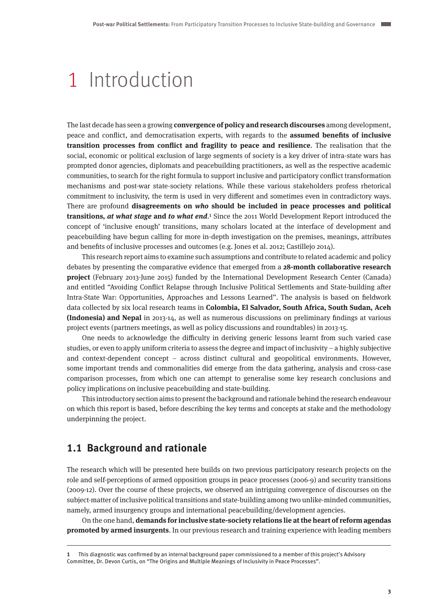## 1 Introduction

The last decade has seen a growing **convergence of policy and research discourses** among development, peace and conflict, and democratisation experts, with regards to the **assumed benefits of inclusive transition processes from conflict and fragility to peace and resilience**. The realisation that the social, economic or political exclusion of large segments of society is a key driver of intra-state wars has prompted donor agencies, diplomats and peacebuilding practitioners, as well as the respective academic communities, to search for the right formula to support inclusive and participatory conflict transformation mechanisms and post-war state-society relations. While these various stakeholders profess rhetorical commitment to inclusivity, the term is used in very different and sometimes even in contradictory ways. There are profound **disagreements on who should be included in peace processes and political transitions, at what stage and to what end**.1 Since the 2011 World Development Report introduced the concept of 'inclusive enough' transitions, many scholars located at the interface of development and peacebuilding have begun calling for more in-depth investigation on the premises, meanings, attributes and benefits of inclusive processes and outcomes (e.g. Jones et al. 2012; Castillejo 2014).

This research report aims to examine such assumptions and contribute to related academic and policy debates by presenting the comparative evidence that emerged from a **28-month collaborative research project** (February 2013-June 2015) funded by the International Development Research Center (Canada) and entitled "Avoiding Conflict Relapse through Inclusive Political Settlements and State-building after Intra-State War: Opportunities, Approaches and Lessons Learned". The analysis is based on fieldwork data collected by six local research teams in **Colombia, El Salvador, South Africa, South Sudan, Aceh (Indonesia) and Nepal** in 2013-14, as well as numerous discussions on preliminary findings at various project events (partners meetings, as well as policy discussions and roundtables) in 2013-15.

One needs to acknowledge the difficulty in deriving generic lessons learnt from such varied case studies, or even to apply uniform criteria to assess the degree and impact of inclusivity – a highly subjective and context-dependent concept – across distinct cultural and geopolitical environments. However, some important trends and commonalities did emerge from the data gathering, analysis and cross-case comparison processes, from which one can attempt to generalise some key research conclusions and policy implications on inclusive peacebuilding and state-building.

This introductory section aims to present the background and rationale behind the research endeavour on which this report is based, before describing the key terms and concepts at stake and the methodology underpinning the project.

## **1.1 Background and rationale**

The research which will be presented here builds on two previous participatory research projects on the role and self-perceptions of armed opposition groups in peace processes (2006-9) and security transitions (2009-12). Over the course of these projects, we observed an intriguing convergence of discourses on the subject-matter of inclusive political transitions and state-building among two unlike-minded communities, namely, armed insurgency groups and international peacebuilding/development agencies.

On the one hand, **demands for inclusive state-society relations lie at the heart of reform agendas promoted by armed insurgents**. In our previous research and training experience with leading members

**<sup>1</sup>** This diagnostic was confirmed by an internal background paper commissioned to a member of this project's Advisory Committee, Dr. Devon Curtis, on "The Origins and Multiple Meanings of Inclusivity in Peace Processes".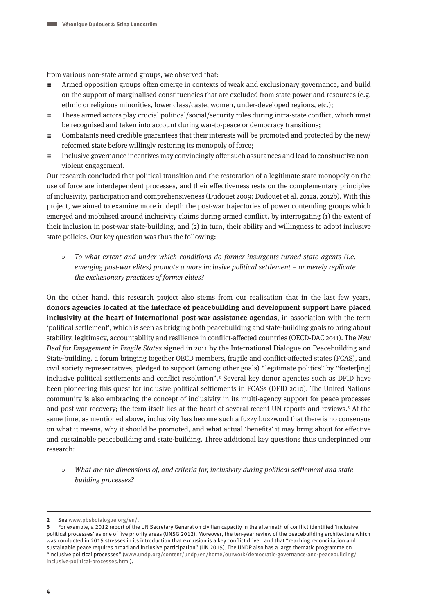from various non-state armed groups, we observed that:

- $\equiv$  Armed opposition groups often emerge in contexts of weak and exclusionary governance, and build on the support of marginalised constituencies that are excluded from state power and resources (e.g. ethnic or religious minorities, lower class/caste, women, under-developed regions, etc.);
- $\equiv$  These armed actors play crucial political/social/security roles during intra-state conflict, which must be recognised and taken into account during war-to-peace or democracy transitions;
- $\equiv$  Combatants need credible guarantees that their interests will be promoted and protected by the new/ reformed state before willingly restoring its monopoly of force;
- $\equiv$  Inclusive governance incentives may convincingly offer such assurances and lead to constructive nonviolent engagement.

Our research concluded that political transition and the restoration of a legitimate state monopoly on the use of force are interdependent processes, and their effectiveness rests on the complementary principles of inclusivity, participation and comprehensiveness (Dudouet 2009; Dudouet et al. 2012a, 2012b). With this project, we aimed to examine more in depth the post-war trajectories of power contending groups which emerged and mobilised around inclusivity claims during armed conflict, by interrogating (1) the extent of their inclusion in post-war state-building, and (2) in turn, their ability and willingness to adopt inclusive state policies. Our key question was thus the following:

» To what extent and under which conditions do former insurgents-turned-state agents (i.e. emerging post-war elites) promote a more inclusive political settlement – or merely replicate the exclusionary practices of former elites?

On the other hand, this research project also stems from our realisation that in the last few years, **donors agencies located at the interface of peacebuilding and development support have placed inclusivity at the heart of international post-war assistance agendas**, in association with the term 'political settlement', which is seen as bridging both peacebuilding and state-building goals to bring about stability, legitimacy, accountability and resilience in conflict-affected countries (OECD-DAC 2011). The New Deal for Engagement in Fragile States signed in 2011 by the International Dialogue on Peacebuilding and State-building, a forum bringing together OECD members, fragile and conflict-affected states (FCAS), and civil society representatives, pledged to support (among other goals) "legitimate politics" by "foster[ing] inclusive political settlements and conflict resolution".2 Several key donor agencies such as DFID have been pioneering this quest for inclusive political settlements in FCASs (DFID 2010). The United Nations community is also embracing the concept of inclusivity in its multi-agency support for peace processes and post-war recovery; the term itself lies at the heart of several recent UN reports and reviews.3 At the same time, as mentioned above, inclusivity has become such a fuzzy buzzword that there is no consensus on what it means, why it should be promoted, and what actual 'benefits' it may bring about for effective and sustainable peacebuilding and state-building. Three additional key questions thus underpinned our research:

» What are the dimensions of, and criteria for, inclusivity during political settlement and statebuilding processes?

**<sup>2</sup>** See www.pbsbdialogue.org/en/.

**<sup>3</sup>** For example, a 2012 report of the UN Secretary General on civilian capacity in the aftermath of conflict identified 'inclusive political processes' as one of five priority areas (UNSG 2012). Moreover, the ten-year review of the peacebuilding architecture which was conducted in 2015 stresses in its introduction that exclusion is a key conflict driver, and that "reaching reconciliation and sustainable peace requires broad and inclusive participation" (UN 2015). The UNDP also has a large thematic programme on "inclusive political processes" (www.undp.org/content/undp/en/home/ourwork/democratic-governance-and-peacebuilding/ inclusive-political-processes.html).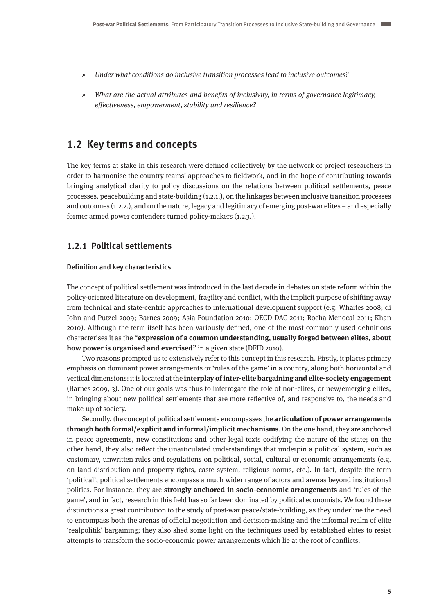- » Under what conditions do inclusive transition processes lead to inclusive outcomes?
- » What are the actual attributes and benefits of inclusivity, in terms of governance legitimacy, effectiveness, empowerment, stability and resilience?

## **1.2 Key terms and concepts**

The key terms at stake in this research were defined collectively by the network of project researchers in order to harmonise the country teams' approaches to fieldwork, and in the hope of contributing towards bringing analytical clarity to policy discussions on the relations between political settlements, peace processes, peacebuilding and state-building (1.2.1.), on the linkages between inclusive transition processes and outcomes (1.2.2.), and on the nature, legacy and legitimacy of emerging post-war elites – and especially former armed power contenders turned policy-makers (1.2.3.).

### **1.2.1 Political settlements**

#### **Definition and key characteristics**

The concept of political settlement was introduced in the last decade in debates on state reform within the policy-oriented literature on development, fragility and conflict, with the implicit purpose of shifting away from technical and state-centric approaches to international development support (e.g. Whaites 2008; di John and Putzel 2009; Barnes 2009; Asia Foundation 2010; OECD-DAC 2011; Rocha Menocal 2011; Khan 2010). Although the term itself has been variously defined, one of the most commonly used definitions characterises it as the "**expression of a common understanding, usually forged between elites, about how power is organised and exercised**" in a given state (DFID 2010).

Two reasons prompted us to extensively refer to this concept in this research. Firstly, it places primary emphasis on dominant power arrangements or 'rules of the game' in a country, along both horizontal and vertical dimensions: it is located at the **interplay of inter-elite bargaining and elite-society engagement** (Barnes 2009, 3). One of our goals was thus to interrogate the role of non-elites, or new/emerging elites, in bringing about new political settlements that are more reflective of, and responsive to, the needs and make-up of society.

Secondly, the concept of political settlements encompasses the **articulation of power arrangements through both formal/explicit and informal/implicit mechanisms**. On the one hand, they are anchored in peace agreements, new constitutions and other legal texts codifying the nature of the state; on the other hand, they also reflect the unarticulated understandings that underpin a political system, such as customary, unwritten rules and regulations on political, social, cultural or economic arrangements (e.g. on land distribution and property rights, caste system, religious norms, etc.). In fact, despite the term 'political', political settlements encompass a much wider range of actors and arenas beyond institutional politics. For instance, they are **strongly anchored in socio-economic arrangements** and 'rules of the game', and in fact, research in this field has so far been dominated by political economists. We found these distinctions a great contribution to the study of post-war peace/state-building, as they underline the need to encompass both the arenas of official negotiation and decision-making and the informal realm of elite 'realpolitik' bargaining; they also shed some light on the techniques used by established elites to resist attempts to transform the socio-economic power arrangements which lie at the root of conflicts.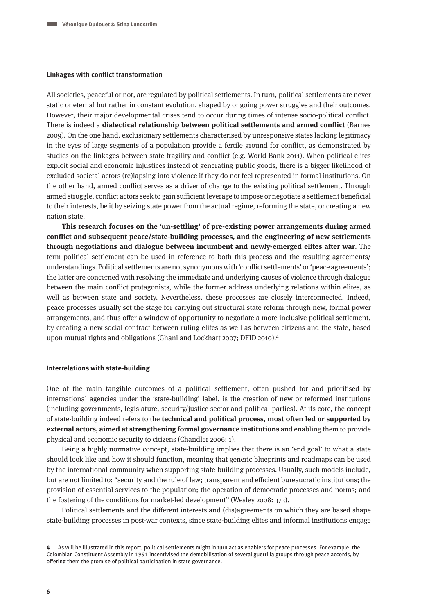#### **Linkages with conflict transformation**

All societies, peaceful or not, are regulated by political settlements. In turn, political settlements are never static or eternal but rather in constant evolution, shaped by ongoing power struggles and their outcomes. However, their major developmental crises tend to occur during times of intense socio-political conflict. There is indeed a **dialectical relationship between political settlements and armed conflict** (Barnes 2009). On the one hand, exclusionary settlements characterised by unresponsive states lacking legitimacy in the eyes of large segments of a population provide a fertile ground for conflict, as demonstrated by studies on the linkages between state fragility and conflict (e.g. World Bank 2011). When political elites exploit social and economic injustices instead of generating public goods, there is a bigger likelihood of excluded societal actors (re)lapsing into violence if they do not feel represented in formal institutions. On the other hand, armed conflict serves as a driver of change to the existing political settlement. Through armed struggle, conflict actors seek to gain sufficient leverage to impose or negotiate a settlement beneficial to their interests, be it by seizing state power from the actual regime, reforming the state, or creating a new nation state.

**This research focuses on the 'un-settling' of pre-existing power arrangements during armed conflict and subsequent peace/state-building processes, and the engineering of new settlements through negotiations and dialogue between incumbent and newly-emerged elites after war**. The term political settlement can be used in reference to both this process and the resulting agreements/ understandings. Political settlements are not synonymous with 'conflict settlements' or 'peace agreements'; the latter are concerned with resolving the immediate and underlying causes of violence through dialogue between the main conflict protagonists, while the former address underlying relations within elites, as well as between state and society. Nevertheless, these processes are closely interconnected. Indeed, peace processes usually set the stage for carrying out structural state reform through new, formal power arrangements, and thus offer a window of opportunity to negotiate a more inclusive political settlement, by creating a new social contract between ruling elites as well as between citizens and the state, based upon mutual rights and obligations (Ghani and Lockhart 2007; DFID 2010).4

#### **Interrelations with state-building**

One of the main tangible outcomes of a political settlement, often pushed for and prioritised by international agencies under the 'state-building' label, is the creation of new or reformed institutions (including governments, legislature, security/justice sector and political parties). At its core, the concept of state-building indeed refers to the **technical and political process, most often led or supported by external actors, aimed at strengthening formal governance institutions** and enabling them to provide physical and economic security to citizens (Chandler 2006: 1).

Being a highly normative concept, state-building implies that there is an 'end goal' to what a state should look like and how it should function, meaning that generic blueprints and roadmaps can be used by the international community when supporting state-building processes. Usually, such models include, but are not limited to: "security and the rule of law; transparent and efficient bureaucratic institutions; the provision of essential services to the population; the operation of democratic processes and norms; and the fostering of the conditions for market-led development" (Wesley 2008: 373).

Political settlements and the different interests and (dis)agreements on which they are based shape state-building processes in post-war contexts, since state-building elites and informal institutions engage

**<sup>4</sup>** As will be illustrated in this report, political settlements might in turn act as enablers for peace processes. For example, the Colombian Constituent Assembly in 1991 incentivised the demobilisation of several guerrilla groups through peace accords, by offering them the promise of political participation in state governance.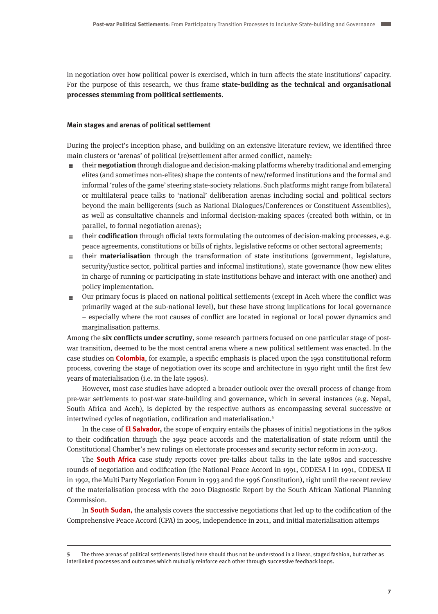in negotiation over how political power is exercised, which in turn affects the state institutions' capacity. For the purpose of this research, we thus frame **state-building as the technical and organisational processes stemming from political settlements**.

#### **Main stages and arenas of political settlement**

During the project's inception phase, and building on an extensive literature review, we identified three main clusters or 'arenas' of political (re)settlement after armed conflict, namely:

- $\equiv$  their **negotiation** through dialogue and decision-making platforms whereby traditional and emerging elites (and sometimes non-elites) shape the contents of new/reformed institutions and the formal and informal 'rules of the game' steering state-society relations. Such platforms might range from bilateral or multilateral peace talks to 'national' deliberation arenas including social and political sectors beyond the main belligerents (such as National Dialogues/Conferences or Constituent Assemblies), as well as consultative channels and informal decision-making spaces (created both within, or in parallel, to formal negotiation arenas);
- ≡ their **codification** through official texts formulating the outcomes of decision-making processes, e.g. peace agreements, constitutions or bills of rights, legislative reforms or other sectoral agreements;
- $\equiv$  their **materialisation** through the transformation of state institutions (government, legislature, security/justice sector, political parties and informal institutions), state governance (how new elites in charge of running or participating in state institutions behave and interact with one another) and policy implementation.
- $\equiv$  Our primary focus is placed on national political settlements (except in Aceh where the conflict was primarily waged at the sub-national level), but these have strong implications for local governance – especially where the root causes of conflict are located in regional or local power dynamics and marginalisation patterns.

Among the **six conflicts under scrutiny**, some research partners focused on one particular stage of postwar transition, deemed to be the most central arena where a new political settlement was enacted. In the case studies on **Colombia**, for example, a specific emphasis is placed upon the 1991 constitutional reform process, covering the stage of negotiation over its scope and architecture in 1990 right until the first few years of materialisation (i.e. in the late 1990s).

However, most case studies have adopted a broader outlook over the overall process of change from pre-war settlements to post-war state-building and governance, which in several instances (e.g. Nepal, South Africa and Aceh), is depicted by the respective authors as encompassing several successive or intertwined cycles of negotiation, codification and materialisation.<sup>5</sup>

In the case of **El Salvador,** the scope of enquiry entails the phases of initial negotiations in the 1980s to their codification through the 1992 peace accords and the materialisation of state reform until the Constitutional Chamber's new rulings on electorate processes and security sector reform in 2011-2013.

The **South Africa** case study reports cover pre-talks about talks in the late 1980s and successive rounds of negotiation and codification (the National Peace Accord in 1991, CODESA I in 1991, CODESA II in 1992, the Multi Party Negotiation Forum in 1993 and the 1996 Constitution), right until the recent review of the materialisation process with the 2010 Diagnostic Report by the South African National Planning Commission.

In **South Sudan,** the analysis covers the successive negotiations that led up to the codification of the Comprehensive Peace Accord (CPA) in 2005, independence in 2011, and initial materialisation attemps

**<sup>5</sup>** The three arenas of political settlements listed here should thus not be understood in a linear, staged fashion, but rather as interlinked processes and outcomes which mutually reinforce each other through successive feedback loops.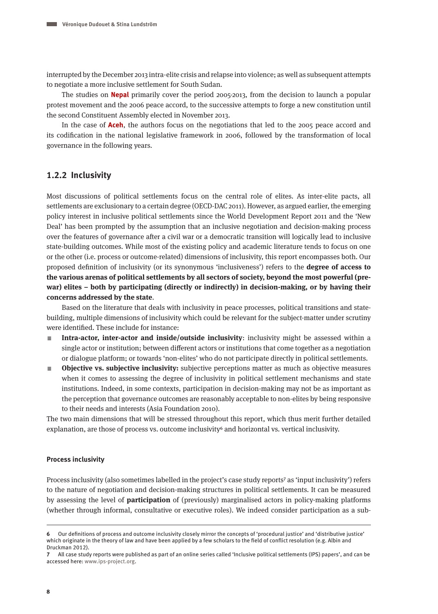interrupted by the December 2013 intra-elite crisis and relapse into violence; as well as subsequent attempts to negotiate a more inclusive settlement for South Sudan.

The studies on **Nepal** primarily cover the period 2005-2013, from the decision to launch a popular protest movement and the 2006 peace accord, to the successive attempts to forge a new constitution until the second Constituent Assembly elected in November 2013.

In the case of **Aceh**, the authors focus on the negotiations that led to the 2005 peace accord and its codification in the national legislative framework in 2006, followed by the transformation of local governance in the following years.

#### **1.2.2 Inclusivity**

Most discussions of political settlements focus on the central role of elites. As inter-elite pacts, all settlements are exclusionary to a certain degree (OECD-DAC 2011). However, as argued earlier, the emerging policy interest in inclusive political settlements since the World Development Report 2011 and the 'New Deal' has been prompted by the assumption that an inclusive negotiation and decision-making process over the features of governance after a civil war or a democratic transition will logically lead to inclusive state-building outcomes. While most of the existing policy and academic literature tends to focus on one or the other (i.e. process or outcome-related) dimensions of inclusivity, this report encompasses both. Our proposed definition of inclusivity (or its synonymous 'inclusiveness') refers to the **degree of access to the various arenas of political settlements by all sectors of society, beyond the most powerful (prewar) elites – both by participating (directly or indirectly) in decision-making, or by having their concerns addressed by the state**.

Based on the literature that deals with inclusivity in peace processes, political transitions and statebuilding, multiple dimensions of inclusivity which could be relevant for the subject-matter under scrutiny were identified. These include for instance:

- A **Intra-actor, inter-actor and inside/outside inclusivity**: inclusivity might be assessed within a single actor or institution; between different actors or institutions that come together as a negotiation or dialogue platform; or towards 'non-elites' who do not participate directly in political settlements.
- **Objective vs. subjective inclusivity:** subjective perceptions matter as much as objective measures when it comes to assessing the degree of inclusivity in political settlement mechanisms and state institutions. Indeed, in some contexts, participation in decision-making may not be as important as the perception that governance outcomes are reasonably acceptable to non-elites by being responsive to their needs and interests (Asia Foundation 2010).

The two main dimensions that will be stressed throughout this report, which thus merit further detailed explanation, are those of process vs. outcome inclusivity and horizontal vs. vertical inclusivity.

#### **Process inclusivity**

Process inclusivity (also sometimes labelled in the project's case study reports<sup>7</sup> as 'input inclusivity') refers to the nature of negotiation and decision-making structures in political settlements. It can be measured by assessing the level of **participation** of (previously) marginalised actors in policy-making platforms (whether through informal, consultative or executive roles). We indeed consider participation as a sub-

**<sup>6</sup>** Our definitions of process and outcome inclusivity closely mirror the concepts of 'procedural justice' and 'distributive justice' which originate in the theory of law and have been applied by a few scholars to the field of conflict resolution (e.g. Albin and Druckman 2012).

**<sup>7</sup>** All case study reports were published as part of an online series called 'Inclusive political settlements (IPS) papers', and can be accessed here: [www.ips-project.org](http://www.ips-project.org).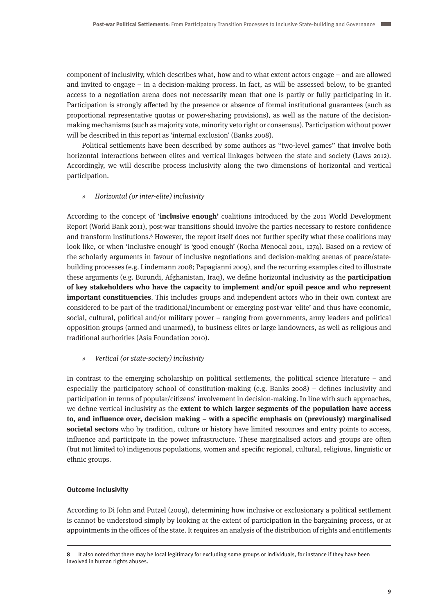component of inclusivity, which describes what, how and to what extent actors engage – and are allowed and invited to engage – in a decision-making process. In fact, as will be assessed below, to be granted access to a negotiation arena does not necessarily mean that one is partly or fully participating in it. Participation is strongly affected by the presence or absence of formal institutional guarantees (such as proportional representative quotas or power-sharing provisions), as well as the nature of the decisionmaking mechanisms (such as majority vote, minority veto right or consensus). Participation without power will be described in this report as 'internal exclusion' (Banks 2008).

Political settlements have been described by some authors as "two-level games" that involve both horizontal interactions between elites and vertical linkages between the state and society (Laws 2012). Accordingly, we will describe process inclusivity along the two dimensions of horizontal and vertical participation.

#### » *Horizontal (or inter-elite) inclusivity*

According to the concept of '**inclusive enough'** coalitions introduced by the 2011 World Development Report (World Bank 2011), post-war transitions should involve the parties necessary to restore confidence and transform institutions.8 However, the report itself does not further specify what these coalitions may look like, or when 'inclusive enough' is 'good enough' (Rocha Menocal 2011, 1274). Based on a review of the scholarly arguments in favour of inclusive negotiations and decision-making arenas of peace/statebuilding processes (e.g. Lindemann 2008; Papagianni 2009), and the recurring examples cited to illustrate these arguments (e.g. Burundi, Afghanistan, Iraq), we define horizontal inclusivity as the **participation of key stakeholders who have the capacity to implement and/or spoil peace and who represent important constituencies**. This includes groups and independent actors who in their own context are considered to be part of the traditional/incumbent or emerging post-war 'elite' and thus have economic, social, cultural, political and/or military power – ranging from governments, army leaders and political opposition groups (armed and unarmed), to business elites or large landowners, as well as religious and traditional authorities (Asia Foundation 2010).

#### » Vertical (or state-society) inclusivity

In contrast to the emerging scholarship on political settlements, the political science literature – and especially the participatory school of constitution-making (e.g. Banks 2008) – defines inclusivity and participation in terms of popular/citizens' involvement in decision-making. In line with such approaches, we define vertical inclusivity as the **extent to which larger segments of the population have access to, and influence over, decision making – with a specific emphasis on (previously) marginalised societal sectors** who by tradition, culture or history have limited resources and entry points to access, influence and participate in the power infrastructure. These marginalised actors and groups are often (but not limited to) indigenous populations, women and specific regional, cultural, religious, linguistic or ethnic groups.

#### **Outcome inclusivity**

According to Di John and Putzel (2009), determining how inclusive or exclusionary a political settlement is cannot be understood simply by looking at the extent of participation in the bargaining process, or at appointments in the offices of the state. It requires an analysis of the distribution of rights and entitlements

**<sup>8</sup>** It also noted that there may be local legitimacy for excluding some groups or individuals, for instance if they have been involved in human rights abuses.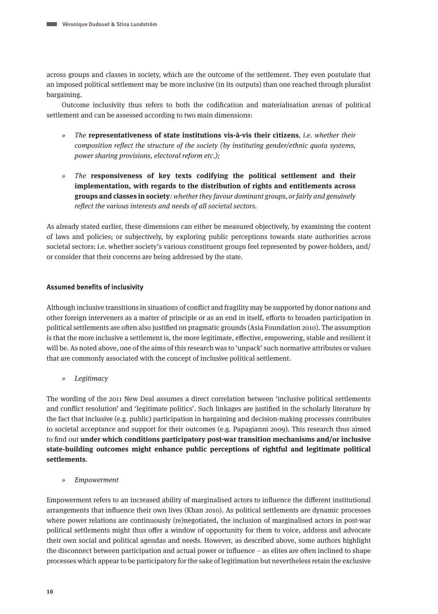across groups and classes in society, which are the outcome of the settlement. They even postulate that an imposed political settlement may be more inclusive (in its outputs) than one reached through pluralist bargaining.

Outcome inclusivity thus refers to both the codification and materialisation arenas of political settlement and can be assessed according to two main dimensions:

- » The **representativeness of state institutions vis-à-vis their citizens**, i.e. whether their composition reflect the structure of the society (by instituting gender/ethnic quota systems, power sharing provisions, electoral reform etc.);
- » The **responsiveness of key texts codifying the political settlement and their implementation, with regards to the distribution of rights and entitlements across groups and classes in society**: whether they favour dominant groups, or fairly and genuinely reflect the various interests and needs of all societal sectors.

As already stated earlier, these dimensions can either be measured objectively, by examining the content of laws and policies; or subjectively, by exploring public perceptions towards state authorities across societal sectors: i.e. whether society's various constituent groups feel represented by power-holders, and/ or consider that their concerns are being addressed by the state.

#### **Assumed benefits of inclusivity**

Although inclusive transitions in situations of conflict and fragility may be supported by donor nations and other foreign interveners as a matter of principle or as an end in itself, efforts to broaden participation in political settlements are often also justified on pragmatic grounds (Asia Foundation 2010). The assumption is that the more inclusive a settlement is, the more legitimate, effective, empowering, stable and resilient it will be. As noted above, one of the aims of this research was to 'unpack' such normative attributes or values that are commonly associated with the concept of inclusive political settlement.

» Legitimacy

The wording of the 2011 New Deal assumes a direct correlation between 'inclusive political settlements and conflict resolution' and 'legitimate politics'. Such linkages are justified in the scholarly literature by the fact that inclusive (e.g. public) participation in bargaining and decision-making processes contributes to societal acceptance and support for their outcomes (e.g. Papagianni 2009). This research thus aimed to find out **under which conditions participatory post-war transition mechanisms and/or inclusive state-building outcomes might enhance public perceptions of rightful and legitimate political settlements**.

» Empowerment

Empowerment refers to an increased ability of marginalised actors to influence the different institutional arrangements that influence their own lives (Khan 2010). As political settlements are dynamic processes where power relations are continuously (re)negotiated, the inclusion of marginalised actors in post-war political settlements might thus offer a window of opportunity for them to voice, address and advocate their own social and political agendas and needs. However, as described above, some authors highlight the disconnect between participation and actual power or influence – as elites are often inclined to shape processes which appear to be participatory for the sake of legitimation but nevertheless retain the exclusive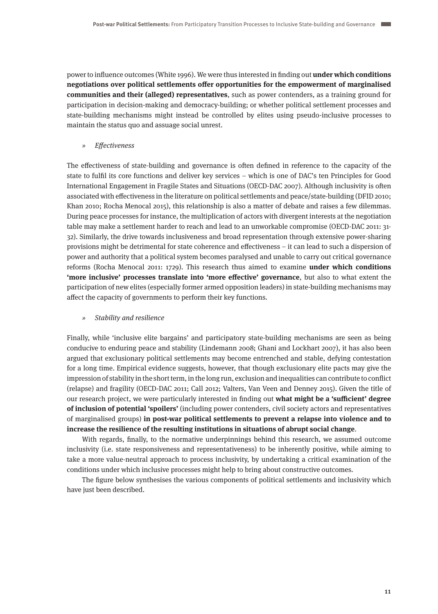power to influence outcomes (White 1996). We were thus interested in finding out **under which conditions negotiations over political settlements offer opportunities for the empowerment of marginalised communities and their (alleged) representatives**, such as power contenders, as a training ground for participation in decision-making and democracy-building; or whether political settlement processes and state-building mechanisms might instead be controlled by elites using pseudo-inclusive processes to maintain the status quo and assuage social unrest.

» Effectiveness

The effectiveness of state-building and governance is often defined in reference to the capacity of the state to fulfil its core functions and deliver key services – which is one of DAC's ten Principles for Good International Engagement in Fragile States and Situations (OECD-DAC 2007). Although inclusivity is often associated with effectiveness in the literature on political settlements and peace/state-building (DFID 2010; Khan 2010; Rocha Menocal 2015), this relationship is also a matter of debate and raises a few dilemmas. During peace processes for instance, the multiplication of actors with divergent interests at the negotiation table may make a settlement harder to reach and lead to an unworkable compromise (OECD-DAC 2011: 31- 32). Similarly, the drive towards inclusiveness and broad representation through extensive power-sharing provisions might be detrimental for state coherence and effectiveness – it can lead to such a dispersion of power and authority that a political system becomes paralysed and unable to carry out critical governance reforms (Rocha Menocal 2011: 1729). This research thus aimed to examine **under which conditions 'more inclusive' processes translate into 'more effective' governance**, but also to what extent the participation of new elites (especially former armed opposition leaders) in state-building mechanisms may affect the capacity of governments to perform their key functions.

#### » Stability and resilience

Finally, while 'inclusive elite bargains' and participatory state-building mechanisms are seen as being conducive to enduring peace and stability (Lindemann 2008; Ghani and Lockhart 2007), it has also been argued that exclusionary political settlements may become entrenched and stable, defying contestation for a long time. Empirical evidence suggests, however, that though exclusionary elite pacts may give the impression of stability in the short term, in the long run, exclusion and inequalities can contribute to conflict (relapse) and fragility (OECD-DAC 2011; Call 2012; Valters, Van Veen and Denney 2015). Given the title of our research project, we were particularly interested in finding out **what might be a 'sufficient' degree of inclusion of potential 'spoilers'** (including power contenders, civil society actors and representatives of marginalised groups) **in post-war political settlements to prevent a relapse into violence and to increase the resilience of the resulting institutions in situations of abrupt social change**.

With regards, finally, to the normative underpinnings behind this research, we assumed outcome inclusivity (i.e. state responsiveness and representativeness) to be inherently positive, while aiming to take a more value-neutral approach to process inclusivity, by undertaking a critical examination of the conditions under which inclusive processes might help to bring about constructive outcomes.

The figure below synthesises the various components of political settlements and inclusivity which have just been described.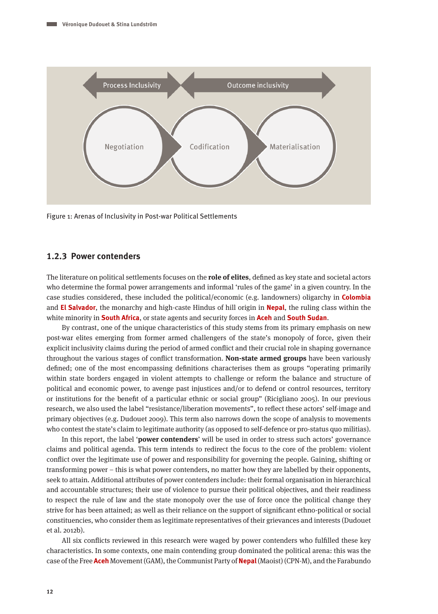

Figure 1: Arenas of Inclusivity in Post-war Political Settlements

### **1.2.3 Power contenders**

The literature on political settlements focuses on the **role of elites**, defined as key state and societal actors who determine the formal power arrangements and informal 'rules of the game' in a given country. In the case studies considered, these included the political/economic (e.g. landowners) oligarchy in **Colombia** and **El Salvador**, the monarchy and high-caste Hindus of hill origin in **Nepal**, the ruling class within the white minority in **South Africa**, or state agents and security forces in **Aceh** and **South Sudan**.

By contrast, one of the unique characteristics of this study stems from its primary emphasis on new post-war elites emerging from former armed challengers of the state's monopoly of force, given their explicit inclusivity claims during the period of armed conflict and their crucial role in shaping governance throughout the various stages of conflict transformation. **Non-state armed groups** have been variously defined; one of the most encompassing definitions characterises them as groups "operating primarily within state borders engaged in violent attempts to challenge or reform the balance and structure of political and economic power, to avenge past injustices and/or to defend or control resources, territory or institutions for the benefit of a particular ethnic or social group" (Ricigliano 2005). In our previous research, we also used the label "resistance/liberation movements", to reflect these actors' self-image and primary objectives (e.g. Dudouet 2009). This term also narrows down the scope of analysis to movements who contest the state's claim to legitimate authority (as opposed to self-defence or pro-status quo militias).

In this report, the label '**power contenders**' will be used in order to stress such actors' governance claims and political agenda. This term intends to redirect the focus to the core of the problem: violent conflict over the legitimate use of power and responsibility for governing the people. Gaining, shifting or transforming power – this is what power contenders, no matter how they are labelled by their opponents, seek to attain. Additional attributes of power contenders include: their formal organisation in hierarchical and accountable structures; their use of violence to pursue their political objectives, and their readiness to respect the rule of law and the state monopoly over the use of force once the political change they strive for has been attained; as well as their reliance on the support of significant ethno-political or social constituencies, who consider them as legitimate representatives of their grievances and interests (Dudouet et al. 2012b).

All six conflicts reviewed in this research were waged by power contenders who fulfilled these key characteristics. In some contexts, one main contending group dominated the political arena: this was the case of the Free **Aceh** Movement (GAM), the Communist Party of **Nepal** (Maoist) (CPN-M), and the Farabundo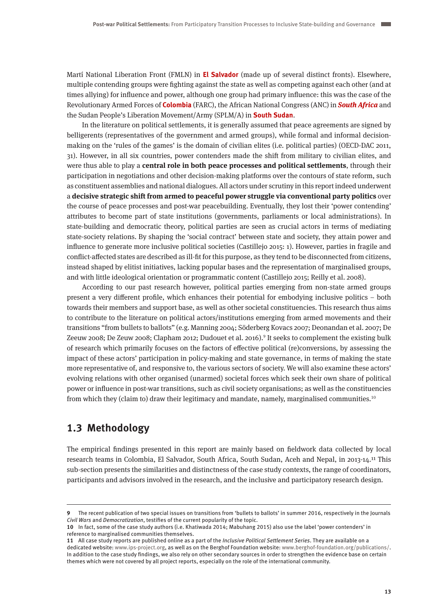Martí National Liberation Front (FMLN) in **El Salvador** (made up of several distinct fronts). Elsewhere, multiple contending groups were fighting against the state as well as competing against each other (and at times allying) for influence and power, although one group had primary influence: this was the case of the Revolutionary Armed Forces of **Colombia** (FARC), the African National Congress (ANC) in **South Africa** and the Sudan People's Liberation Movement/Army (SPLM/A) in **South Sudan**.

In the literature on political settlements, it is generally assumed that peace agreements are signed by belligerents (representatives of the government and armed groups), while formal and informal decisionmaking on the 'rules of the games' is the domain of civilian elites (i.e. political parties) (OECD-DAC 2011, 31). However, in all six countries, power contenders made the shift from military to civilian elites, and were thus able to play a **central role in both peace processes and political settlements**, through their participation in negotiations and other decision-making platforms over the contours of state reform, such as constituent assemblies and national dialogues. All actors under scrutiny in this report indeed underwent a **decisive strategic shift from armed to peaceful power struggle via conventional party politics** over the course of peace processes and post-war peacebuilding. Eventually, they lost their 'power contending' attributes to become part of state institutions (governments, parliaments or local administrations). In state-building and democratic theory, political parties are seen as crucial actors in terms of mediating state-society relations. By shaping the 'social contract' between state and society, they attain power and influence to generate more inclusive political societies (Castillejo 2015: 1). However, parties in fragile and conflict-affected states are described as ill-fit for this purpose, as they tend to be disconnected from citizens, instead shaped by elitist initiatives, lacking popular bases and the representation of marginalised groups, and with little ideological orientation or programmatic content (Castillejo 2015; Reilly et al. 2008).

According to our past research however, political parties emerging from non-state armed groups present a very different profile, which enhances their potential for embodying inclusive politics – both towards their members and support base, as well as other societal constituencies. This research thus aims to contribute to the literature on political actors/institutions emerging from armed movements and their transitions "from bullets to ballots" (e.g. Manning 2004; Söderberg Kovacs 2007; Deonandan et al. 2007; De Zeeuw 2008; De Zeuw 2008; Clapham 2012; Dudouet et al. 2016).9 It seeks to complement the existing bulk of research which primarily focuses on the factors of effective political (re)conversions, by assessing the impact of these actors' participation in policy-making and state governance, in terms of making the state more representative of, and responsive to, the various sectors of society. We will also examine these actors' evolving relations with other organised (unarmed) societal forces which seek their own share of political power or influence in post-war transitions, such as civil society organisations; as well as the constituencies from which they (claim to) draw their legitimacy and mandate, namely, marginalised communities.<sup>10</sup>

## **1.3 Methodology**

The empirical findings presented in this report are mainly based on fieldwork data collected by local research teams in Colombia, El Salvador, South Africa, South Sudan, Aceh and Nepal, in 2013-14.11 This sub-section presents the similarities and distinctness of the case study contexts, the range of coordinators, participants and advisors involved in the research, and the inclusive and participatory research design.

**<sup>9</sup>** The recent publication of two special issues on transitions from 'bullets to ballots' in summer 2016, respectively in the Journals Civil Wars and Democratization, testifies of the current popularity of the topic.

**<sup>10</sup>** In fact, some of the case study authors (i.e. Khatiwada 2014; Mabuhang 2015) also use the label 'power contenders' in reference to marginalised communities themselves.

**<sup>11</sup>** All case study reports are published online as a part of the Inclusive Political Settlement Series. They are available on a dedicated website: [www.ips-project.org,](http://www.ips-project.org) as well as on the Berghof Foundation website: www.berghof-foundation.org/publications/. In addition to the case study findings, we also rely on other secondary sources in order to strengthen the evidence base on certain themes which were not covered by all project reports, especially on the role of the international community.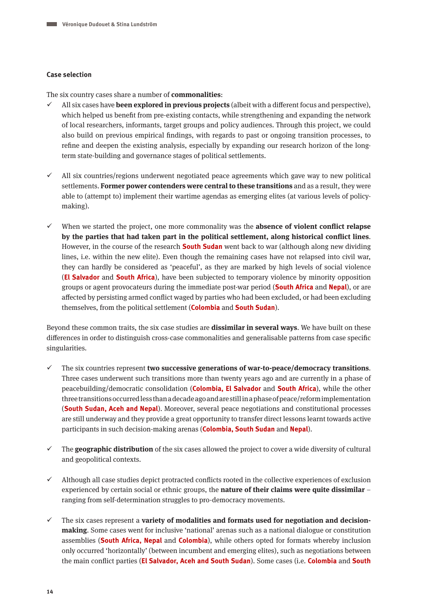#### **Case selection**

The six country cases share a number of **commonalities**:

- All six cases have **been explored in previous projects** (albeit with a different focus and perspective), which helped us benefit from pre-existing contacts, while strengthening and expanding the network of local researchers, informants, target groups and policy audiences. Through this project, we could also build on previous empirical findings, with regards to past or ongoing transition processes, to refine and deepen the existing analysis, especially by expanding our research horizon of the longterm state-building and governance stages of political settlements.
- All six countries/regions underwent negotiated peace agreements which gave way to new political settlements. **Former power contenders were central to these transitions** and as a result, they were able to (attempt to) implement their wartime agendas as emerging elites (at various levels of policymaking).
- When we started the project, one more commonality was the **absence of violent conflict relapse by the parties that had taken part in the political settlement, along historical conflict lines**. However, in the course of the research **South Sudan** went back to war (although along new dividing lines, i.e. within the new elite). Even though the remaining cases have not relapsed into civil war, they can hardly be considered as 'peaceful', as they are marked by high levels of social violence (**El Salvador** and **South Africa**), have been subjected to temporary violence by minority opposition groups or agent provocateurs during the immediate post-war period (**South Africa** and **Nepal**), or are affected by persisting armed conflict waged by parties who had been excluded, or had been excluding themselves, from the political settlement (**Colombia** and **South Sudan**).

Beyond these common traits, the six case studies are **dissimilar in several ways**. We have built on these differences in order to distinguish cross-case commonalities and generalisable patterns from case specific singularities.

- The six countries represent **two successive generations of war-to-peace/democracy transitions**. Three cases underwent such transitions more than twenty years ago and are currently in a phase of peacebuilding/democratic consolidation (**Colombia, El Salvador** and **South Africa**), while the other three transitions occurred less than a decade ago and are still in a phase of peace/reform implementation (**South Sudan, Aceh and Nepal**). Moreover, several peace negotiations and constitutional processes are still underway and they provide a great opportunity to transfer direct lessons learnt towards active participants in such decision-making arenas (**Colombia, South Sudan** and **Nepal**).
- $\checkmark$  The **geographic distribution** of the six cases allowed the project to cover a wide diversity of cultural and geopolitical contexts.
- $\checkmark$  Although all case studies depict protracted conflicts rooted in the collective experiences of exclusion experienced by certain social or ethnic groups, the **nature of their claims were quite dissimilar** – ranging from self-determination struggles to pro-democracy movements.
- The six cases represent a **variety of modalities and formats used for negotiation and decisionmaking**. Some cases went for inclusive 'national' arenas such as a national dialogue or constitution assemblies (**South Africa, Nepal** and **Colombia**), while others opted for formats whereby inclusion only occurred 'horizontally' (between incumbent and emerging elites), such as negotiations between the main conflict parties (**El Salvador, Aceh and South Sudan**). Some cases (i.e. **Colombia** and **South**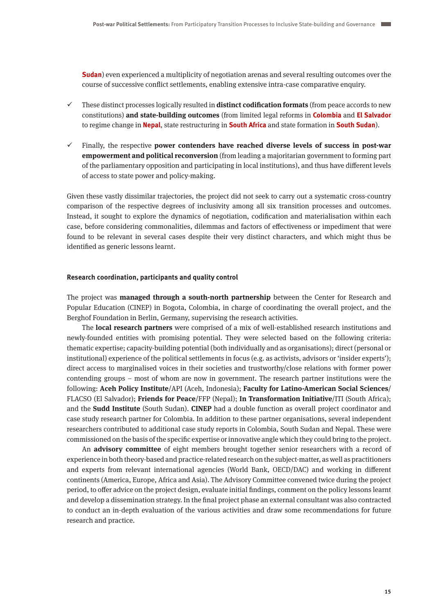**Sudan**) even experienced a multiplicity of negotiation arenas and several resulting outcomes over the course of successive conflict settlements, enabling extensive intra-case comparative enquiry.

- $\checkmark$  These distinct processes logically resulted in **distinct codification formats** (from peace accords to new constitutions) **and state-building outcomes** (from limited legal reforms in **Colombia** and **El Salvador** to regime change in **Nepal**, state restructuring in **South Africa** and state formation in **South Sudan**).
- Finally, the respective **power contenders have reached diverse levels of success in post-war empowerment and political reconversion** (from leading a majoritarian government to forming part of the parliamentary opposition and participating in local institutions), and thus have different levels of access to state power and policy-making.

Given these vastly dissimilar trajectories, the project did not seek to carry out a systematic cross-country comparison of the respective degrees of inclusivity among all six transition processes and outcomes. Instead, it sought to explore the dynamics of negotiation, codification and materialisation within each case, before considering commonalities, dilemmas and factors of effectiveness or impediment that were found to be relevant in several cases despite their very distinct characters, and which might thus be identified as generic lessons learnt.

#### **Research coordination, participants and quality control**

The project was **managed through a south-north partnership** between the Center for Research and Popular Education (CINEP) in Bogota, Colombia, in charge of coordinating the overall project, and the Berghof Foundation in Berlin, Germany, supervising the research activities.

The **local research partners** were comprised of a mix of well-established research institutions and newly-founded entities with promising potential. They were selected based on the following criteria: thematic expertise; capacity-building potential (both individually and as organisations); direct (personal or institutional) experience of the political settlements in focus (e.g. as activists, advisors or 'insider experts'); direct access to marginalised voices in their societies and trustworthy/close relations with former power contending groups – most of whom are now in government. The research partner institutions were the following: **Aceh Policy Institute**/API (Aceh, Indonesia); **Faculty for Latino-American Social Sciences**/ FLACSO (El Salvador); **Friends for Peace**/FFP (Nepal); **In Transformation Initiative**/ITI (South Africa); and the **Sudd Institute** (South Sudan). **CINEP** had a double function as overall project coordinator and case study research partner for Colombia. In addition to these partner organisations, several independent researchers contributed to additional case study reports in Colombia, South Sudan and Nepal. These were commissioned on the basis of the specific expertise or innovative angle which they could bring to the project.

An **advisory committee** of eight members brought together senior researchers with a record of experience in both theory-based and practice-related research on the subject-matter, as well as practitioners and experts from relevant international agencies (World Bank, OECD/DAC) and working in different continents (America, Europe, Africa and Asia). The Advisory Committee convened twice during the project period, to offer advice on the project design, evaluate initial findings, comment on the policy lessons learnt and develop a dissemination strategy. In the final project phase an external consultant was also contracted to conduct an in-depth evaluation of the various activities and draw some recommendations for future research and practice.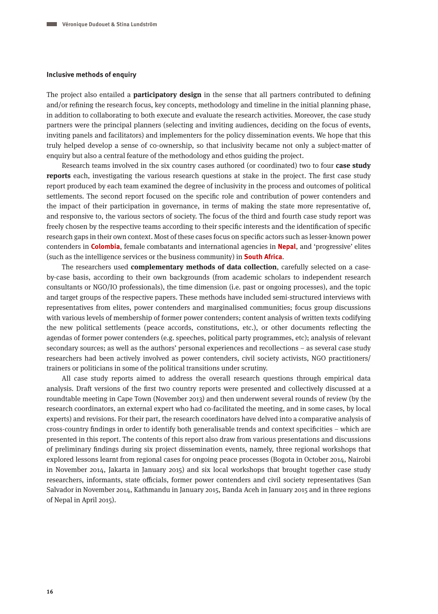#### **Inclusive methods of enquiry**

The project also entailed a **participatory design** in the sense that all partners contributed to defining and/or refining the research focus, key concepts, methodology and timeline in the initial planning phase, in addition to collaborating to both execute and evaluate the research activities. Moreover, the case study partners were the principal planners (selecting and inviting audiences, deciding on the focus of events, inviting panels and facilitators) and implementers for the policy dissemination events. We hope that this truly helped develop a sense of co-ownership, so that inclusivity became not only a subject-matter of enquiry but also a central feature of the methodology and ethos guiding the project.

Research teams involved in the six country cases authored (or coordinated) two to four **case study reports** each, investigating the various research questions at stake in the project. The first case study report produced by each team examined the degree of inclusivity in the process and outcomes of political settlements. The second report focused on the specific role and contribution of power contenders and the impact of their participation in governance, in terms of making the state more representative of, and responsive to, the various sectors of society. The focus of the third and fourth case study report was freely chosen by the respective teams according to their specific interests and the identification of specific research gaps in their own context. Most of these cases focus on specific actors such as lesser-known power contenders in **Colombia**, female combatants and international agencies in **Nepal**, and 'progressive' elites (such as the intelligence services or the business community) in **South Africa**.

The researchers used **complementary methods of data collection**, carefully selected on a caseby-case basis, according to their own backgrounds (from academic scholars to independent research consultants or NGO/IO professionals), the time dimension (i.e. past or ongoing processes), and the topic and target groups of the respective papers. These methods have included semi-structured interviews with representatives from elites, power contenders and marginalised communities; focus group discussions with various levels of membership of former power contenders; content analysis of written texts codifying the new political settlements (peace accords, constitutions, etc.), or other documents reflecting the agendas of former power contenders (e.g. speeches, political party programmes, etc); analysis of relevant secondary sources; as well as the authors' personal experiences and recollections – as several case study researchers had been actively involved as power contenders, civil society activists, NGO practitioners/ trainers or politicians in some of the political transitions under scrutiny.

All case study reports aimed to address the overall research questions through empirical data analysis. Draft versions of the first two country reports were presented and collectively discussed at a roundtable meeting in Cape Town (November 2013) and then underwent several rounds of review (by the research coordinators, an external expert who had co-facilitated the meeting, and in some cases, by local experts) and revisions. For their part, the research coordinators have delved into a comparative analysis of cross-country findings in order to identify both generalisable trends and context specificities – which are presented in this report. The contents of this report also draw from various presentations and discussions of preliminary findings during six project dissemination events, namely, three regional workshops that explored lessons learnt from regional cases for ongoing peace processes (Bogota in October 2014, Nairobi in November 2014, Jakarta in January 2015) and six local workshops that brought together case study researchers, informants, state officials, former power contenders and civil society representatives (San Salvador in November 2014, Kathmandu in January 2015, Banda Aceh in January 2015 and in three regions of Nepal in April 2015).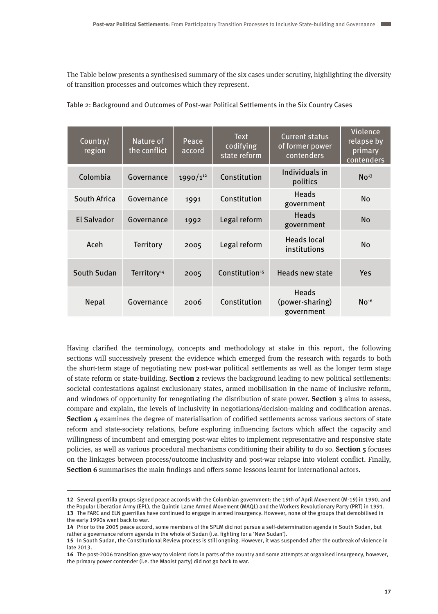The Table below presents a synthesised summary of the six cases under scrutiny, highlighting the diversity of transition processes and outcomes which they represent.

| Country/<br>region | Nature of<br>the conflict | Peace<br>accord | <b>Text</b><br>codifying<br>state reform | <b>Current status</b><br>of former power<br>contenders | Violence<br>relapse by<br>primary<br>contenders |
|--------------------|---------------------------|-----------------|------------------------------------------|--------------------------------------------------------|-------------------------------------------------|
| Colombia           | Governance                | $1990/1^{12}$   | Constitution                             | Individuals in<br>politics                             | No <sup>13</sup>                                |
| South Africa       | Governance                | 1991            | Constitution                             | Heads<br>government                                    | <b>No</b>                                       |
| <b>El Salvador</b> | Governance                | 1992            | Legal reform                             | <b>Heads</b><br>government                             | <b>No</b>                                       |
| Aceh               | <b>Territory</b>          | 2005            | Legal reform                             | <b>Heads local</b><br>institutions                     | <b>No</b>                                       |
| South Sudan        | Territory <sup>14</sup>   | 2005            | Constitution <sup>15</sup>               | <b>Heads new state</b>                                 | Yes                                             |
| Nepal              | Governance                | 2006            | Constitution                             | <b>Heads</b><br>(power-sharing)<br>government          | No <sup>16</sup>                                |

Table 2: Background and Outcomes of Post-war Political Settlements in the Six Country Cases

Having clarified the terminology, concepts and methodology at stake in this report, the following sections will successively present the evidence which emerged from the research with regards to both the short-term stage of negotiating new post-war political settlements as well as the longer term stage of state reform or state-building. **Section 2** reviews the background leading to new political settlements: societal contestations against exclusionary states, armed mobilisation in the name of inclusive reform, and windows of opportunity for renegotiating the distribution of state power. **Section 3** aims to assess, compare and explain, the levels of inclusivity in negotiations/decision-making and codification arenas. **Section 4** examines the degree of materialisation of codified settlements across various sectors of state reform and state-society relations, before exploring influencing factors which affect the capacity and willingness of incumbent and emerging post-war elites to implement representative and responsive state policies, as well as various procedural mechanisms conditioning their ability to do so. **Section 5** focuses on the linkages between process/outcome inclusivity and post-war relapse into violent conflict. Finally, **Section 6** summarises the main findings and offers some lessons learnt for international actors.

**<sup>12</sup>** Several guerrilla groups signed peace accords with the Colombian government: the 19th of April Movement (M-19) in 1990, and the Popular Liberation Army (EPL), the Quintin Lame Armed Movement (MAQL) and the Workers Revolutionary Party (PRT) in 1991. **13** The FARC and ELN guerrillas have continued to engage in armed insurgency. However, none of the groups that demobilised in the early 1990s went back to war.

**<sup>14</sup>** Prior to the 2005 peace accord, some members of the SPLM did not pursue a self-determination agenda in South Sudan, but rather a governance reform agenda in the whole of Sudan (i.e. fighting for a 'New Sudan').

**<sup>15</sup>** In South Sudan, the Constitutional Review process is still ongoing. However, it was suspended after the outbreak of violence in late 2013.

**<sup>16</sup>** The post-2006 transition gave way to violent riots in parts of the country and some attempts at organised insurgency, however, the primary power contender (i.e. the Maoist party) did not go back to war.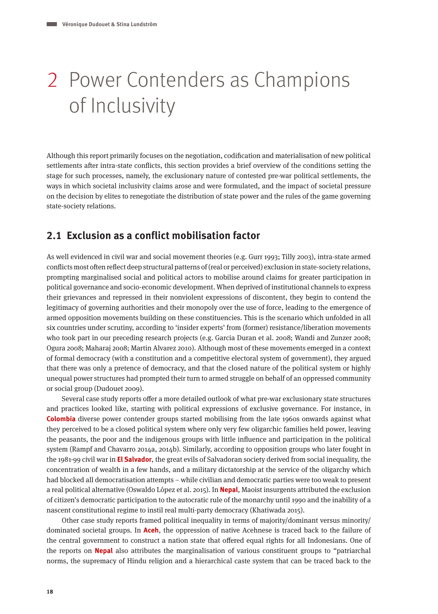## 2 Power Contenders as Champions of Inclusivity

Although this report primarily focuses on the negotiation, codification and materialisation of new political settlements after intra-state conflicts, this section provides a brief overview of the conditions setting the stage for such processes, namely, the exclusionary nature of contested pre-war political settlements, the ways in which societal inclusivity claims arose and were formulated, and the impact of societal pressure on the decision by elites to renegotiate the distribution of state power and the rules of the game governing state-society relations.

## **2.1 Exclusion as a conflict mobilisation factor**

As well evidenced in civil war and social movement theories (e.g. Gurr 1993; Tilly 2003), intra-state armed conflicts most often reflect deep structural patterns of (real or perceived) exclusion in state-society relations, prompting marginalised social and political actors to mobilise around claims for greater participation in political governance and socio-economic development. When deprived of institutional channels to express their grievances and repressed in their nonviolent expressions of discontent, they begin to contend the legitimacy of governing authorities and their monopoly over the use of force, leading to the emergence of armed opposition movements building on these constituencies. This is the scenario which unfolded in all six countries under scrutiny, according to 'insider experts' from (former) resistance/liberation movements who took part in our preceding research projects (e.g. Garcia Duran et al. 2008; Wandi and Zunzer 2008; Ogura 2008; Maharaj 2008; Martin Alvarez 2010). Although most of these movements emerged in a context of formal democracy (with a constitution and a competitive electoral system of government), they argued that there was only a pretence of democracy, and that the closed nature of the political system or highly unequal power structures had prompted their turn to armed struggle on behalf of an oppressed community or social group (Dudouet 2009).

Several case study reports offer a more detailed outlook of what pre-war exclusionary state structures and practices looked like, starting with political expressions of exclusive governance. For instance, in **Colombia** diverse power contender groups started mobilising from the late 1960s onwards against what they perceived to be a closed political system where only very few oligarchic families held power, leaving the peasants, the poor and the indigenous groups with little influence and participation in the political system (Rampf and Chavarro 2014a, 2014b). Similarly, according to opposition groups who later fought in the 1981-99 civil war in **El Salvador**, the great evils of Salvadoran society derived from social inequality, the concentration of wealth in a few hands, and a military dictatorship at the service of the oligarchy which had blocked all democratisation attempts – while civilian and democratic parties were too weak to present a real political alternative (Oswaldo López et al. 2015). In **Nepal**, Maoist insurgents attributed the exclusion of citizen's democratic participation to the autocratic rule of the monarchy until 1990 and the inability of a nascent constitutional regime to instil real multi-party democracy (Khatiwada 2015).

Other case study reports framed political inequality in terms of majority/dominant versus minority/ dominated societal groups. In **Aceh**, the oppression of native Acehnese is traced back to the failure of the central government to construct a nation state that offered equal rights for all Indonesians. One of the reports on **Nepal** also attributes the marginalisation of various constituent groups to "patriarchal norms, the supremacy of Hindu religion and a hierarchical caste system that can be traced back to the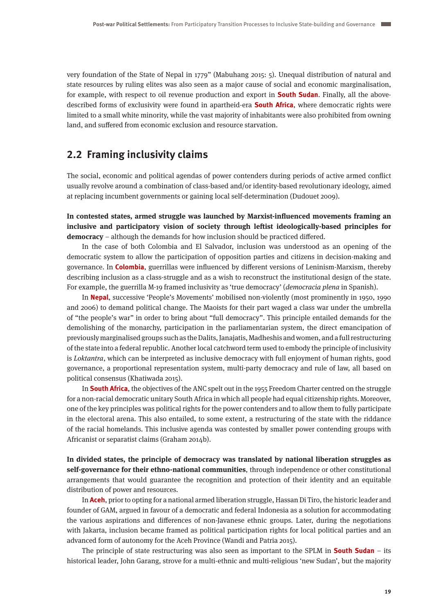very foundation of the State of Nepal in 1779" (Mabuhang 2015: 5). Unequal distribution of natural and state resources by ruling elites was also seen as a major cause of social and economic marginalisation, for example, with respect to oil revenue production and export in **South Sudan**. Finally, all the abovedescribed forms of exclusivity were found in apartheid-era **South Africa**, where democratic rights were limited to a small white minority, while the vast majority of inhabitants were also prohibited from owning land, and suffered from economic exclusion and resource starvation.

## **2.2 Framing inclusivity claims**

The social, economic and political agendas of power contenders during periods of active armed conflict usually revolve around a combination of class-based and/or identity-based revolutionary ideology, aimed at replacing incumbent governments or gaining local self-determination (Dudouet 2009).

**In contested states, armed struggle was launched by Marxist-influenced movements framing an inclusive and participatory vision of society through leftist ideologically-based principles for democracy** – although the demands for how inclusion should be practiced differed.

In the case of both Colombia and El Salvador, inclusion was understood as an opening of the democratic system to allow the participation of opposition parties and citizens in decision-making and governance. In **Colombia**, guerrillas were influenced by different versions of Leninism-Marxism, thereby describing inclusion as a class-struggle and as a wish to reconstruct the institutional design of the state. For example, the guerrilla M-19 framed inclusivity as 'true democracy' (democracia plena in Spanish).

In **Nepal**, successive 'People's Movements' mobilised non-violently (most prominently in 1950, 1990 and 2006) to demand political change. The Maoists for their part waged a class war under the umbrella of "the people's war" in order to bring about "full democracy". This principle entailed demands for the demolishing of the monarchy, participation in the parliamentarian system, the direct emancipation of previously marginalised groups such as the Dalits, Janajatis, Madheshis and women, and a full restructuring of the state into a federal republic. Another local catchword term used to embody the principle of inclusivity is Loktantra, which can be interpreted as inclusive democracy with full enjoyment of human rights, good governance, a proportional representation system, multi-party democracy and rule of law, all based on political consensus (Khatiwada 2015).

In **South Africa**, the objectives of the ANC spelt out in the 1955 Freedom Charter centred on the struggle for a non-racial democratic unitary South Africa in which all people had equal citizenship rights. Moreover, one of the key principles was political rights for the power contenders and to allow them to fully participate in the electoral arena. This also entailed, to some extent, a restructuring of the state with the riddance of the racial homelands. This inclusive agenda was contested by smaller power contending groups with Africanist or separatist claims (Graham 2014b).

**In divided states, the principle of democracy was translated by national liberation struggles as self-governance for their ethno-national communities**, through independence or other constitutional arrangements that would guarantee the recognition and protection of their identity and an equitable distribution of power and resources.

In **Aceh**, prior to opting for a national armed liberation struggle, Hassan Di Tiro, the historic leader and founder of GAM, argued in favour of a democratic and federal Indonesia as a solution for accommodating the various aspirations and differences of non-Javanese ethnic groups. Later, during the negotiations with Jakarta, inclusion became framed as political participation rights for local political parties and an advanced form of autonomy for the Aceh Province (Wandi and Patria 2015).

The principle of state restructuring was also seen as important to the SPLM in **South Sudan** – its historical leader, John Garang, strove for a multi-ethnic and multi-religious 'new Sudan', but the majority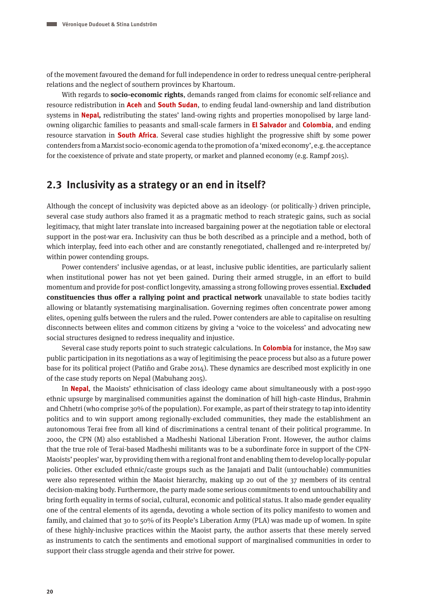of the movement favoured the demand for full independence in order to redress unequal centre-peripheral relations and the neglect of southern provinces by Khartoum.

With regards to **socio-economic rights**, demands ranged from claims for economic self-reliance and resource redistribution in **Aceh** and **South Sudan**, to ending feudal land-ownership and land distribution systems in **Nepal,** redistributing the states' land-owing rights and properties monopolised by large landowning oligarchic families to peasants and small-scale farmers in **El Salvador** and **Colombia**, and ending resource starvation in **South Africa**. Several case studies highlight the progressive shift by some power contenders from a Marxist socio-economic agenda to the promotion of a 'mixed economy', e.g. the acceptance for the coexistence of private and state property, or market and planned economy (e.g. Rampf 2015).

### **2.3 Inclusivity as a strategy or an end in itself?**

Although the concept of inclusivity was depicted above as an ideology- (or politically-) driven principle, several case study authors also framed it as a pragmatic method to reach strategic gains, such as social legitimacy, that might later translate into increased bargaining power at the negotiation table or electoral support in the post-war era. Inclusivity can thus be both described as a principle and a method, both of which interplay, feed into each other and are constantly renegotiated, challenged and re-interpreted by/ within power contending groups.

Power contenders' inclusive agendas, or at least, inclusive public identities, are particularly salient when institutional power has not yet been gained. During their armed struggle, in an effort to build momentum and provide for post-conflict longevity, amassing a strong following proves essential. **Excluded constituencies thus offer a rallying point and practical network** unavailable to state bodies tacitly allowing or blatantly systematising marginalisation. Governing regimes often concentrate power among elites, opening gulfs between the rulers and the ruled. Power contenders are able to capitalise on resulting disconnects between elites and common citizens by giving a 'voice to the voiceless' and advocating new social structures designed to redress inequality and injustice.

Several case study reports point to such strategic calculations. In **Colombia** for instance, the M19 saw public participation in its negotiations as a way of legitimising the peace process but also as a future power base for its political project (Patiño and Grabe 2014). These dynamics are described most explicitly in one of the case study reports on Nepal (Mabuhang 2015).

In **Nepal**, the Maoists' ethnicisation of class ideology came about simultaneously with a post-1990 ethnic upsurge by marginalised communities against the domination of hill high-caste Hindus, Brahmin and Chhetri (who comprise 30% of the population). For example, as part of their strategy to tap into identity politics and to win support among regionally-excluded communities, they made the establishment an autonomous Terai free from all kind of discriminations a central tenant of their political programme. In 2000, the CPN (M) also established a Madheshi National Liberation Front. However, the author claims that the true role of Terai-based Madheshi militants was to be a subordinate force in support of the CPN-Maoists' peoples' war, by providing them with a regional front and enabling them to develop locally-popular policies. Other excluded ethnic/caste groups such as the Janajati and Dalit (untouchable) communities were also represented within the Maoist hierarchy, making up 20 out of the 37 members of its central decision-making body. Furthermore, the party made some serious commitments to end untouchability and bring forth equality in terms of social, cultural, economic and political status. It also made gender equality one of the central elements of its agenda, devoting a whole section of its policy manifesto to women and family, and claimed that 30 to 50% of its People's Liberation Army (PLA) was made up of women. In spite of these highly-inclusive practices within the Maoist party, the author asserts that these merely served as instruments to catch the sentiments and emotional support of marginalised communities in order to support their class struggle agenda and their strive for power.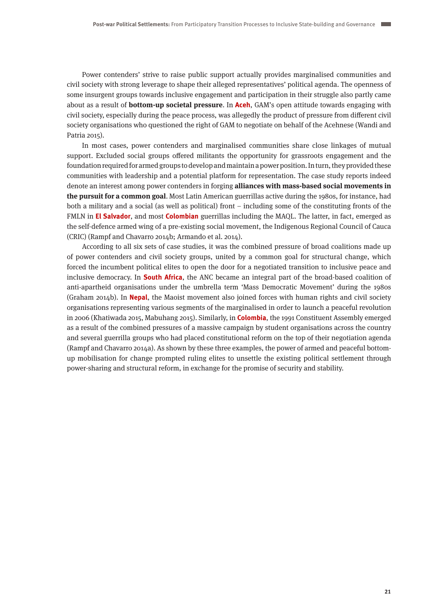Power contenders' strive to raise public support actually provides marginalised communities and civil society with strong leverage to shape their alleged representatives' political agenda. The openness of some insurgent groups towards inclusive engagement and participation in their struggle also partly came about as a result of **bottom-up societal pressure**. In **Aceh**, GAM's open attitude towards engaging with civil society, especially during the peace process, was allegedly the product of pressure from different civil society organisations who questioned the right of GAM to negotiate on behalf of the Acehnese (Wandi and Patria 2015).

In most cases, power contenders and marginalised communities share close linkages of mutual support. Excluded social groups offered militants the opportunity for grassroots engagement and the foundation required for armed groups to develop and maintain a power position. In turn, they provided these communities with leadership and a potential platform for representation. The case study reports indeed denote an interest among power contenders in forging **alliances with mass-based social movements in the pursuit for a common goal**. Most Latin American guerrillas active during the 1980s, for instance, had both a military and a social (as well as political) front – including some of the constituting fronts of the FMLN in **El Salvador**, and most **Colombian** guerrillas including the MAQL. The latter, in fact, emerged as the self-defence armed wing of a pre-existing social movement, the Indigenous Regional Council of Cauca (CRIC) (Rampf and Chavarro 2014b; Armando et al. 2014).

According to all six sets of case studies, it was the combined pressure of broad coalitions made up of power contenders and civil society groups, united by a common goal for structural change, which forced the incumbent political elites to open the door for a negotiated transition to inclusive peace and inclusive democracy. In **South Africa**, the ANC became an integral part of the broad-based coalition of anti-apartheid organisations under the umbrella term 'Mass Democratic Movement' during the 1980s (Graham 2014b). In **Nepal**, the Maoist movement also joined forces with human rights and civil society organisations representing various segments of the marginalised in order to launch a peaceful revolution in 2006 (Khatiwada 2015, Mabuhang 2015). Similarly, in **Colombia**, the 1991 Constituent Assembly emerged as a result of the combined pressures of a massive campaign by student organisations across the country and several guerrilla groups who had placed constitutional reform on the top of their negotiation agenda (Rampf and Chavarro 2014a). As shown by these three examples, the power of armed and peaceful bottomup mobilisation for change prompted ruling elites to unsettle the existing political settlement through power-sharing and structural reform, in exchange for the promise of security and stability.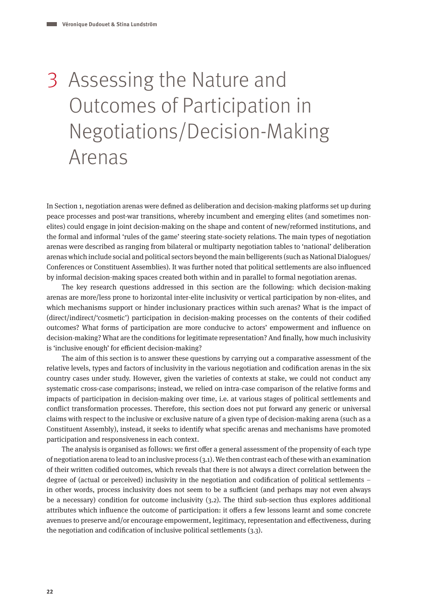## 3 Assessing the Nature and Outcomes of Participation in Negotiations/Decision-Making Arenas

In Section 1, negotiation arenas were defined as deliberation and decision-making platforms set up during peace processes and post-war transitions, whereby incumbent and emerging elites (and sometimes nonelites) could engage in joint decision-making on the shape and content of new/reformed institutions, and the formal and informal 'rules of the game' steering state-society relations. The main types of negotiation arenas were described as ranging from bilateral or multiparty negotiation tables to 'national' deliberation arenas which include social and political sectors beyond the main belligerents (such as National Dialogues/ Conferences or Constituent Assemblies). It was further noted that political settlements are also influenced by informal decision-making spaces created both within and in parallel to formal negotiation arenas.

The key research questions addressed in this section are the following: which decision-making arenas are more/less prone to horizontal inter-elite inclusivity or vertical participation by non-elites, and which mechanisms support or hinder inclusionary practices within such arenas? What is the impact of (direct/indirect/'cosmetic') participation in decision-making processes on the contents of their codified outcomes? What forms of participation are more conducive to actors' empowerment and influence on decision-making? What are the conditions for legitimate representation? And finally, how much inclusivity is 'inclusive enough' for efficient decision-making?

The aim of this section is to answer these questions by carrying out a comparative assessment of the relative levels, types and factors of inclusivity in the various negotiation and codification arenas in the six country cases under study. However, given the varieties of contexts at stake, we could not conduct any systematic cross-case comparisons; instead, we relied on intra-case comparison of the relative forms and impacts of participation in decision-making over time, i.e. at various stages of political settlements and conflict transformation processes. Therefore, this section does not put forward any generic or universal claims with respect to the inclusive or exclusive nature of a given type of decision-making arena (such as a Constituent Assembly), instead, it seeks to identify what specific arenas and mechanisms have promoted participation and responsiveness in each context.

The analysis is organised as follows: we first offer a general assessment of the propensity of each type of negotiation arena to lead to an inclusive process (3.1). We then contrast each of these with an examination of their written codified outcomes, which reveals that there is not always a direct correlation between the degree of (actual or perceived) inclusivity in the negotiation and codification of political settlements – in other words, process inclusivity does not seem to be a sufficient (and perhaps may not even always be a necessary) condition for outcome inclusivity (3.2). The third sub-section thus explores additional attributes which influence the outcome of participation: it offers a few lessons learnt and some concrete avenues to preserve and/or encourage empowerment, legitimacy, representation and effectiveness, during the negotiation and codification of inclusive political settlements (3.3).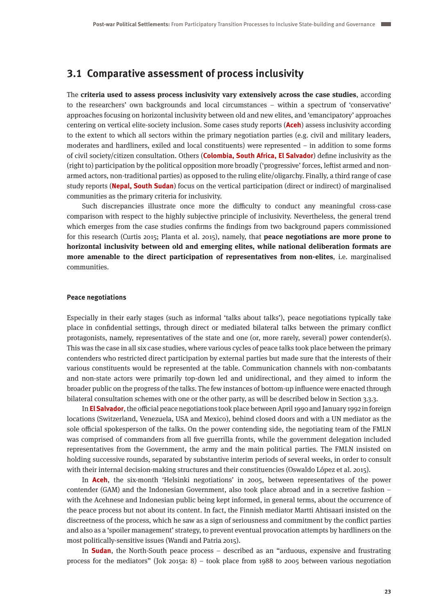## **3.1 Comparative assessment of process inclusivity**

The **criteria used to assess process inclusivity vary extensively across the case studies**, according to the researchers' own backgrounds and local circumstances – within a spectrum of 'conservative' approaches focusing on horizontal inclusivity between old and new elites, and 'emancipatory' approaches centering on vertical elite-society inclusion. Some cases study reports (**Aceh**) assess inclusivity according to the extent to which all sectors within the primary negotiation parties (e.g. civil and military leaders, moderates and hardliners, exiled and local constituents) were represented – in addition to some forms of civil society/citizen consultation. Others (**Colombia, South Africa, El Salvador**) define inclusivity as the (right to) participation by the political opposition more broadly ('progressive' forces, leftist armed and nonarmed actors, non-traditional parties) as opposed to the ruling elite/oligarchy. Finally, a third range of case study reports (**Nepal, South Sudan**) focus on the vertical participation (direct or indirect) of marginalised communities as the primary criteria for inclusivity.

Such discrepancies illustrate once more the difficulty to conduct any meaningful cross-case comparison with respect to the highly subjective principle of inclusivity. Nevertheless, the general trend which emerges from the case studies confirms the findings from two background papers commissioned for this research (Curtis 2015; Planta et al. 2015), namely, that **peace negotiations are more prone to horizontal inclusivity between old and emerging elites, while national deliberation formats are more amenable to the direct participation of representatives from non-elites**, i.e. marginalised communities.

#### **Peace negotiations**

Especially in their early stages (such as informal 'talks about talks'), peace negotiations typically take place in confidential settings, through direct or mediated bilateral talks between the primary conflict protagonists, namely, representatives of the state and one (or, more rarely, several) power contender(s). This was the case in all six case studies, where various cycles of peace talks took place between the primary contenders who restricted direct participation by external parties but made sure that the interests of their various constituents would be represented at the table. Communication channels with non-combatants and non-state actors were primarily top-down led and unidirectional, and they aimed to inform the broader public on the progress of the talks. The few instances of bottom-up influence were enacted through bilateral consultation schemes with one or the other party, as will be described below in Section 3.3.3.

In **El Salvador**,the official peace negotiations took place between April 1990 and January 1992 in foreign locations (Switzerland, Venezuela, USA and Mexico), behind closed doors and with a UN mediator as the sole official spokesperson of the talks. On the power contending side, the negotiating team of the FMLN was comprised of commanders from all five guerrilla fronts, while the government delegation included representatives from the Government, the army and the main political parties. The FMLN insisted on holding successive rounds, separated by substantive interim periods of several weeks, in order to consult with their internal decision-making structures and their constituencies (Oswaldo López et al. 2015).

In **Aceh**, the six-month 'Helsinki negotiations' in 2005, between representatives of the power contender (GAM) and the Indonesian Government, also took place abroad and in a secretive fashion – with the Acehnese and Indonesian public being kept informed, in general terms, about the occurrence of the peace process but not about its content. In fact, the Finnish mediator Martti Ahtisaari insisted on the discreetness of the process, which he saw as a sign of seriousness and commitment by the conflict parties and also as a 'spoiler management' strategy, to prevent eventual provocation attempts by hardliners on the most politically-sensitive issues (Wandi and Patria 2015).

In **Sudan**, the North-South peace process – described as an "arduous, expensive and frustrating process for the mediators" (Jok 2015a: 8) – took place from 1988 to 2005 between various negotiation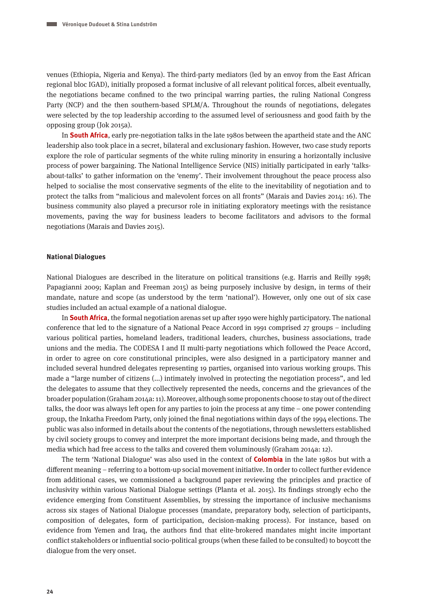venues (Ethiopia, Nigeria and Kenya). The third-party mediators (led by an envoy from the East African regional bloc IGAD), initially proposed a format inclusive of all relevant political forces, albeit eventually, the negotiations became confined to the two principal warring parties, the ruling National Congress Party (NCP) and the then southern-based SPLM/A. Throughout the rounds of negotiations, delegates were selected by the top leadership according to the assumed level of seriousness and good faith by the opposing group (Jok 2015a).

In **South Africa**, early pre-negotiation talks in the late 1980s between the apartheid state and the ANC leadership also took place in a secret, bilateral and exclusionary fashion. However, two case study reports explore the role of particular segments of the white ruling minority in ensuring a horizontally inclusive process of power bargaining. The National Intelligence Service (NIS) initially participated in early 'talksabout-talks' to gather information on the 'enemy'. Their involvement throughout the peace process also helped to socialise the most conservative segments of the elite to the inevitability of negotiation and to protect the talks from "malicious and malevolent forces on all fronts" (Marais and Davies 2014: 16). The business community also played a precursor role in initiating exploratory meetings with the resistance movements, paving the way for business leaders to become facilitators and advisors to the formal negotiations (Marais and Davies 2015).

#### **National Dialogues**

National Dialogues are described in the literature on political transitions (e.g. Harris and Reilly 1998; Papagianni 2009; Kaplan and Freeman 2015) as being purposely inclusive by design, in terms of their mandate, nature and scope (as understood by the term 'national'). However, only one out of six case studies included an actual example of a national dialogue.

In **South Africa**, the formal negotiation arenas set up after 1990 were highly participatory. The national conference that led to the signature of a National Peace Accord in 1991 comprised 27 groups – including various political parties, homeland leaders, traditional leaders, churches, business associations, trade unions and the media. The CODESA I and II multi-party negotiations which followed the Peace Accord, in order to agree on core constitutional principles, were also designed in a participatory manner and included several hundred delegates representing 19 parties, organised into various working groups. This made a "large number of citizens (...) intimately involved in protecting the negotiation process", and led the delegates to assume that they collectively represented the needs, concerns and the grievances of the broader population (Graham 2014a: 11). Moreover, although some proponents choose to stay out of the direct talks, the door was always left open for any parties to join the process at any time – one power contending group, the Inkatha Freedom Party, only joined the final negotiations within days of the 1994 elections. The public was also informed in details about the contents of the negotiations, through newsletters established by civil society groups to convey and interpret the more important decisions being made, and through the media which had free access to the talks and covered them voluminously (Graham 2014a: 12).

The term 'National Dialogue' was also used in the context of **Colombia** in the late 1980s but with a different meaning – referring to a bottom-up social movement initiative. In order to collect further evidence from additional cases, we commissioned a background paper reviewing the principles and practice of inclusivity within various National Dialogue settings (Planta et al. 2015). Its findings strongly echo the evidence emerging from Constituent Assemblies, by stressing the importance of inclusive mechanisms across six stages of National Dialogue processes (mandate, preparatory body, selection of participants, composition of delegates, form of participation, decision-making process). For instance, based on evidence from Yemen and Iraq, the authors find that elite-brokered mandates might incite important conflict stakeholders or influential socio-political groups (when these failed to be consulted) to boycott the dialogue from the very onset.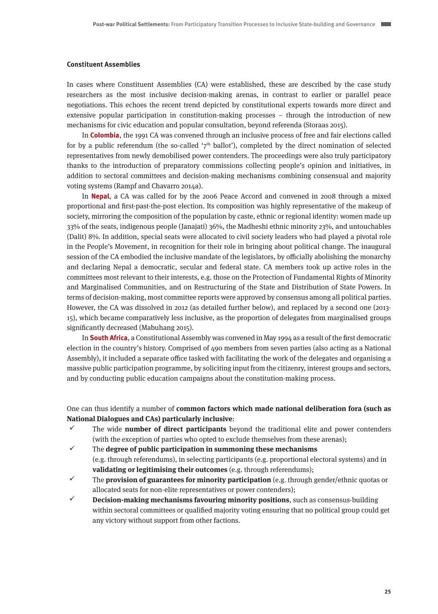#### **Constituent Assemblies**

In cases where Constituent Assemblies (CA) were established, these are described by the case study researchers as the most inclusive decision-making arenas, in contrast to earlier or parallel peace negotiations. This echoes the recent trend depicted by constitutional experts towards more direct and extensive popular participation in constitution-making processes – through the introduction of new mechanisms for civic education and popular consultation, beyond referenda (Storaas 2015).

In **Colombia**, the 1991 CA was convened through an inclusive process of free and fair elections called for by a public referendum (the so-called ' $7<sup>th</sup>$  ballot'), completed by the direct nomination of selected representatives from newly demobilised power contenders. The proceedings were also truly participatory thanks to the introduction of preparatory commissions collecting people's opinion and initiatives, in addition to sectoral committees and decision-making mechanisms combining consensual and majority voting systems (Rampf and Chavarro 2014a).

In **Nepal**, a CA was called for by the 2006 Peace Accord and convened in 2008 through a mixed proportional and first-past-the-post election. Its composition was highly representative of the makeup of society, mirroring the composition of the population by caste, ethnic or regional identity: women made up 33% of the seats, indigenous people (Janajati) 36%, the Madheshi ethnic minority 23%, and untouchables (Dalit) 8%. In addition, special seats were allocated to civil society leaders who had played a pivotal role in the People's Movement, in recognition for their role in bringing about political change. The inaugural session of the CA embodied the inclusive mandate of the legislators, by officially abolishing the monarchy and declaring Nepal a democratic, secular and federal state. CA members took up active roles in the committees most relevant to their interests, e.g. those on the Protection of Fundamental Rights of Minority and Marginalised Communities, and on Restructuring of the State and Distribution of State Powers. In terms of decision-making, most committee reports were approved by consensus among all political parties. However, the CA was dissolved in 2012 (as detailed further below), and replaced by a second one (2013- 15), which became comparatively less inclusive, as the proportion of delegates from marginalised groups significantly decreased (Mabuhang 2015).

In **South Africa**, a Constitutional Assembly was convened in May 1994 as a result of the first democratic election in the country's history. Comprised of 490 members from seven parties (also acting as a National Assembly), it included a separate office tasked with facilitating the work of the delegates and organising a massive public participation programme, by soliciting input from the citizenry, interest groups and sectors, and by conducting public education campaigns about the constitution-making process.

One can thus identify a number of **common factors which made national deliberation fora (such as National Dialogues and CAs) particularly inclusive**:

- $\checkmark$  The wide **number of direct participants** beyond the traditional elite and power contenders (with the exception of parties who opted to exclude themselves from these arenas);
- $\checkmark$  The **degree of public participation in summoning these mechanisms** (e.g. through referendums), in selecting participants (e.g. proportional electoral systems) and in **validating or legitimising their outcomes** (e.g. through referendums);
- The **provision of guarantees for minority participation** (e.g. through gender/ethnic quotas or allocated seats for non-elite representatives or power contenders);
- **Decision-making mechanisms favouring minority positions**, such as consensus-building within sectoral committees or qualified majority voting ensuring that no political group could get any victory without support from other factions.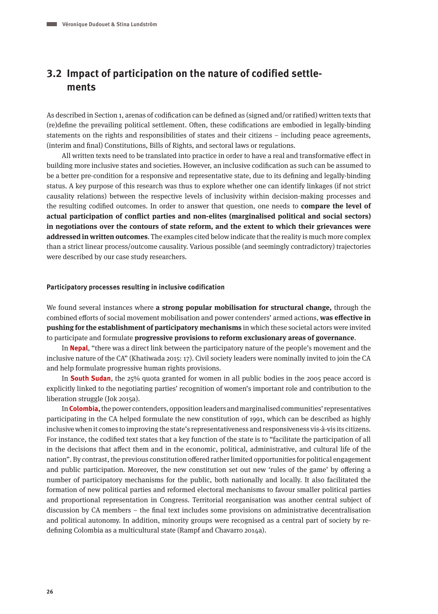## **3.2 Impact of participation on the nature of codified settlements**

As described in Section 1, arenas of codification can be defined as (signed and/or ratified) written texts that (re)define the prevailing political settlement. Often, these codifications are embodied in legally-binding statements on the rights and responsibilities of states and their citizens – including peace agreements, (interim and final) Constitutions, Bills of Rights, and sectoral laws or regulations.

All written texts need to be translated into practice in order to have a real and transformative effect in building more inclusive states and societies. However, an inclusive codification as such can be assumed to be a better pre-condition for a responsive and representative state, due to its defining and legally-binding status. A key purpose of this research was thus to explore whether one can identify linkages (if not strict causality relations) between the respective levels of inclusivity within decision-making processes and the resulting codified outcomes. In order to answer that question, one needs to **compare the level of actual participation of conflict parties and non-elites (marginalised political and social sectors) in negotiations over the contours of state reform, and the extent to which their grievances were addressed in written outcomes**. The examples cited below indicate that the reality is much more complex than a strict linear process/outcome causality. Various possible (and seemingly contradictory) trajectories were described by our case study researchers.

#### **Participatory processes resulting in inclusive codification**

We found several instances where **a strong popular mobilisation for structural change,** through the combined efforts of social movement mobilisation and power contenders' armed actions, **was effective in pushing for the establishment of participatory mechanisms** in which these societal actors were invited to participate and formulate **progressive provisions to reform exclusionary areas of governance**.

In **Nepal**, "there was a direct link between the participatory nature of the people's movement and the inclusive nature of the CA" (Khatiwada 2015: 17). Civil society leaders were nominally invited to join the CA and help formulate progressive human rights provisions.

In **South Sudan**, the 25% quota granted for women in all public bodies in the 2005 peace accord is explicitly linked to the negotiating parties' recognition of women's important role and contribution to the liberation struggle (Jok 2015a).

In **Colombia,** the power contenders, opposition leaders and marginalised communities' representatives participating in the CA helped formulate the new constitution of 1991, which can be described as highly inclusive when it comes to improving the state's representativeness and responsiveness vis-à-vis its citizens. For instance, the codified text states that a key function of the state is to "facilitate the participation of all in the decisions that affect them and in the economic, political, administrative, and cultural life of the nation". By contrast, the previous constitution offered rather limited opportunities for political engagement and public participation. Moreover, the new constitution set out new 'rules of the game' by offering a number of participatory mechanisms for the public, both nationally and locally. It also facilitated the formation of new political parties and reformed electoral mechanisms to favour smaller political parties and proportional representation in Congress. Territorial reorganisation was another central subject of discussion by CA members – the final text includes some provisions on administrative decentralisation and political autonomy. In addition, minority groups were recognised as a central part of society by redefining Colombia as a multicultural state (Rampf and Chavarro 2014a).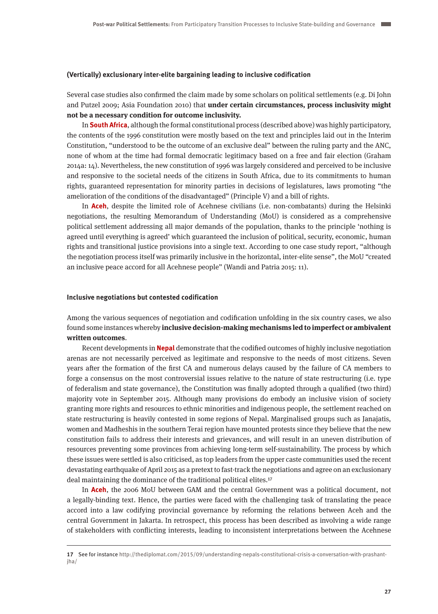#### **(Vertically) exclusionary inter-elite bargaining leading to inclusive codification**

Several case studies also confirmed the claim made by some scholars on political settlements (e.g. Di John and Putzel 2009; Asia Foundation 2010) that **under certain circumstances, process inclusivity might not be a necessary condition for outcome inclusivity.**

In **South Africa**, although the formal constitutional process (described above) was highly participatory, the contents of the 1996 constitution were mostly based on the text and principles laid out in the Interim Constitution, "understood to be the outcome of an exclusive deal" between the ruling party and the ANC, none of whom at the time had formal democratic legitimacy based on a free and fair election (Graham 2014a: 14). Nevertheless, the new constitution of 1996 was largely considered and perceived to be inclusive and responsive to the societal needs of the citizens in South Africa, due to its commitments to human rights, guaranteed representation for minority parties in decisions of legislatures, laws promoting "the amelioration of the conditions of the disadvantaged" (Principle V) and a bill of rights.

In **Aceh**, despite the limited role of Acehnese civilians (i.e. non-combatants) during the Helsinki negotiations, the resulting Memorandum of Understanding (MoU) is considered as a comprehensive political settlement addressing all major demands of the population, thanks to the principle 'nothing is agreed until everything is agreed' which guaranteed the inclusion of political, security, economic, human rights and transitional justice provisions into a single text. According to one case study report, "although the negotiation process itself was primarily inclusive in the horizontal, inter-elite sense", the MoU "created an inclusive peace accord for all Acehnese people" (Wandi and Patria 2015: 11).

#### **Inclusive negotiations but contested codification**

Among the various sequences of negotiation and codification unfolding in the six country cases, we also found some instances whereby **inclusive decision-making mechanisms led to imperfect or ambivalent written outcomes**.

Recent developments in **Nepal** demonstrate that the codified outcomes of highly inclusive negotiation arenas are not necessarily perceived as legitimate and responsive to the needs of most citizens. Seven years after the formation of the first CA and numerous delays caused by the failure of CA members to forge a consensus on the most controversial issues relative to the nature of state restructuring (i.e. type of federalism and state governance), the Constitution was finally adopted through a qualified (two third) majority vote in September 2015. Although many provisions do embody an inclusive vision of society granting more rights and resources to ethnic minorities and indigenous people, the settlement reached on state restructuring is heavily contested in some regions of Nepal. Marginalised groups such as Janajatis, women and Madheshis in the southern Terai region have mounted protests since they believe that the new constitution fails to address their interests and grievances, and will result in an uneven distribution of resources preventing some provinces from achieving long-term self-sustainability. The process by which these issues were settled is also criticised, as top leaders from the upper caste communities used the recent devastating earthquake of April 2015 as a pretext to fast-track the negotiations and agree on an exclusionary deal maintaining the dominance of the traditional political elites.17

In **Aceh**, the 2006 MoU between GAM and the central Government was a political document, not a legally-binding text. Hence, the parties were faced with the challenging task of translating the peace accord into a law codifying provincial governance by reforming the relations between Aceh and the central Government in Jakarta. In retrospect, this process has been described as involving a wide range of stakeholders with conflicting interests, leading to inconsistent interpretations between the Acehnese

**<sup>17</sup>** See for instance [http://thediplomat.com/2015/09/understanding-nepals-constitutional-crisis-a-conversation-with-prashant](http://thediplomat.com/2015/09/understanding-nepals-constitutional-crisis-a-conversation-with-prashant-jha/)iha/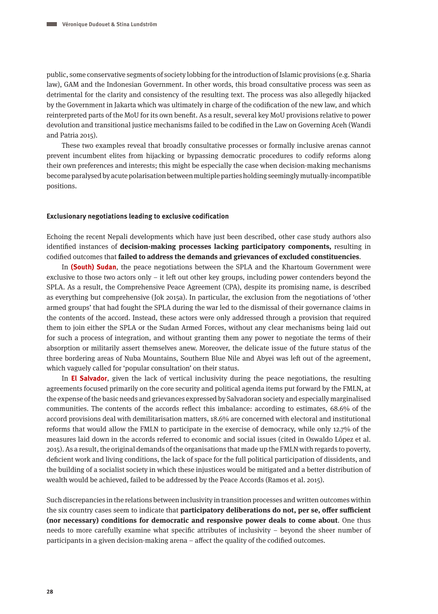public, some conservative segments of society lobbing for the introduction of Islamic provisions (e.g. Sharia law), GAM and the Indonesian Government. In other words, this broad consultative process was seen as detrimental for the clarity and consistency of the resulting text. The process was also allegedly hijacked by the Government in Jakarta which was ultimately in charge of the codification of the new law, and which reinterpreted parts of the MoU for its own benefit. As a result, several key MoU provisions relative to power devolution and transitional justice mechanisms failed to be codified in the Law on Governing Aceh (Wandi and Patria 2015).

These two examples reveal that broadly consultative processes or formally inclusive arenas cannot prevent incumbent elites from hijacking or bypassing democratic procedures to codify reforms along their own preferences and interests; this might be especially the case when decision-making mechanisms become paralysed by acute polarisation between multiple parties holding seemingly mutually-incompatible positions.

#### **Exclusionary negotiations leading to exclusive codification**

Echoing the recent Nepali developments which have just been described, other case study authors also identified instances of **decision-making processes lacking participatory components,** resulting in codified outcomes that **failed to address the demands and grievances of excluded constituencies**.

In **(South) Sudan**, the peace negotiations between the SPLA and the Khartoum Government were exclusive to those two actors only – it left out other key groups, including power contenders beyond the SPLA. As a result, the Comprehensive Peace Agreement (CPA), despite its promising name, is described as everything but comprehensive (Jok 2015a). In particular, the exclusion from the negotiations of 'other armed groups' that had fought the SPLA during the war led to the dismissal of their governance claims in the contents of the accord. Instead, these actors were only addressed through a provision that required them to join either the SPLA or the Sudan Armed Forces, without any clear mechanisms being laid out for such a process of integration, and without granting them any power to negotiate the terms of their absorption or militarily assert themselves anew. Moreover, the delicate issue of the future status of the three bordering areas of Nuba Mountains, Southern Blue Nile and Abyei was left out of the agreement, which vaguely called for 'popular consultation' on their status.

In **El Salvador**, given the lack of vertical inclusivity during the peace negotiations, the resulting agreements focused primarily on the core security and political agenda items put forward by the FMLN, at the expense of the basic needs and grievances expressed by Salvadoran society and especially marginalised communities. The contents of the accords reflect this imbalance: according to estimates, 68.6% of the accord provisions deal with demilitarisation matters, 18.6% are concerned with electoral and institutional reforms that would allow the FMLN to participate in the exercise of democracy, while only 12.7% of the measures laid down in the accords referred to economic and social issues (cited in Oswaldo López et al. 2015). As a result, the original demands of the organisations that made up the FMLN with regards to poverty, deficient work and living conditions, the lack of space for the full political participation of dissidents, and the building of a socialist society in which these injustices would be mitigated and a better distribution of wealth would be achieved, failed to be addressed by the Peace Accords (Ramos et al. 2015).

Such discrepancies in the relations between inclusivity in transition processes and written outcomes within the six country cases seem to indicate that **participatory deliberations do not, per se, offer sufficient (nor necessary) conditions for democratic and responsive power deals to come about**. One thus needs to more carefully examine what specific attributes of inclusivity – beyond the sheer number of participants in a given decision-making arena – affect the quality of the codified outcomes.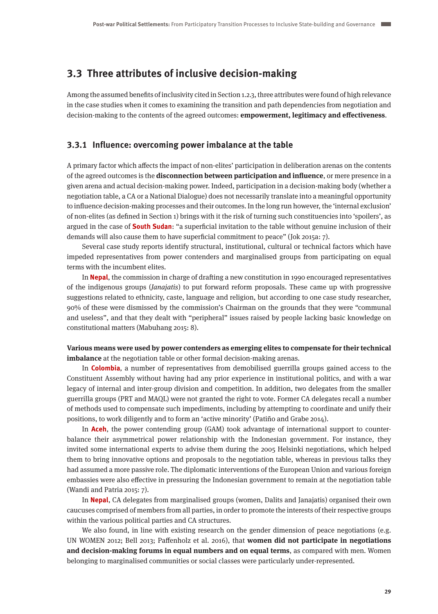## **3.3 Three attributes of inclusive decision-making**

Among the assumed benefits of inclusivity cited in Section 1.2.3, three attributes were found of high relevance in the case studies when it comes to examining the transition and path dependencies from negotiation and decision-making to the contents of the agreed outcomes: **empowerment, legitimacy and effectiveness**.

#### **3.3.1 Influence: overcoming power imbalance at the table**

A primary factor which affects the impact of non-elites' participation in deliberation arenas on the contents of the agreed outcomes is the **disconnection between participation and influence**, or mere presence in a given arena and actual decision-making power. Indeed, participation in a decision-making body (whether a negotiation table, a CA or a National Dialogue) does not necessarily translate into a meaningful opportunity to influence decision-making processes and their outcomes. In the long run however, the 'internal exclusion' of non-elites (as defined in Section 1) brings with it the risk of turning such constituencies into 'spoilers', as argued in the case of **South Sudan**: "a superficial invitation to the table without genuine inclusion of their demands will also cause them to have superficial commitment to peace" (Jok 2015a: 7).

Several case study reports identify structural, institutional, cultural or technical factors which have impeded representatives from power contenders and marginalised groups from participating on equal terms with the incumbent elites.

In **Nepal**, the commission in charge of drafting a new constitution in 1990 encouraged representatives of the indigenous groups (Janajatis) to put forward reform proposals. These came up with progressive suggestions related to ethnicity, caste, language and religion, but according to one case study researcher, 90% of these were dismissed by the commission's Chairman on the grounds that they were "communal and useless", and that they dealt with "peripheral" issues raised by people lacking basic knowledge on constitutional matters (Mabuhang 2015: 8).

#### **Various means were used by power contenders as emerging elites to compensate for their technical imbalance** at the negotiation table or other formal decision-making arenas.

In **Colombia**, a number of representatives from demobilised guerrilla groups gained access to the Constituent Assembly without having had any prior experience in institutional politics, and with a war legacy of internal and inter-group division and competition. In addition, two delegates from the smaller guerrilla groups (PRT and MAQL) were not granted the right to vote. Former CA delegates recall a number of methods used to compensate such impediments, including by attempting to coordinate and unify their positions, to work diligently and to form an 'active minority' (Patiño and Grabe 2014).

In **Aceh**, the power contending group (GAM) took advantage of international support to counterbalance their asymmetrical power relationship with the Indonesian government. For instance, they invited some international experts to advise them during the 2005 Helsinki negotiations, which helped them to bring innovative options and proposals to the negotiation table, whereas in previous talks they had assumed a more passive role. The diplomatic interventions of the European Union and various foreign embassies were also effective in pressuring the Indonesian government to remain at the negotiation table (Wandi and Patria 2015: 7).

In **Nepal**, CA delegates from marginalised groups (women, Dalits and Janajatis) organised their own caucuses comprised of members from all parties, in order to promote the interests of their respective groups within the various political parties and CA structures.

We also found, in line with existing research on the gender dimension of peace negotiations (e.g. UN WOMEN 2012; Bell 2013; Paffenholz et al. 2016), that **women did not participate in negotiations and decision-making forums in equal numbers and on equal terms**, as compared with men. Women belonging to marginalised communities or social classes were particularly under-represented.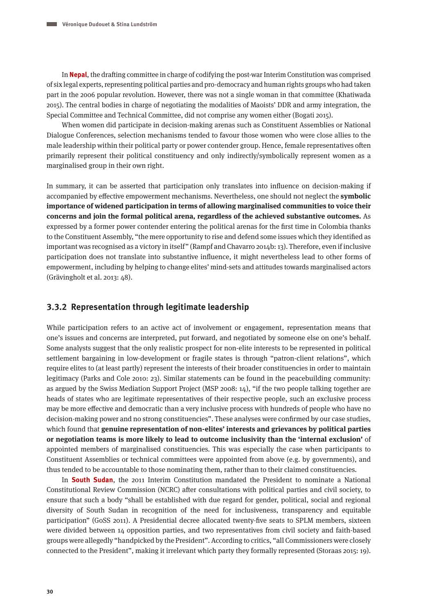In **Nepal**, the drafting committee in charge of codifying the post-war Interim Constitution was comprised of six legal experts, representing political parties and pro-democracy and human rights groups who had taken part in the 2006 popular revolution. However, there was not a single woman in that committee (Khatiwada 2015). The central bodies in charge of negotiating the modalities of Maoists' DDR and army integration, the Special Committee and Technical Committee, did not comprise any women either (Bogati 2015).

When women did participate in decision-making arenas such as Constituent Assemblies or National Dialogue Conferences, selection mechanisms tended to favour those women who were close allies to the male leadership within their political party or power contender group. Hence, female representatives often primarily represent their political constituency and only indirectly/symbolically represent women as a marginalised group in their own right.

In summary, it can be asserted that participation only translates into influence on decision-making if accompanied by effective empowerment mechanisms. Nevertheless, one should not neglect the **symbolic importance of widened participation in terms of allowing marginalised communities to voice their concerns and join the formal political arena, regardless of the achieved substantive outcomes.** As expressed by a former power contender entering the political arenas for the first time in Colombia thanks to the Constituent Assembly, "the mere opportunity to rise and defend some issues which they identified as important was recognised as a victory in itself" (Rampf and Chavarro 2014b: 13). Therefore, even if inclusive participation does not translate into substantive influence, it might nevertheless lead to other forms of empowerment, including by helping to change elites' mind-sets and attitudes towards marginalised actors (Grävingholt et al. 2013: 48).

#### **3.3.2 Representation through legitimate leadership**

While participation refers to an active act of involvement or engagement, representation means that one's issues and concerns are interpreted, put forward, and negotiated by someone else on one's behalf. Some analysts suggest that the only realistic prospect for non-elite interests to be represented in political settlement bargaining in low-development or fragile states is through "patron-client relations", which require elites to (at least partly) represent the interests of their broader constituencies in order to maintain legitimacy (Parks and Cole 2010: 23). Similar statements can be found in the peacebuilding community: as argued by the Swiss Mediation Support Project (MSP 2008: 14), "if the two people talking together are heads of states who are legitimate representatives of their respective people, such an exclusive process may be more effective and democratic than a very inclusive process with hundreds of people who have no decision-making power and no strong constituencies". These analyses were confirmed by our case studies, which found that **genuine representation of non-elites' interests and grievances by political parties or negotiation teams is more likely to lead to outcome inclusivity than the 'internal exclusion'** of appointed members of marginalised constituencies. This was especially the case when participants to Constituent Assemblies or technical committees were appointed from above (e.g. by governments), and thus tended to be accountable to those nominating them, rather than to their claimed constituencies.

In **South Sudan**, the 2011 Interim Constitution mandated the President to nominate a National Constitutional Review Commission (NCRC) after consultations with political parties and civil society, to ensure that such a body "shall be established with due regard for gender, political, social and regional diversity of South Sudan in recognition of the need for inclusiveness, transparency and equitable participation" (GoSS 2011). A Presidential decree allocated twenty-five seats to SPLM members, sixteen were divided between 14 opposition parties, and two representatives from civil society and faith-based groups were allegedly "handpicked by the President". According to critics, "all Commissioners were closely connected to the President", making it irrelevant which party they formally represented (Storaas 2015: 19).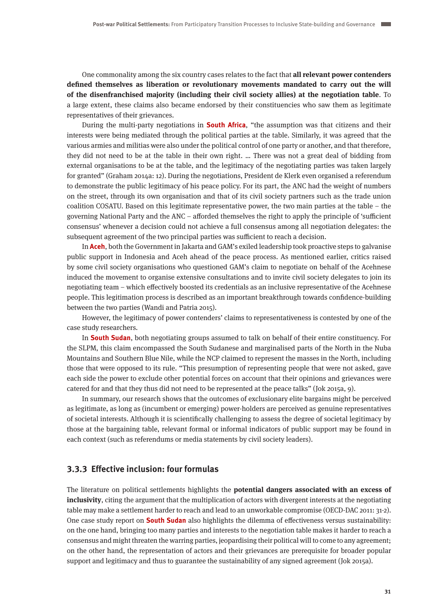One commonality among the six country cases relates to the fact that **all relevant power contenders defined themselves as liberation or revolutionary movements mandated to carry out the will of the disenfranchised majority (including their civil society allies) at the negotiation table**. To a large extent, these claims also became endorsed by their constituencies who saw them as legitimate representatives of their grievances.

During the multi-party negotiations in **South Africa**, "the assumption was that citizens and their interests were being mediated through the political parties at the table. Similarly, it was agreed that the various armies and militias were also under the political control of one party or another, and that therefore, they did not need to be at the table in their own right. … There was not a great deal of bidding from external organisations to be at the table, and the legitimacy of the negotiating parties was taken largely for granted" (Graham 2014a: 12). During the negotiations, President de Klerk even organised a referendum to demonstrate the public legitimacy of his peace policy. For its part, the ANC had the weight of numbers on the street, through its own organisation and that of its civil society partners such as the trade union coalition COSATU. Based on this legitimate representative power, the two main parties at the table – the governing National Party and the ANC – afforded themselves the right to apply the principle of 'sufficient consensus' whenever a decision could not achieve a full consensus among all negotiation delegates: the subsequent agreement of the two principal parties was sufficient to reach a decision.

In **Aceh**, both the Government in Jakarta and GAM's exiled leadership took proactive steps to galvanise public support in Indonesia and Aceh ahead of the peace process. As mentioned earlier, critics raised by some civil society organisations who questioned GAM's claim to negotiate on behalf of the Acehnese induced the movement to organise extensive consultations and to invite civil society delegates to join its negotiating team – which effectively boosted its credentials as an inclusive representative of the Acehnese people. This legitimation process is described as an important breakthrough towards confidence-building between the two parties (Wandi and Patria 2015).

However, the legitimacy of power contenders' claims to representativeness is contested by one of the case study researchers.

In **South Sudan**, both negotiating groups assumed to talk on behalf of their entire constituency. For the SLPM, this claim encompassed the South Sudanese and marginalised parts of the North in the Nuba Mountains and Southern Blue Nile, while the NCP claimed to represent the masses in the North, including those that were opposed to its rule. "This presumption of representing people that were not asked, gave each side the power to exclude other potential forces on account that their opinions and grievances were catered for and that they thus did not need to be represented at the peace talks" (Jok 2015a, 9).

In summary, our research shows that the outcomes of exclusionary elite bargains might be perceived as legitimate, as long as (incumbent or emerging) power-holders are perceived as genuine representatives of societal interests. Although it is scientifically challenging to assess the degree of societal legitimacy by those at the bargaining table, relevant formal or informal indicators of public support may be found in each context (such as referendums or media statements by civil society leaders).

#### **3.3.3 Effective inclusion: four formulas**

The literature on political settlements highlights the **potential dangers associated with an excess of inclusivity**, citing the argument that the multiplication of actors with divergent interests at the negotiating table may make a settlement harder to reach and lead to an unworkable compromise (OECD-DAC 2011: 31-2). One case study report on **South Sudan** also highlights the dilemma of effectiveness versus sustainability: on the one hand, bringing too many parties and interests to the negotiation table makes it harder to reach a consensus and might threaten the warring parties, jeopardising their political will to come to any agreement; on the other hand, the representation of actors and their grievances are prerequisite for broader popular support and legitimacy and thus to guarantee the sustainability of any signed agreement (Jok 2015a).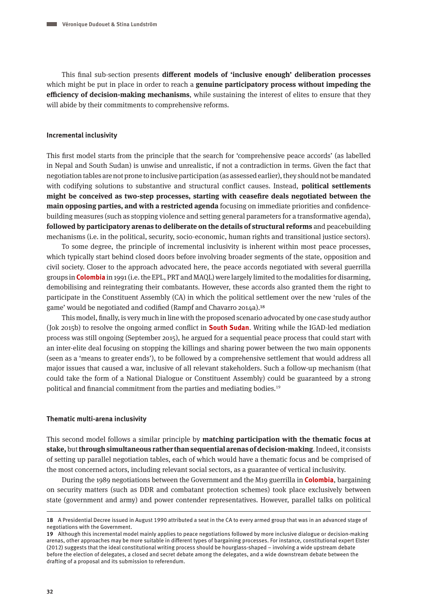This final sub-section presents **different models of 'inclusive enough' deliberation processes**  which might be put in place in order to reach a **genuine participatory process without impeding the efficiency of decision-making mechanisms**, while sustaining the interest of elites to ensure that they will abide by their commitments to comprehensive reforms.

#### **Incremental inclusivity**

This first model starts from the principle that the search for 'comprehensive peace accords' (as labelled in Nepal and South Sudan) is unwise and unrealistic, if not a contradiction in terms. Given the fact that negotiation tables are not prone to inclusive participation (as assessed earlier), they should not be mandated with codifying solutions to substantive and structural conflict causes. Instead, **political settlements might be conceived as two-step processes, starting with ceasefire deals negotiated between the main opposing parties, and with a restricted agenda** focusing on immediate priorities and confidencebuilding measures (such as stopping violence and setting general parameters for a transformative agenda), **followed by participatory arenas to deliberate on the details of structural reforms** and peacebuilding mechanisms (i.e. in the political, security, socio-economic, human rights and transitional justice sectors).

To some degree, the principle of incremental inclusivity is inherent within most peace processes, which typically start behind closed doors before involving broader segments of the state, opposition and civil society. Closer to the approach advocated here, the peace accords negotiated with several guerrilla groups in **Colombia** in 1991 (i.e. the EPL, PRT and MAQL) were largely limited to the modalities for disarming, demobilising and reintegrating their combatants. However, these accords also granted them the right to participate in the Constituent Assembly (CA) in which the political settlement over the new 'rules of the game' would be negotiated and codified (Rampf and Chavarro 2014a).18

This model, finally, is very much in line with the proposed scenario advocated by one case study author (Jok 2015b) to resolve the ongoing armed conflict in **South Sudan**. Writing while the IGAD-led mediation process was still ongoing (September 2015), he argued for a sequential peace process that could start with an inter-elite deal focusing on stopping the killings and sharing power between the two main opponents (seen as a 'means to greater ends'), to be followed by a comprehensive settlement that would address all major issues that caused a war, inclusive of all relevant stakeholders. Such a follow-up mechanism (that could take the form of a National Dialogue or Constituent Assembly) could be guaranteed by a strong political and financial commitment from the parties and mediating bodies.<sup>19</sup>

#### **Thematic multi-arena inclusivity**

This second model follows a similar principle by **matching participation with the thematic focus at stake,** but **through simultaneous rather than sequential arenas of decision-making**. Indeed, it consists of setting up parallel negotiation tables, each of which would have a thematic focus and be comprised of the most concerned actors, including relevant social sectors, as a guarantee of vertical inclusivity.

During the 1989 negotiations between the Government and the M19 guerrilla in **Colombia**, bargaining on security matters (such as DDR and combatant protection schemes) took place exclusively between state (government and army) and power contender representatives. However, parallel talks on political

**<sup>18</sup>** A Presidential Decree issued in August 1990 attributed a seat in the CA to every armed group that was in an advanced stage of negotiations with the Government.

**<sup>19</sup>** Although this incremental model mainly applies to peace negotiations followed by more inclusive dialogue or decision-making arenas, other approaches may be more suitable in different types of bargaining processes. For instance, constitutional expert Elster (2012) suggests that the ideal constitutional writing process should be hourglass-shaped – involving a wide upstream debate before the election of delegates, a closed and secret debate among the delegates, and a wide downstream debate between the drafting of a proposal and its submission to referendum.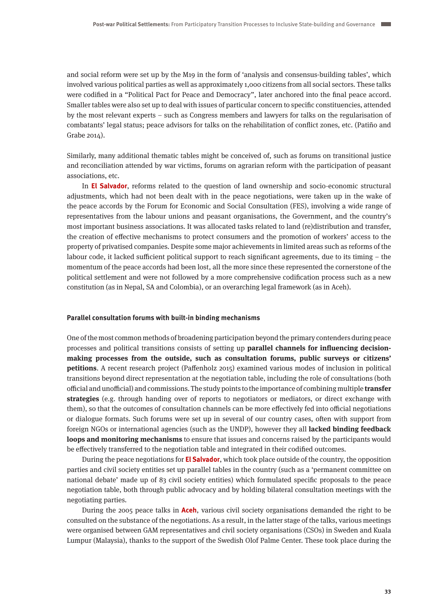and social reform were set up by the M19 in the form of 'analysis and consensus-building tables', which involved various political parties as well as approximately 1,000 citizens from all social sectors. These talks were codified in a "Political Pact for Peace and Democracy", later anchored into the final peace accord. Smaller tables were also set up to deal with issues of particular concern to specific constituencies, attended by the most relevant experts – such as Congress members and lawyers for talks on the regularisation of combatants' legal status; peace advisors for talks on the rehabilitation of conflict zones, etc. (Patiño and Grabe 2014).

Similarly, many additional thematic tables might be conceived of, such as forums on transitional justice and reconciliation attended by war victims, forums on agrarian reform with the participation of peasant associations, etc.

In **El Salvador**, reforms related to the question of land ownership and socio-economic structural adjustments, which had not been dealt with in the peace negotiations, were taken up in the wake of the peace accords by the Forum for Economic and Social Consultation (FES), involving a wide range of representatives from the labour unions and peasant organisations, the Government, and the country's most important business associations. It was allocated tasks related to land (re)distribution and transfer, the creation of effective mechanisms to protect consumers and the promotion of workers' access to the property of privatised companies. Despite some major achievements in limited areas such as reforms of the labour code, it lacked sufficient political support to reach significant agreements, due to its timing – the momentum of the peace accords had been lost, all the more since these represented the cornerstone of the political settlement and were not followed by a more comprehensive codification process such as a new constitution (as in Nepal, SA and Colombia), or an overarching legal framework (as in Aceh).

#### **Parallel consultation forums with built-in binding mechanisms**

One of the most common methods of broadening participation beyond the primary contenders during peace processes and political transitions consists of setting up **parallel channels for influencing decisionmaking processes from the outside, such as consultation forums, public surveys or citizens' petitions**. A recent research project (Paffenholz 2015) examined various modes of inclusion in political transitions beyond direct representation at the negotiation table, including the role of consultations (both official and unofficial) and commissions. The study points to the importance of combining multiple **transfer strategies** (e.g. through handing over of reports to negotiators or mediators, or direct exchange with them), so that the outcomes of consultation channels can be more effectively fed into official negotiations or dialogue formats. Such forums were set up in several of our country cases, often with support from foreign NGOs or international agencies (such as the UNDP), however they all **lacked binding feedback loops and monitoring mechanisms** to ensure that issues and concerns raised by the participants would be effectively transferred to the negotiation table and integrated in their codified outcomes.

During the peace negotiations for **El Salvador**, which took place outside of the country, the opposition parties and civil society entities set up parallel tables in the country (such as a 'permanent committee on national debate' made up of 83 civil society entities) which formulated specific proposals to the peace negotiation table, both through public advocacy and by holding bilateral consultation meetings with the negotiating parties.

During the 2005 peace talks in **Aceh**, various civil society organisations demanded the right to be consulted on the substance of the negotiations. As a result, in the latter stage of the talks, various meetings were organised between GAM representatives and civil society organisations (CSOs) in Sweden and Kuala Lumpur (Malaysia), thanks to the support of the Swedish Olof Palme Center. These took place during the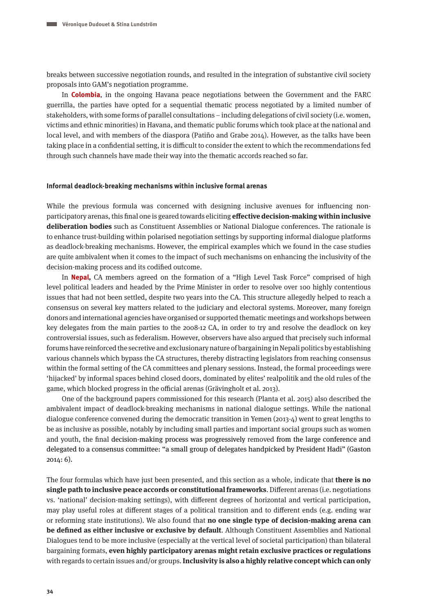breaks between successive negotiation rounds, and resulted in the integration of substantive civil society proposals into GAM's negotiation programme.

In **Colombia**, in the ongoing Havana peace negotiations between the Government and the FARC guerrilla, the parties have opted for a sequential thematic process negotiated by a limited number of stakeholders, with some forms of parallel consultations – including delegations of civil society (i.e. women, victims and ethnic minorities) in Havana, and thematic public forums which took place at the national and local level, and with members of the diaspora (Patiño and Grabe 2014). However, as the talks have been taking place in a confidential setting, it is difficult to consider the extent to which the recommendations fed through such channels have made their way into the thematic accords reached so far.

#### **Informal deadlock-breaking mechanisms within inclusive formal arenas**

While the previous formula was concerned with designing inclusive avenues for influencing nonparticipatory arenas, this final one is geared towards eliciting **effective decision-making within inclusive deliberation bodies** such as Constituent Assemblies or National Dialogue conferences. The rationale is to enhance trust-building within polarised negotiation settings by supporting informal dialogue platforms as deadlock-breaking mechanisms. However, the empirical examples which we found in the case studies are quite ambivalent when it comes to the impact of such mechanisms on enhancing the inclusivity of the decision-making process and its codified outcome.

In **Nepal,** CA members agreed on the formation of a "High Level Task Force" comprised of high level political leaders and headed by the Prime Minister in order to resolve over 100 highly contentious issues that had not been settled, despite two years into the CA. This structure allegedly helped to reach a consensus on several key matters related to the judiciary and electoral systems. Moreover, many foreign donors and international agencies have organised or supported thematic meetings and workshops between key delegates from the main parties to the 2008-12 CA, in order to try and resolve the deadlock on key controversial issues, such as federalism. However, observers have also argued that precisely such informal forums have reinforced the secretive and exclusionary nature of bargaining in Nepali politics by establishing various channels which bypass the CA structures, thereby distracting legislators from reaching consensus within the formal setting of the CA committees and plenary sessions. Instead, the formal proceedings were 'hijacked' by informal spaces behind closed doors, dominated by elites' realpolitik and the old rules of the game, which blocked progress in the official arenas (Grävingholt et al. 2013).

One of the background papers commissioned for this research (Planta et al. 2015) also described the ambivalent impact of deadlock-breaking mechanisms in national dialogue settings. While the national dialogue conference convened during the democratic transition in Yemen (2013-4) went to great lengths to be as inclusive as possible, notably by including small parties and important social groups such as women and youth, the final decision-making process was progressively removed from the large conference and delegated to a consensus committee: "a small group of delegates handpicked by President Hadi" (Gaston 2014: 6).

The four formulas which have just been presented, and this section as a whole, indicate that **there is no single path to inclusive peace accords or constitutional frameworks**. Different arenas (i.e. negotiations vs. 'national' decision-making settings), with different degrees of horizontal and vertical participation, may play useful roles at different stages of a political transition and to different ends (e.g. ending war or reforming state institutions). We also found that **no one single type of decision-making arena can be defined as either inclusive or exclusive by default**. Although Constituent Assemblies and National Dialogues tend to be more inclusive (especially at the vertical level of societal participation) than bilateral bargaining formats, **even highly participatory arenas might retain exclusive practices or regulations** with regards to certain issues and/or groups. **Inclusivity is also a highly relative concept which can only**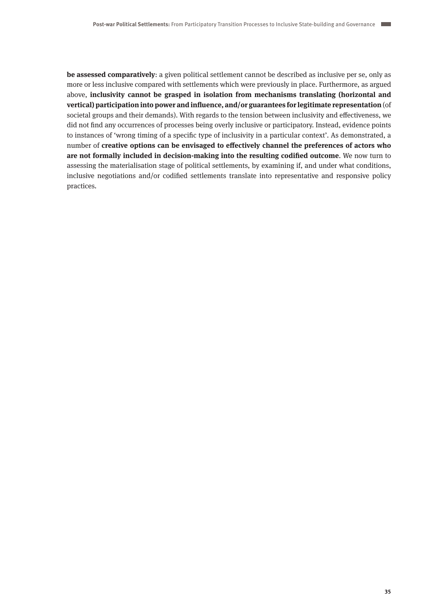**be assessed comparatively**: a given political settlement cannot be described as inclusive per se, only as more or less inclusive compared with settlements which were previously in place. Furthermore, as argued above, **inclusivity cannot be grasped in isolation from mechanisms translating (horizontal and vertical) participation into power and influence, and/or guarantees for legitimate representation** (of societal groups and their demands). With regards to the tension between inclusivity and effectiveness, we did not find any occurrences of processes being overly inclusive or participatory. Instead, evidence points to instances of 'wrong timing of a specific type of inclusivity in a particular context'. As demonstrated, a number of **creative options can be envisaged to effectively channel the preferences of actors who are not formally included in decision-making into the resulting codified outcome**. We now turn to assessing the materialisation stage of political settlements, by examining if, and under what conditions, inclusive negotiations and/or codified settlements translate into representative and responsive policy practices.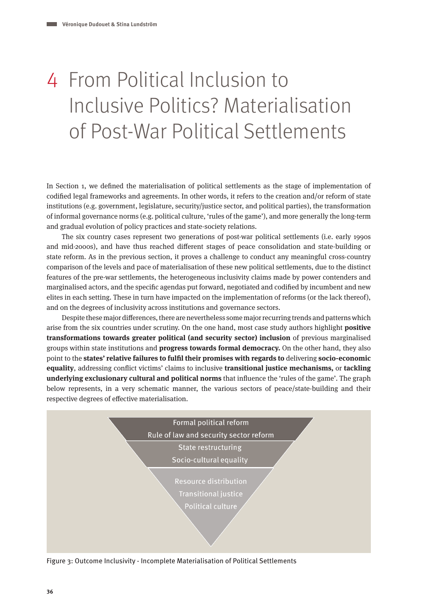# 4 From Political Inclusion to Inclusive Politics? Materialisation of Post-War Political Settlements

In Section 1, we defined the materialisation of political settlements as the stage of implementation of codified legal frameworks and agreements. In other words, it refers to the creation and/or reform of state institutions (e.g. government, legislature, security/justice sector, and political parties), the transformation of informal governance norms (e.g. political culture, 'rules of the game'), and more generally the long-term and gradual evolution of policy practices and state-society relations.

The six country cases represent two generations of post-war political settlements (i.e. early 1990s and mid-2000s), and have thus reached different stages of peace consolidation and state-building or state reform. As in the previous section, it proves a challenge to conduct any meaningful cross-country comparison of the levels and pace of materialisation of these new political settlements, due to the distinct features of the pre-war settlements, the heterogeneous inclusivity claims made by power contenders and marginalised actors, and the specific agendas put forward, negotiated and codified by incumbent and new elites in each setting. These in turn have impacted on the implementation of reforms (or the lack thereof), and on the degrees of inclusivity across institutions and governance sectors.

Despite these major differences, there are nevertheless some major recurring trends and patterns which arise from the six countries under scrutiny. On the one hand, most case study authors highlight **positive transformations towards greater political (and security sector) inclusion** of previous marginalised groups within state institutions and **progress towards formal democracy.** On the other hand, they also point to the **states' relative failures to fulfil their promises with regards to** delivering **socio-economic equality**, addressing conflict victims' claims to inclusive **transitional justice mechanisms,** or **tackling underlying exclusionary cultural and political norms** that influence the 'rules of the game'. The graph below represents, in a very schematic manner, the various sectors of peace/state-building and their respective degrees of effective materialisation.



Figure 3: Outcome Inclusivity - Incomplete Materialisation of Political Settlements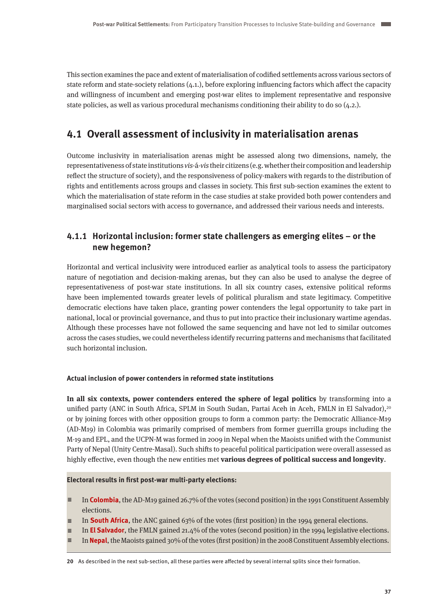This section examines the pace and extent of materialisation of codified settlements across various sectors of state reform and state-society relations (4.1.), before exploring influencing factors which affect the capacity and willingness of incumbent and emerging post-war elites to implement representative and responsive state policies, as well as various procedural mechanisms conditioning their ability to do so (4.2.).

# **4.1 Overall assessment of inclusivity in materialisation arenas**

Outcome inclusivity in materialisation arenas might be assessed along two dimensions, namely, the representativeness of state institutions vis-á-vis their citizens (e.g. whether their composition and leadership reflect the structure of society), and the responsiveness of policy-makers with regards to the distribution of rights and entitlements across groups and classes in society. This first sub-section examines the extent to which the materialisation of state reform in the case studies at stake provided both power contenders and marginalised social sectors with access to governance, and addressed their various needs and interests.

## **4.1.1 Horizontal inclusion: former state challengers as emerging elites – or the new hegemon?**

Horizontal and vertical inclusivity were introduced earlier as analytical tools to assess the participatory nature of negotiation and decision-making arenas, but they can also be used to analyse the degree of representativeness of post-war state institutions. In all six country cases, extensive political reforms have been implemented towards greater levels of political pluralism and state legitimacy. Competitive democratic elections have taken place, granting power contenders the legal opportunity to take part in national, local or provincial governance, and thus to put into practice their inclusionary wartime agendas. Although these processes have not followed the same sequencing and have not led to similar outcomes across the cases studies, we could nevertheless identify recurring patterns and mechanisms that facilitated such horizontal inclusion.

## **Actual inclusion of power contenders in reformed state institutions**

**In all six contexts, power contenders entered the sphere of legal politics** by transforming into a unified party (ANC in South Africa, SPLM in South Sudan, Partai Aceh in Aceh, FMLN in El Salvador),<sup>20</sup> or by joining forces with other opposition groups to form a common party: the Democratic Alliance-M19 (AD-M19) in Colombia was primarily comprised of members from former guerrilla groups including the M-19 and EPL, and the UCPN-M was formed in 2009 in Nepal when the Maoists unified with the Communist Party of Nepal (Unity Centre-Masal). Such shifts to peaceful political participation were overall assessed as highly effective, even though the new entities met **various degrees of political success and longevity**.

## **Electoral results in first post-war multi-party elections:**

- $\equiv$  In **Colombia**, the AD-M19 gained 26.7% of the votes (second position) in the 1991 Constituent Assembly elections.
- $\equiv$  In **South Africa**, the ANC gained 63% of the votes (first position) in the 1994 general elections.
- $\equiv$  In **El Salvador**, the FMLN gained 21.4% of the votes (second position) in the 1994 legislative elections.
- In **Nepal**, the Maoists gained 30% of the votes (first position) in the 2008 Constituent Assembly elections.

**20** As described in the next sub-section, all these parties were affected by several internal splits since their formation.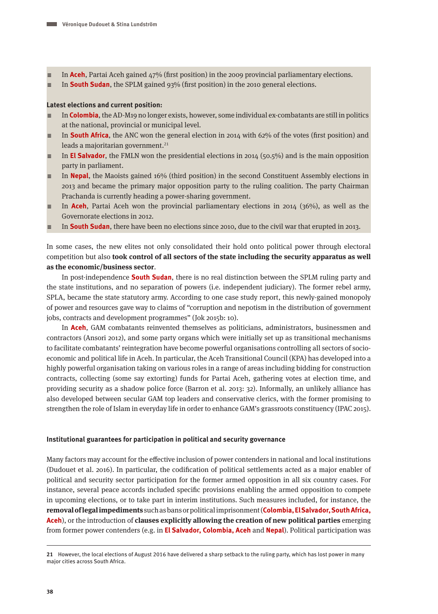- A In **Aceh**, Partai Aceh gained 47% (first position) in the 2009 provincial parliamentary elections.
- $\equiv$  In **South Sudan**, the SPLM gained 93% (first position) in the 2010 general elections.

## **Latest elections and current position:**

- A In **Colombia**, the AD-M19 no longer exists, however, some individual ex-combatants are still in politics at the national, provincial or municipal level.
- A In **South Africa**, the ANC won the general election in 2014 with 62% of the votes (first position) and leads a majoritarian government. $21$
- A In **El Salvador**, the FMLN won the presidential elections in 2014 (50.5%) and is the main opposition party in parliament.
- A In **Nepal**, the Maoists gained 16% (third position) in the second Constituent Assembly elections in 2013 and became the primary major opposition party to the ruling coalition. The party Chairman Prachanda is currently heading a power-sharing government.
- A In **Aceh**, Partai Aceh won the provincial parliamentary elections in 2014 (36%), as well as the Governorate elections in 2012.
- A In **South Sudan**, there have been no elections since 2010, due to the civil war that erupted in 2013.

In some cases, the new elites not only consolidated their hold onto political power through electoral competition but also **took control of all sectors of the state including the security apparatus as well as the economic/business sector**.

In post-independence **South Sudan**, there is no real distinction between the SPLM ruling party and the state institutions, and no separation of powers (i.e. independent judiciary). The former rebel army, SPLA, became the state statutory army. According to one case study report, this newly-gained monopoly of power and resources gave way to claims of "corruption and nepotism in the distribution of government jobs, contracts and development programmes" (Jok 2015b: 10).

In **Aceh**, GAM combatants reinvented themselves as politicians, administrators, businessmen and contractors (Ansori 2012), and some party organs which were initially set up as transitional mechanisms to facilitate combatants' reintegration have become powerful organisations controlling all sectors of socioeconomic and political life in Aceh. In particular, the Aceh Transitional Council (KPA) has developed into a highly powerful organisation taking on various roles in a range of areas including bidding for construction contracts, collecting (some say extorting) funds for Partai Aceh, gathering votes at election time, and providing security as a shadow police force (Barron et al. 2013: 32). Informally, an unlikely alliance has also developed between secular GAM top leaders and conservative clerics, with the former promising to strengthen the role of Islam in everyday life in order to enhance GAM's grassroots constituency (IPAC 2015).

## **Institutional guarantees for participation in political and security governance**

Many factors may account for the effective inclusion of power contenders in national and local institutions (Dudouet et al. 2016). In particular, the codification of political settlements acted as a major enabler of political and security sector participation for the former armed opposition in all six country cases. For instance, several peace accords included specific provisions enabling the armed opposition to compete in upcoming elections, or to take part in interim institutions. Such measures included, for instance, the **removal of legal impediments** such as bans or political imprisonment (**Colombia, El Salvador, South Africa, Aceh**), or the introduction of **clauses explicitly allowing the creation of new political parties** emerging from former power contenders (e.g. in **El Salvador, Colombia, Aceh** and **Nepal**). Political participation was

**<sup>21</sup>** However, the local elections of August 2016 have delivered a sharp setback to the ruling party, which has lost power in many major cities across South Africa.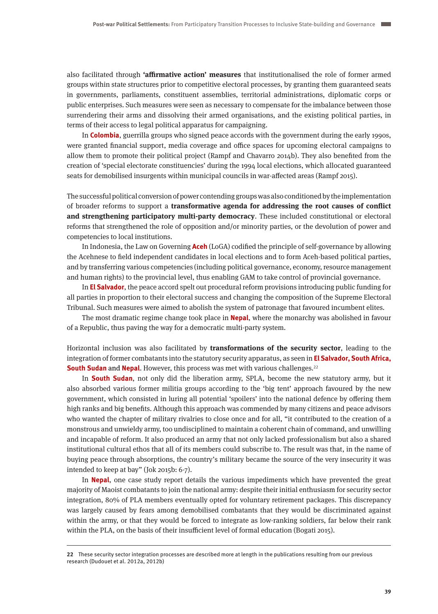also facilitated through **'affirmative action' measures** that institutionalised the role of former armed groups within state structures prior to competitive electoral processes, by granting them guaranteed seats in governments, parliaments, constituent assemblies, territorial administrations, diplomatic corps or public enterprises. Such measures were seen as necessary to compensate for the imbalance between those surrendering their arms and dissolving their armed organisations, and the existing political parties, in terms of their access to legal political apparatus for campaigning.

In **Colombia**, guerrilla groups who signed peace accords with the government during the early 1990s, were granted financial support, media coverage and office spaces for upcoming electoral campaigns to allow them to promote their political project (Rampf and Chavarro 2014b). They also benefited from the creation of 'special electorate constituencies' during the 1994 local elections, which allocated guaranteed seats for demobilised insurgents within municipal councils in war-affected areas (Rampf 2015).

The successful political conversion of power contending groups was also conditioned by the implementation of broader reforms to support a **transformative agenda for addressing the root causes of conflict and strengthening participatory multi-party democracy**. These included constitutional or electoral reforms that strengthened the role of opposition and/or minority parties, or the devolution of power and competencies to local institutions.

In Indonesia, the Law on Governing **Aceh** (LoGA) codified the principle of self-governance by allowing the Acehnese to field independent candidates in local elections and to form Aceh-based political parties, and by transferring various competencies (including political governance, economy, resource management and human rights) to the provincial level, thus enabling GAM to take control of provincial governance.

In **El Salvador**, the peace accord spelt out procedural reform provisions introducing public funding for all parties in proportion to their electoral success and changing the composition of the Supreme Electoral Tribunal. Such measures were aimed to abolish the system of patronage that favoured incumbent elites.

The most dramatic regime change took place in **Nepal**, where the monarchy was abolished in favour of a Republic, thus paving the way for a democratic multi-party system.

Horizontal inclusion was also facilitated by **transformations of the security sector**, leading to the integration of former combatants into the statutory security apparatus, as seen in **El Salvador, South Africa, South Sudan** and **Nepal**. However, this process was met with various challenges.<sup>22</sup>

In **South Sudan**, not only did the liberation army, SPLA, become the new statutory army, but it also absorbed various former militia groups according to the 'big tent' approach favoured by the new government, which consisted in luring all potential 'spoilers' into the national defence by offering them high ranks and big benefits. Although this approach was commended by many citizens and peace advisors who wanted the chapter of military rivalries to close once and for all, "it contributed to the creation of a monstrous and unwieldy army, too undisciplined to maintain a coherent chain of command, and unwilling and incapable of reform. It also produced an army that not only lacked professionalism but also a shared institutional cultural ethos that all of its members could subscribe to. The result was that, in the name of buying peace through absorptions, the country's military became the source of the very insecurity it was intended to keep at bay" (Jok 2015b: 6-7).

In **Nepal**, one case study report details the various impediments which have prevented the great majority of Maoist combatants to join the national army: despite their initial enthusiasm for security sector integration, 80% of PLA members eventually opted for voluntary retirement packages. This discrepancy was largely caused by fears among demobilised combatants that they would be discriminated against within the army, or that they would be forced to integrate as low-ranking soldiers, far below their rank within the PLA, on the basis of their insufficient level of formal education (Bogati 2015).

**<sup>22</sup>** These security sector integration processes are described more at length in the publications resulting from our previous research (Dudouet et al. 2012a, 2012b)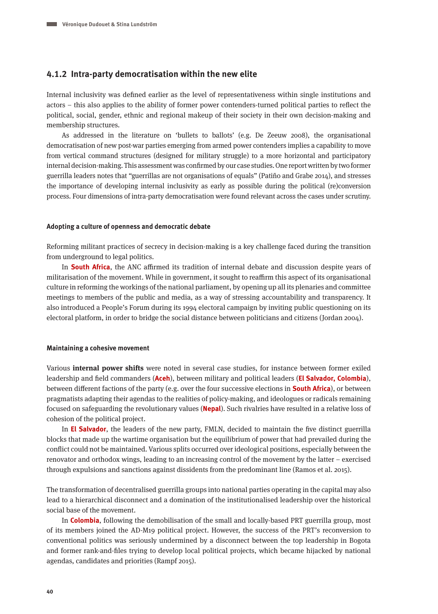## **4.1.2 Intra-party democratisation within the new elite**

Internal inclusivity was defined earlier as the level of representativeness within single institutions and actors – this also applies to the ability of former power contenders-turned political parties to reflect the political, social, gender, ethnic and regional makeup of their society in their own decision-making and membership structures.

As addressed in the literature on 'bullets to ballots' (e.g. De Zeeuw 2008), the organisational democratisation of new post-war parties emerging from armed power contenders implies a capability to move from vertical command structures (designed for military struggle) to a more horizontal and participatory internal decision-making. This assessment was confirmed by our case studies. One report written by two former guerrilla leaders notes that "guerrillas are not organisations of equals" (Patiño and Grabe 2014), and stresses the importance of developing internal inclusivity as early as possible during the political (re)conversion process. Four dimensions of intra-party democratisation were found relevant across the cases under scrutiny.

#### **Adopting a culture of openness and democratic debate**

Reforming militant practices of secrecy in decision-making is a key challenge faced during the transition from underground to legal politics.

In **South Africa**, the ANC affirmed its tradition of internal debate and discussion despite years of militarisation of the movement. While in government, it sought to reaffirm this aspect of its organisational culture in reforming the workings of the national parliament, by opening up all its plenaries and committee meetings to members of the public and media, as a way of stressing accountability and transparency. It also introduced a People's Forum during its 1994 electoral campaign by inviting public questioning on its electoral platform, in order to bridge the social distance between politicians and citizens (Jordan 2004).

## **Maintaining a cohesive movement**

Various **internal power shifts** were noted in several case studies, for instance between former exiled leadership and field commanders (**Aceh**), between military and political leaders (**El Salvador, Colombia**), between different factions of the party (e.g. over the four successive elections in **South Africa**), or between pragmatists adapting their agendas to the realities of policy-making, and ideologues or radicals remaining focused on safeguarding the revolutionary values (**Nepal**). Such rivalries have resulted in a relative loss of cohesion of the political project.

In **El Salvador**, the leaders of the new party, FMLN, decided to maintain the five distinct guerrilla blocks that made up the wartime organisation but the equilibrium of power that had prevailed during the conflict could not be maintained. Various splits occurred over ideological positions, especially between the renovator and orthodox wings, leading to an increasing control of the movement by the latter – exercised through expulsions and sanctions against dissidents from the predominant line (Ramos et al. 2015).

The transformation of decentralised guerrilla groups into national parties operating in the capital may also lead to a hierarchical disconnect and a domination of the institutionalised leadership over the historical social base of the movement.

In **Colombia**, following the demobilisation of the small and locally-based PRT guerrilla group, most of its members joined the AD-M19 political project. However, the success of the PRT's reconversion to conventional politics was seriously undermined by a disconnect between the top leadership in Bogota and former rank-and-files trying to develop local political projects, which became hijacked by national agendas, candidates and priorities (Rampf 2015).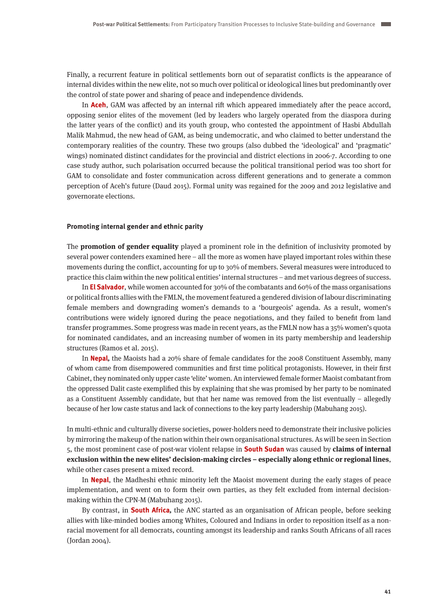Finally, a recurrent feature in political settlements born out of separatist conflicts is the appearance of internal divides within the new elite, not so much over political or ideological lines but predominantly over the control of state power and sharing of peace and independence dividends.

In **Aceh**, GAM was affected by an internal rift which appeared immediately after the peace accord, opposing senior elites of the movement (led by leaders who largely operated from the diaspora during the latter years of the conflict) and its youth group, who contested the appointment of Hasbi Abdullah Malik Mahmud, the new head of GAM, as being undemocratic, and who claimed to better understand the contemporary realities of the country. These two groups (also dubbed the 'ideological' and 'pragmatic' wings) nominated distinct candidates for the provincial and district elections in 2006-7. According to one case study author, such polarisation occurred because the political transitional period was too short for GAM to consolidate and foster communication across different generations and to generate a common perception of Aceh's future (Daud 2015). Formal unity was regained for the 2009 and 2012 legislative and governorate elections.

#### **Promoting internal gender and ethnic parity**

The **promotion of gender equality** played a prominent role in the definition of inclusivity promoted by several power contenders examined here – all the more as women have played important roles within these movements during the conflict, accounting for up to 30% of members. Several measures were introduced to practice this claim within the new political entities' internal structures – and met various degrees of success.

In **El Salvador**, while women accounted for 30% of the combatants and 60% of the mass organisations or political fronts allies with the FMLN, the movement featured a gendered division of labour discriminating female members and downgrading women's demands to a 'bourgeois' agenda. As a result, women's contributions were widely ignored during the peace negotiations, and they failed to benefit from land transfer programmes. Some progress was made in recent years, as the FMLN now has a 35% women's quota for nominated candidates, and an increasing number of women in its party membership and leadership structures (Ramos et al. 2015).

In **Nepal,** the Maoists had a 20% share of female candidates for the 2008 Constituent Assembly, many of whom came from disempowered communities and first time political protagonists. However, in their first Cabinet, they nominated only upper caste 'elite' women. An interviewed female former Maoist combatant from the oppressed Dalit caste exemplified this by explaining that she was promised by her party to be nominated as a Constituent Assembly candidate, but that her name was removed from the list eventually – allegedly because of her low caste status and lack of connections to the key party leadership (Mabuhang 2015).

In multi-ethnic and culturally diverse societies, power-holders need to demonstrate their inclusive policies by mirroring the makeup of the nation within their own organisational structures. As will be seen in Section 5, the most prominent case of post-war violent relapse in **South Sudan** was caused by **claims of internal exclusion within the new elites' decision-making circles – especially along ethnic or regional lines**, while other cases present a mixed record.

In **Nepal**, the Madheshi ethnic minority left the Maoist movement during the early stages of peace implementation, and went on to form their own parties, as they felt excluded from internal decisionmaking within the CPN-M (Mabuhang 2015).

By contrast, in **South Africa,** the ANC started as an organisation of African people, before seeking allies with like-minded bodies among Whites, Coloured and Indians in order to reposition itself as a nonracial movement for all democrats, counting amongst its leadership and ranks South Africans of all races (Jordan 2004).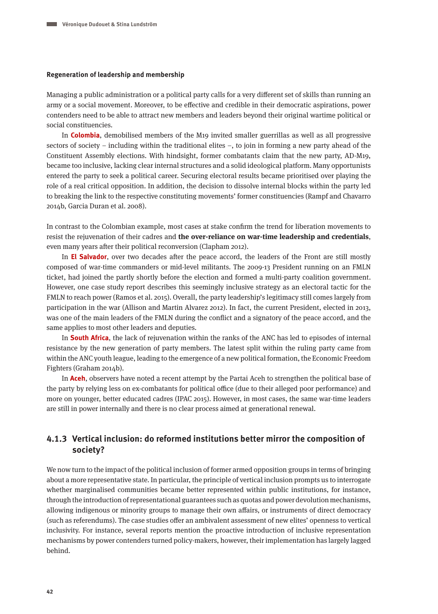#### **Regeneration of leadership and membership**

Managing a public administration or a political party calls for a very different set of skills than running an army or a social movement. Moreover, to be effective and credible in their democratic aspirations, power contenders need to be able to attract new members and leaders beyond their original wartime political or social constituencies.

In **Colombia**, demobilised members of the M19 invited smaller guerrillas as well as all progressive sectors of society – including within the traditional elites –, to join in forming a new party ahead of the Constituent Assembly elections. With hindsight, former combatants claim that the new party, AD-M19, became too inclusive, lacking clear internal structures and a solid ideological platform. Many opportunists entered the party to seek a political career. Securing electoral results became prioritised over playing the role of a real critical opposition. In addition, the decision to dissolve internal blocks within the party led to breaking the link to the respective constituting movements' former constituencies (Rampf and Chavarro 2014b, Garcia Duran et al. 2008).

In contrast to the Colombian example, most cases at stake confirm the trend for liberation movements to resist the rejuvenation of their cadres and **the over-reliance on war-time leadership and credentials**, even many years after their political reconversion (Clapham 2012).

In **El Salvador**, over two decades after the peace accord, the leaders of the Front are still mostly composed of war-time commanders or mid-level militants. The 2009-13 President running on an FMLN ticket, had joined the partly shortly before the election and formed a multi-party coalition government. However, one case study report describes this seemingly inclusive strategy as an electoral tactic for the FMLN to reach power (Ramos et al. 2015). Overall, the party leadership's legitimacy still comes largely from participation in the war (Allison and Martin Alvarez 2012). In fact, the current President, elected in 2013, was one of the main leaders of the FMLN during the conflict and a signatory of the peace accord, and the same applies to most other leaders and deputies.

In **South Africa**, the lack of rejuvenation within the ranks of the ANC has led to episodes of internal resistance by the new generation of party members. The latest split within the ruling party came from within the ANC youth league, leading to the emergence of a new political formation, the Economic Freedom Fighters (Graham 2014b).

In **Aceh**, observers have noted a recent attempt by the Partai Aceh to strengthen the political base of the party by relying less on ex-combatants for political office (due to their alleged poor performance) and more on younger, better educated cadres (IPAC 2015). However, in most cases, the same war-time leaders are still in power internally and there is no clear process aimed at generational renewal.

## **4.1.3 Vertical inclusion: do reformed institutions better mirror the composition of society?**

We now turn to the impact of the political inclusion of former armed opposition groups in terms of bringing about a more representative state. In particular, the principle of vertical inclusion prompts us to interrogate whether marginalised communities became better represented within public institutions, for instance, through the introduction of representational guarantees such as quotas and power devolution mechanisms, allowing indigenous or minority groups to manage their own affairs, or instruments of direct democracy (such as referendums). The case studies offer an ambivalent assessment of new elites' openness to vertical inclusivity. For instance, several reports mention the proactive introduction of inclusive representation mechanisms by power contenders turned policy-makers, however, their implementation has largely lagged behind.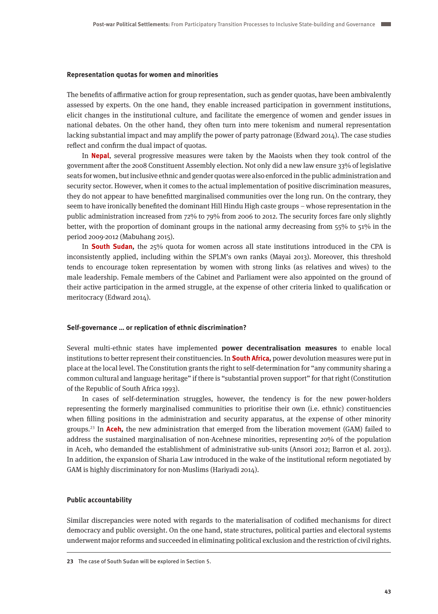#### **Representation quotas for women and minorities**

The benefits of affirmative action for group representation, such as gender quotas, have been ambivalently assessed by experts. On the one hand, they enable increased participation in government institutions, elicit changes in the institutional culture, and facilitate the emergence of women and gender issues in national debates. On the other hand, they often turn into mere tokenism and numeral representation lacking substantial impact and may amplify the power of party patronage (Edward 2014). The case studies reflect and confirm the dual impact of quotas.

In **Nepal**, several progressive measures were taken by the Maoists when they took control of the government after the 2008 Constituent Assembly election. Not only did a new law ensure 33% of legislative seats for women, but inclusive ethnic and gender quotas were also enforced in the public administration and security sector. However, when it comes to the actual implementation of positive discrimination measures, they do not appear to have benefitted marginalised communities over the long run. On the contrary, they seem to have ironically benefited the dominant Hill Hindu High caste groups – whose representation in the public administration increased from 72% to 79% from 2006 to 2012. The security forces fare only slightly better, with the proportion of dominant groups in the national army decreasing from 55% to 51% in the period 2009-2012 (Mabuhang 2015).

In **South Sudan,** the 25% quota for women across all state institutions introduced in the CPA is inconsistently applied, including within the SPLM's own ranks (Mayai 2013). Moreover, this threshold tends to encourage token representation by women with strong links (as relatives and wives) to the male leadership. Female members of the Cabinet and Parliament were also appointed on the ground of their active participation in the armed struggle, at the expense of other criteria linked to qualification or meritocracy (Edward 2014).

## **Self-governance … or replication of ethnic discrimination?**

Several multi-ethnic states have implemented **power decentralisation measures** to enable local institutions to better represent their constituencies. In **South Africa,** power devolution measures were put in place at the local level. The Constitution grants the right to self-determination for "any community sharing a common cultural and language heritage" if there is "substantial proven support" for that right (Constitution of the Republic of South Africa 1993).

In cases of self-determination struggles, however, the tendency is for the new power-holders representing the formerly marginalised communities to prioritise their own (i.e. ethnic) constituencies when filling positions in the administration and security apparatus, at the expense of other minority groups.23 In **Aceh,** the new administration that emerged from the liberation movement (GAM) failed to address the sustained marginalisation of non-Acehnese minorities, representing 20% of the population in Aceh, who demanded the establishment of administrative sub-units (Ansori 2012; Barron et al. 2013). In addition, the expansion of Sharia Law introduced in the wake of the institutional reform negotiated by GAM is highly discriminatory for non-Muslims (Hariyadi 2014).

## **Public accountability**

Similar discrepancies were noted with regards to the materialisation of codified mechanisms for direct democracy and public oversight. On the one hand, state structures, political parties and electoral systems underwent major reforms and succeeded in eliminating political exclusion and the restriction of civil rights.

**<sup>23</sup>** The case of South Sudan will be explored in Section 5.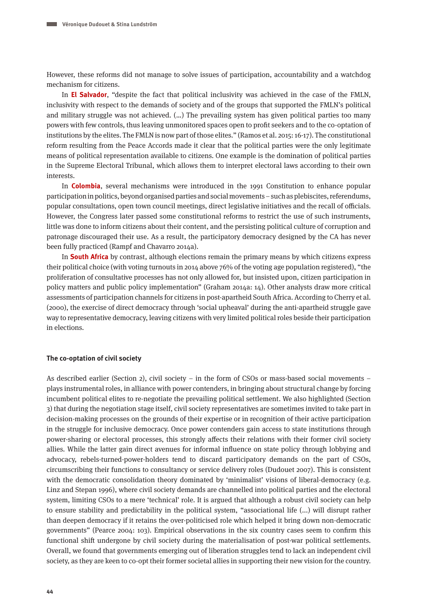However, these reforms did not manage to solve issues of participation, accountability and a watchdog mechanism for citizens.

In **El Salvador**, "despite the fact that political inclusivity was achieved in the case of the FMLN, inclusivity with respect to the demands of society and of the groups that supported the FMLN's political and military struggle was not achieved. (…) The prevailing system has given political parties too many powers with few controls, thus leaving unmonitored spaces open to profit seekers and to the co-optation of institutions by the elites. The FMLN is now part of those elites." (Ramos et al. 2015: 16-17). The constitutional reform resulting from the Peace Accords made it clear that the political parties were the only legitimate means of political representation available to citizens. One example is the domination of political parties in the Supreme Electoral Tribunal, which allows them to interpret electoral laws according to their own interests.

In **Colombia**, several mechanisms were introduced in the 1991 Constitution to enhance popular participation in politics, beyond organised parties and social movements – such as plebiscites, referendums, popular consultations, open town council meetings, direct legislative initiatives and the recall of officials. However, the Congress later passed some constitutional reforms to restrict the use of such instruments, little was done to inform citizens about their content, and the persisting political culture of corruption and patronage discouraged their use. As a result, the participatory democracy designed by the CA has never been fully practiced (Rampf and Chavarro 2014a).

In **South Africa** by contrast, although elections remain the primary means by which citizens express their political choice (with voting turnouts in 2014 above 76% of the voting age population registered), "the proliferation of consultative processes has not only allowed for, but insisted upon, citizen participation in policy matters and public policy implementation" (Graham 2014a: 14). Other analysts draw more critical assessments of participation channels for citizens in post-apartheid South Africa. According to Cherry et al. (2000), the exercise of direct democracy through 'social upheaval' during the anti-apartheid struggle gave way to representative democracy, leaving citizens with very limited political roles beside their participation in elections.

## **The co-optation of civil society**

As described earlier (Section 2), civil society – in the form of CSOs or mass-based social movements – plays instrumental roles, in alliance with power contenders, in bringing about structural change by forcing incumbent political elites to re-negotiate the prevailing political settlement. We also highlighted (Section 3) that during the negotiation stage itself, civil society representatives are sometimes invited to take part in decision-making processes on the grounds of their expertise or in recognition of their active participation in the struggle for inclusive democracy. Once power contenders gain access to state institutions through power-sharing or electoral processes, this strongly affects their relations with their former civil society allies. While the latter gain direct avenues for informal influence on state policy through lobbying and advocacy, rebels-turned-power-holders tend to discard participatory demands on the part of CSOs, circumscribing their functions to consultancy or service delivery roles (Dudouet 2007). This is consistent with the democratic consolidation theory dominated by 'minimalist' visions of liberal-democracy (e.g. Linz and Stepan 1996), where civil society demands are channelled into political parties and the electoral system, limiting CSOs to a mere 'technical' role. It is argued that although a robust civil society can help to ensure stability and predictability in the political system, "associational life (...) will disrupt rather than deepen democracy if it retains the over-politicised role which helped it bring down non-democratic governments" (Pearce 2004: 103). Empirical observations in the six country cases seem to confirm this functional shift undergone by civil society during the materialisation of post-war political settlements. Overall, we found that governments emerging out of liberation struggles tend to lack an independent civil society, as they are keen to co-opt their former societal allies in supporting their new vision for the country.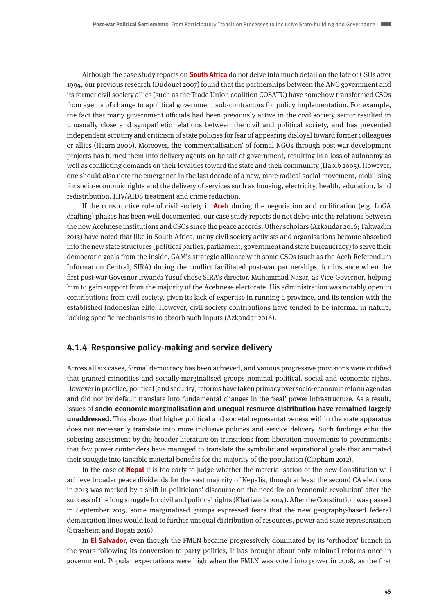Although the case study reports on **South Africa** do not delve into much detail on the fate of CSOs after 1994, our previous research (Dudouet 2007) found that the partnerships between the ANC government and its former civil society allies (such as the Trade Union coalition COSATU) have somehow transformed CSOs from agents of change to apolitical government sub-contractors for policy implementation. For example, the fact that many government officials had been previously active in the civil society sector resulted in unusually close and sympathetic relations between the civil and political society, and has prevented independent scrutiny and criticism of state policies for fear of appearing disloyal toward former colleagues or allies (Hearn 2000). Moreover, the 'commercialisation' of formal NGOs through post-war development projects has turned them into delivery agents on behalf of government, resulting in a loss of autonomy as well as conflicting demands on their loyalties toward the state and their community (Habib 2005). However, one should also note the emergence in the last decade of a new, more radical social movement, mobilising for socio-economic rights and the delivery of services such as housing, electricity, health, education, land redistribution, HIV/AIDS treatment and crime reduction.

If the constructive role of civil society in **Aceh** during the negotiation and codification (e.g. LoGA drafting) phases has been well documented, our case study reports do not delve into the relations between the new Acehnese institutions and CSOs since the peace accords. Other scholars (Azkandar 2016; Takwadin 2013) have noted that like in South Africa, many civil society activists and organisations became absorbed into the new state structures (political parties, parliament, government and state bureaucracy) to serve their democratic goals from the inside. GAM's strategic alliance with some CSOs (such as the Aceh Referendum Information Central, SIRA) during the conflict facilitated post-war partnerships, for instance when the first post-war Governor Irwandi Yusuf chose SIRA's director, Muhammad Nazar, as Vice-Governor, helping him to gain support from the majority of the Acehnese electorate. His administration was notably open to contributions from civil society, given its lack of expertise in running a province, and its tension with the established Indonesian elite. However, civil society contributions have tended to be informal in nature, lacking specific mechanisms to absorb such inputs (Azkandar 2016).

## **4.1.4 Responsive policy-making and service delivery**

Across all six cases, formal democracy has been achieved, and various progressive provisions were codified that granted minorities and socially-marginalised groups nominal political, social and economic rights. However in practice, political (and security) reforms have taken primacy over socio-economic reform agendas and did not by default translate into fundamental changes in the 'real' power infrastructure. As a result, issues of **socio-economic marginalisation and unequal resource distribution have remained largely unaddressed**. This shows that higher political and societal representativeness within the state apparatus does not necessarily translate into more inclusive policies and service delivery. Such findings echo the sobering assessment by the broader literature on transitions from liberation movements to governments: that few power contenders have managed to translate the symbolic and aspirational goals that animated their struggle into tangible material benefits for the majority of the population (Clapham 2012).

In the case of **Nepal** it is too early to judge whether the materialisation of the new Constitution will achieve broader peace dividends for the vast majority of Nepalis, though at least the second CA elections in 2013 was marked by a shift in politicians' discourse on the need for an 'economic revolution' after the success of the long struggle for civil and political rights (Khatiwada 2014). After the Constitution was passed in September 2015, some marginalised groups expressed fears that the new geography-based federal demarcation lines would lead to further unequal distribution of resources, power and state representation (Strasheim and Bogati 2016).

In **El Salvador**, even though the FMLN became progressively dominated by its 'orthodox' branch in the years following its conversion to party politics, it has brought about only minimal reforms once in government. Popular expectations were high when the FMLN was voted into power in 2008, as the first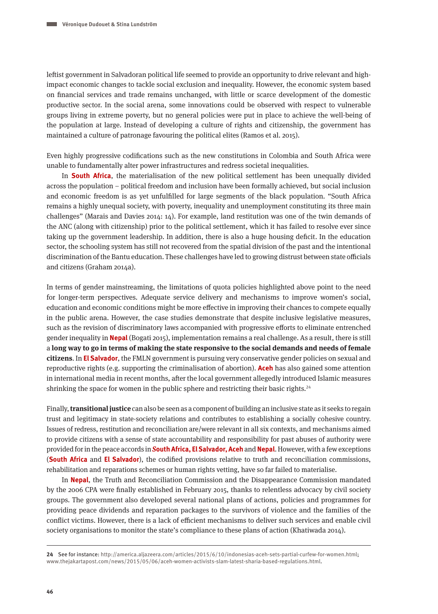leftist government in Salvadoran political life seemed to provide an opportunity to drive relevant and highimpact economic changes to tackle social exclusion and inequality. However, the economic system based on financial services and trade remains unchanged, with little or scarce development of the domestic productive sector. In the social arena, some innovations could be observed with respect to vulnerable groups living in extreme poverty, but no general policies were put in place to achieve the well-being of the population at large. Instead of developing a culture of rights and citizenship, the government has maintained a culture of patronage favouring the political elites (Ramos et al. 2015).

Even highly progressive codifications such as the new constitutions in Colombia and South Africa were unable to fundamentally alter power infrastructures and redress societal inequalities.

In **South Africa**, the materialisation of the new political settlement has been unequally divided across the population – political freedom and inclusion have been formally achieved, but social inclusion and economic freedom is as yet unfulfilled for large segments of the black population. "South Africa remains a highly unequal society, with poverty, inequality and unemployment constituting its three main challenges" (Marais and Davies 2014: 14). For example, land restitution was one of the twin demands of the ANC (along with citizenship) prior to the political settlement, which it has failed to resolve ever since taking up the government leadership. In addition, there is also a huge housing deficit. In the education sector, the schooling system has still not recovered from the spatial division of the past and the intentional discrimination of the Bantu education. These challenges have led to growing distrust between state officials and citizens (Graham 2014a).

In terms of gender mainstreaming, the limitations of quota policies highlighted above point to the need for longer-term perspectives. Adequate service delivery and mechanisms to improve women's social, education and economic conditions might be more effective in improving their chances to compete equally in the public arena. However, the case studies demonstrate that despite inclusive legislative measures, such as the revision of discriminatory laws accompanied with progressive efforts to eliminate entrenched gender inequality in **Nepal** (Bogati 2015), implementation remains a real challenge. As a result, there is still a **long way to go in terms of making the state responsive to the social demands and needs of female citizens**. In **El Salvador**, the FMLN government is pursuing very conservative gender policies on sexual and reproductive rights (e.g. supporting the criminalisation of abortion). **Aceh** has also gained some attention in international media in recent months, after the local government allegedly introduced Islamic measures shrinking the space for women in the public sphere and restricting their basic rights.<sup>24</sup>

Finally, **transitional justice** can also be seen as a component of building an inclusive state as it seeks to regain trust and legitimacy in state-society relations and contributes to establishing a socially cohesive country. Issues of redress, restitution and reconciliation are/were relevant in all six contexts, and mechanisms aimed to provide citizens with a sense of state accountability and responsibility for past abuses of authority were provided for in the peace accords in **South Africa, El Salvador, Aceh** and **Nepal**. However, with a few exceptions (**South Africa** and **El Salvador**), the codified provisions relative to truth and reconciliation commissions, rehabilitation and reparations schemes or human rights vetting, have so far failed to materialise.

In **Nepal**, the Truth and Reconciliation Commission and the Disappearance Commission mandated by the 2006 CPA were finally established in February 2015, thanks to relentless advocacy by civil society groups. The government also developed several national plans of actions, policies and programmes for providing peace dividends and reparation packages to the survivors of violence and the families of the conflict victims. However, there is a lack of efficient mechanisms to deliver such services and enable civil society organisations to monitor the state's compliance to these plans of action (Khatiwada 2014).

**<sup>24</sup>** See for instance: [http://america.aljazeera.com/articles/2015/6/10/indonesias-aceh-sets-partial-curfew-for-women.html;](http://america.aljazeera.com/articles/2015/6/10/indonesias-aceh-sets-partial-curfew-for-women.html) www.thejakartapost.com/news/2015/05/06/aceh-women-activists-slam-latest-sharia-based-regulations.html.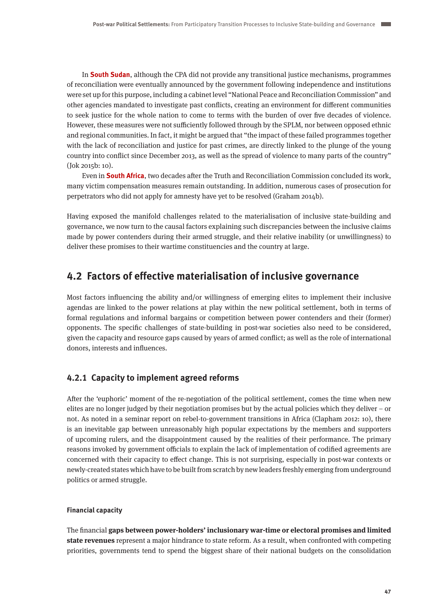In **South Sudan**, although the CPA did not provide any transitional justice mechanisms, programmes of reconciliation were eventually announced by the government following independence and institutions were set up for this purpose, including a cabinet level "National Peace and Reconciliation Commission" and other agencies mandated to investigate past conflicts, creating an environment for different communities to seek justice for the whole nation to come to terms with the burden of over five decades of violence. However, these measures were not sufficiently followed through by the SPLM, nor between opposed ethnic and regional communities. In fact, it might be argued that "the impact of these failed programmes together with the lack of reconciliation and justice for past crimes, are directly linked to the plunge of the young country into conflict since December 2013, as well as the spread of violence to many parts of the country" (Jok 2015b: 10).

Even in **South Africa**, two decades after the Truth and Reconciliation Commission concluded its work, many victim compensation measures remain outstanding. In addition, numerous cases of prosecution for perpetrators who did not apply for amnesty have yet to be resolved (Graham 2014b).

Having exposed the manifold challenges related to the materialisation of inclusive state-building and governance, we now turn to the causal factors explaining such discrepancies between the inclusive claims made by power contenders during their armed struggle, and their relative inability (or unwillingness) to deliver these promises to their wartime constituencies and the country at large.

# **4.2 Factors of effective materialisation of inclusive governance**

Most factors influencing the ability and/or willingness of emerging elites to implement their inclusive agendas are linked to the power relations at play within the new political settlement, both in terms of formal regulations and informal bargains or competition between power contenders and their (former) opponents. The specific challenges of state-building in post-war societies also need to be considered, given the capacity and resource gaps caused by years of armed conflict; as well as the role of international donors, interests and influences.

## **4.2.1 Capacity to implement agreed reforms**

After the 'euphoric' moment of the re-negotiation of the political settlement, comes the time when new elites are no longer judged by their negotiation promises but by the actual policies which they deliver – or not. As noted in a seminar report on rebel-to-government transitions in Africa (Clapham 2012: 10), there is an inevitable gap between unreasonably high popular expectations by the members and supporters of upcoming rulers, and the disappointment caused by the realities of their performance. The primary reasons invoked by government officials to explain the lack of implementation of codified agreements are concerned with their capacity to effect change. This is not surprising, especially in post-war contexts or newly-created states which have to be built from scratch by new leaders freshly emerging from underground politics or armed struggle.

## **Financial capacity**

The financial **gaps between power-holders' inclusionary war-time or electoral promises and limited state revenues** represent a major hindrance to state reform. As a result, when confronted with competing priorities, governments tend to spend the biggest share of their national budgets on the consolidation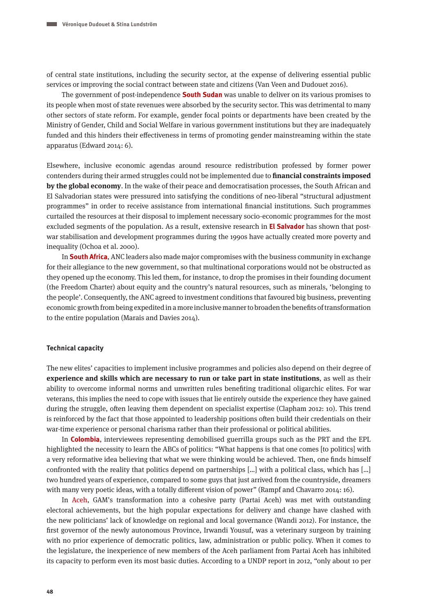of central state institutions, including the security sector, at the expense of delivering essential public services or improving the social contract between state and citizens (Van Veen and Dudouet 2016).

The government of post-independence **South Sudan** was unable to deliver on its various promises to its people when most of state revenues were absorbed by the security sector. This was detrimental to many other sectors of state reform. For example, gender focal points or departments have been created by the Ministry of Gender, Child and Social Welfare in various government institutions but they are inadequately funded and this hinders their effectiveness in terms of promoting gender mainstreaming within the state apparatus (Edward 2014: 6).

Elsewhere, inclusive economic agendas around resource redistribution professed by former power contenders during their armed struggles could not be implemented due to **financial constraints imposed by the global economy**. In the wake of their peace and democratisation processes, the South African and El Salvadorian states were pressured into satisfying the conditions of neo-liberal "structural adjustment programmes" in order to receive assistance from international financial institutions. Such programmes curtailed the resources at their disposal to implement necessary socio-economic programmes for the most excluded segments of the population. As a result, extensive research in **El Salvador** has shown that postwar stabilisation and development programmes during the 1990s have actually created more poverty and inequality (Ochoa et al. 2000).

In **South Africa**, ANC leaders also made major compromises with the business community in exchange for their allegiance to the new government, so that multinational corporations would not be obstructed as they opened up the economy. This led them, for instance, to drop the promises in their founding document (the Freedom Charter) about equity and the country's natural resources, such as minerals, 'belonging to the people'. Consequently, the ANC agreed to investment conditions that favoured big business, preventing economic growth from being expedited in a more inclusive manner to broaden the benefits of transformation to the entire population (Marais and Davies 2014).

## **Technical capacity**

The new elites' capacities to implement inclusive programmes and policies also depend on their degree of **experience and skills which are necessary to run or take part in state institutions**, as well as their ability to overcome informal norms and unwritten rules benefiting traditional oligarchic elites. For war veterans, this implies the need to cope with issues that lie entirely outside the experience they have gained during the struggle, often leaving them dependent on specialist expertise (Clapham 2012: 10). This trend is reinforced by the fact that those appointed to leadership positions often build their credentials on their war-time experience or personal charisma rather than their professional or political abilities.

In **Colombia**, interviewees representing demobilised guerrilla groups such as the PRT and the EPL highlighted the necessity to learn the ABCs of politics: "What happens is that one comes [to politics] with a very reformative idea believing that what we were thinking would be achieved. Then, one finds himself confronted with the reality that politics depend on partnerships […] with a political class, which has […] two hundred years of experience, compared to some guys that just arrived from the countryside, dreamers with many very poetic ideas, with a totally different vision of power" (Rampf and Chavarro 2014: 16).

In Aceh, GAM's transformation into a cohesive party (Partai Aceh) was met with outstanding electoral achievements, but the high popular expectations for delivery and change have clashed with the new politicians' lack of knowledge on regional and local governance (Wandi 2012). For instance, the first governor of the newly autonomous Province, Irwandi Yousuf, was a veterinary surgeon by training with no prior experience of democratic politics, law, administration or public policy. When it comes to the legislature, the inexperience of new members of the Aceh parliament from Partai Aceh has inhibited its capacity to perform even its most basic duties. According to a UNDP report in 2012, "only about 10 per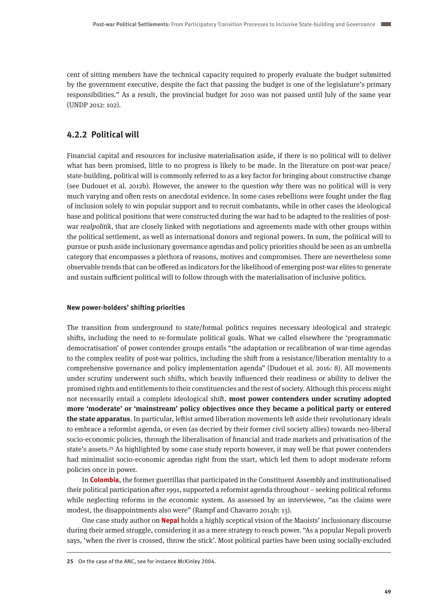cent of sitting members have the technical capacity required to properly evaluate the budget submitted by the government executive, despite the fact that passing the budget is one of the legislature's primary responsibilities." As a result, the provincial budget for 2010 was not passed until July of the same year (UNDP 2012: 102).

## **4.2.2 Political will**

Financial capital and resources for inclusive materialisation aside, if there is no political will to deliver what has been promised, little to no progress is likely to be made. In the literature on post-war peace/ state-building, political will is commonly referred to as a key factor for bringing about constructive change (see Dudouet et al. 2012b). However, the answer to the question why there was no political will is very much varying and often rests on anecdotal evidence. In some cases rebellions were fought under the flag of inclusion solely to win popular support and to recruit combatants, while in other cases the ideological base and political positions that were constructed during the war had to be adapted to the realities of postwar realpolitik, that are closely linked with negotiations and agreements made with other groups within the political settlement, as well as international donors and regional powers. In sum, the political will to pursue or push aside inclusionary governance agendas and policy priorities should be seen as an umbrella category that encompasses a plethora of reasons, motives and compromises. There are nevertheless some observable trends that can be offered as indicators for the likelihood of emerging post-war elites to generate and sustain sufficient political will to follow through with the materialisation of inclusive politics.

## **New power-holders' shifting priorities**

The transition from underground to state/formal politics requires necessary ideological and strategic shifts, including the need to re-formulate political goals. What we called elsewhere the 'programmatic democratisation' of power contender groups entails "the adaptation or recalibration of war-time agendas to the complex reality of post-war politics, including the shift from a resistance/liberation mentality to a comprehensive governance and policy implementation agenda" (Dudouet et al. 2016: 8). All movements under scrutiny underwent such shifts, which heavily influenced their readiness or ability to deliver the promised rights and entitlements to their constituencies and the rest of society. Although this process might not necessarily entail a complete ideological shift, **most power contenders under scrutiny adopted more 'moderate' or 'mainstream' policy objectives once they became a political party or entered the state apparatus**. In particular, leftist armed liberation movements left aside their revolutionary ideals to embrace a reformist agenda, or even (as decried by their former civil society allies) towards neo-liberal socio-economic policies, through the liberalisation of financial and trade markets and privatisation of the state's assets.25 As highlighted by some case study reports however, it may well be that power contenders had minimalist socio-economic agendas right from the start, which led them to adopt moderate reform policies once in power.

In **Colombia**, the former guerrillas that participated in the Constituent Assembly and institutionalised their political participation after 1991, supported a reformist agenda throughout – seeking political reforms while neglecting reforms in the economic system. As assessed by an interviewee, "as the claims were modest, the disappointments also were" (Rampf and Chavarro 2014b: 13).

One case study author on **Nepal** holds a highly sceptical vision of the Maoists' inclusionary discourse during their armed struggle, considering it as a mere strategy to reach power. "As a popular Nepali proverb says, 'when the river is crossed, throw the stick'. Most political parties have been using socially-excluded

**<sup>25</sup>** On the case of the ANC, see for instance McKinley 2004.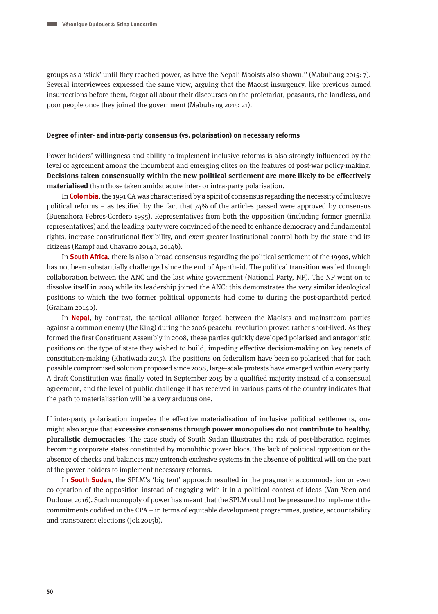groups as a 'stick' until they reached power, as have the Nepali Maoists also shown." (Mabuhang 2015: 7). Several interviewees expressed the same view, arguing that the Maoist insurgency, like previous armed insurrections before them, forgot all about their discourses on the proletariat, peasants, the landless, and poor people once they joined the government (Mabuhang 2015: 21).

#### **Degree of inter- and intra-party consensus (vs. polarisation) on necessary reforms**

Power-holders' willingness and ability to implement inclusive reforms is also strongly influenced by the level of agreement among the incumbent and emerging elites on the features of post-war policy-making. **Decisions taken consensually within the new political settlement are more likely to be effectively materialised** than those taken amidst acute inter- or intra-party polarisation.

In **Colombia**, the 1991 CA was characterised by a spirit of consensus regarding the necessity of inclusive political reforms – as testified by the fact that 74% of the articles passed were approved by consensus (Buenahora Febres-Cordero 1995). Representatives from both the opposition (including former guerrilla representatives) and the leading party were convinced of the need to enhance democracy and fundamental rights, increase constitutional flexibility, and exert greater institutional control both by the state and its citizens (Rampf and Chavarro 2014a, 2014b).

In **South Africa**, there is also a broad consensus regarding the political settlement of the 1990s, which has not been substantially challenged since the end of Apartheid. The political transition was led through collaboration between the ANC and the last white government (National Party, NP). The NP went on to dissolve itself in 2004 while its leadership joined the ANC: this demonstrates the very similar ideological positions to which the two former political opponents had come to during the post-apartheid period (Graham 2014b).

In **Nepal,** by contrast, the tactical alliance forged between the Maoists and mainstream parties against a common enemy (the King) during the 2006 peaceful revolution proved rather short-lived. As they formed the first Constituent Assembly in 2008, these parties quickly developed polarised and antagonistic positions on the type of state they wished to build, impeding effective decision-making on key tenets of constitution-making (Khatiwada 2015). The positions on federalism have been so polarised that for each possible compromised solution proposed since 2008, large-scale protests have emerged within every party. A draft Constitution was finally voted in September 2015 by a qualified majority instead of a consensual agreement, and the level of public challenge it has received in various parts of the country indicates that the path to materialisation will be a very arduous one.

If inter-party polarisation impedes the effective materialisation of inclusive political settlements, one might also argue that **excessive consensus through power monopolies do not contribute to healthy, pluralistic democracies**. The case study of South Sudan illustrates the risk of post-liberation regimes becoming corporate states constituted by monolithic power blocs. The lack of political opposition or the absence of checks and balances may entrench exclusive systems in the absence of political will on the part of the power-holders to implement necessary reforms.

In **South Sudan**, the SPLM's 'big tent' approach resulted in the pragmatic accommodation or even co-optation of the opposition instead of engaging with it in a political contest of ideas (Van Veen and Dudouet 2016). Such monopoly of power has meant that the SPLM could not be pressured to implement the commitments codified in the CPA – in terms of equitable development programmes, justice, accountability and transparent elections (Jok 2015b).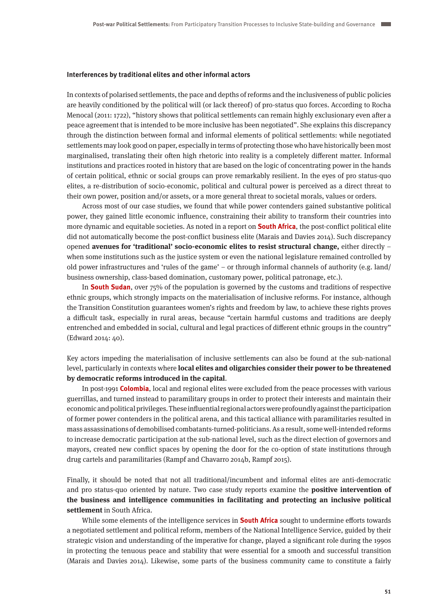#### **Interferences by traditional elites and other informal actors**

In contexts of polarised settlements, the pace and depths of reforms and the inclusiveness of public policies are heavily conditioned by the political will (or lack thereof) of pro-status quo forces. According to Rocha Menocal (2011: 1722), "history shows that political settlements can remain highly exclusionary even after a peace agreement that is intended to be more inclusive has been negotiated". She explains this discrepancy through the distinction between formal and informal elements of political settlements: while negotiated settlements may look good on paper, especially in terms of protecting those who have historically been most marginalised, translating their often high rhetoric into reality is a completely different matter. Informal institutions and practices rooted in history that are based on the logic of concentrating power in the hands of certain political, ethnic or social groups can prove remarkably resilient. In the eyes of pro status-quo elites, a re-distribution of socio-economic, political and cultural power is perceived as a direct threat to their own power, position and/or assets, or a more general threat to societal morals, values or orders.

Across most of our case studies, we found that while power contenders gained substantive political power, they gained little economic influence, constraining their ability to transform their countries into more dynamic and equitable societies. As noted in a report on **South Africa**, the post-conflict political elite did not automatically become the post-conflict business elite (Marais and Davies 2014). Such discrepancy opened **avenues for 'traditional' socio-economic elites to resist structural change,** either directly – when some institutions such as the justice system or even the national legislature remained controlled by old power infrastructures and 'rules of the game' – or through informal channels of authority (e.g. land/ business ownership, class-based domination, customary power, political patronage, etc.).

In **South Sudan**, over 75% of the population is governed by the customs and traditions of respective ethnic groups, which strongly impacts on the materialisation of inclusive reforms. For instance, although the Transition Constitution guarantees women's rights and freedom by law, to achieve these rights proves a difficult task, especially in rural areas, because "certain harmful customs and traditions are deeply entrenched and embedded in social, cultural and legal practices of different ethnic groups in the country" (Edward 2014: 40).

Key actors impeding the materialisation of inclusive settlements can also be found at the sub-national level, particularly in contexts where **local elites and oligarchies consider their power to be threatened by democratic reforms introduced in the capital**.

In post-1991 **Colombia**, local and regional elites were excluded from the peace processes with various guerrillas, and turned instead to paramilitary groups in order to protect their interests and maintain their economic and political privileges. These influential regional actors were profoundly against the participation of former power contenders in the political arena, and this tactical alliance with paramilitaries resulted in mass assassinations of demobilised combatants-turned-politicians. As a result, some well-intended reforms to increase democratic participation at the sub-national level, such as the direct election of governors and mayors, created new conflict spaces by opening the door for the co-option of state institutions through drug cartels and paramilitaries (Rampf and Chavarro 2014b, Rampf 2015).

Finally, it should be noted that not all traditional/incumbent and informal elites are anti-democratic and pro status-quo oriented by nature. Two case study reports examine the **positive intervention of the business and intelligence communities in facilitating and protecting an inclusive political settlement** in South Africa.

While some elements of the intelligence services in **South Africa** sought to undermine efforts towards a negotiated settlement and political reform, members of the National Intelligence Service, guided by their strategic vision and understanding of the imperative for change, played a significant role during the 1990s in protecting the tenuous peace and stability that were essential for a smooth and successful transition (Marais and Davies 2014). Likewise, some parts of the business community came to constitute a fairly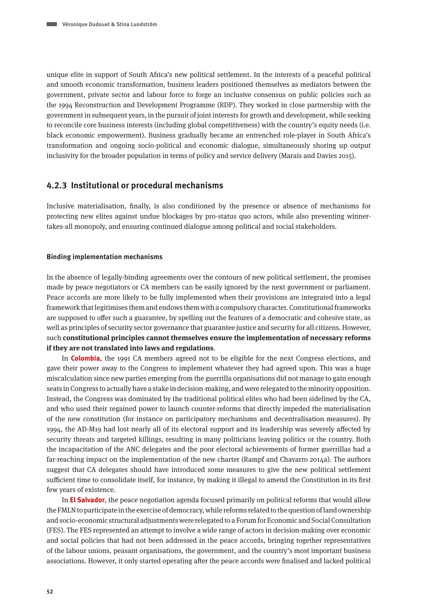unique elite in support of South Africa's new political settlement. In the interests of a peaceful political and smooth economic transformation, business leaders positioned themselves as mediators between the government, private sector and labour force to forge an inclusive consensus on public policies such as the 1994 Reconstruction and Development Programme (RDP). They worked in close partnership with the government in subsequent years, in the pursuit of joint interests for growth and development, while seeking to reconcile core business interests (including global competitiveness) with the country's equity needs (i.e. black economic empowerment). Business gradually became an entrenched role-player in South Africa's transformation and ongoing socio-political and economic dialogue, simultaneously shoring up output inclusivity for the broader population in terms of policy and service delivery (Marais and Davies 2015).

## **4.2.3 Institutional or procedural mechanisms**

Inclusive materialisation, finally, is also conditioned by the presence or absence of mechanisms for protecting new elites against undue blockages by pro-status quo actors, while also preventing winnertakes-all monopoly, and ensuring continued dialogue among political and social stakeholders.

#### **Binding implementation mechanisms**

In the absence of legally-binding agreements over the contours of new political settlement, the promises made by peace negotiators or CA members can be easily ignored by the next government or parliament. Peace accords are more likely to be fully implemented when their provisions are integrated into a legal framework that legitimises them and endows them with a compulsory character. Constitutional frameworks are supposed to offer such a guarantee, by spelling out the features of a democratic and cohesive state, as well as principles of security sector governance that guarantee justice and security for all citizens. However, such **constitutional principles cannot themselves ensure the implementation of necessary reforms if they are not translated into laws and regulations**.

In **Colombia**, the 1991 CA members agreed not to be eligible for the next Congress elections, and gave their power away to the Congress to implement whatever they had agreed upon. This was a huge miscalculation since new parties emerging from the guerrilla organisations did not manage to gain enough seats in Congress to actually have a stake in decision-making, and were relegated to the minority opposition. Instead, the Congress was dominated by the traditional political elites who had been sidelined by the CA, and who used their regained power to launch counter-reforms that directly impeded the materialisation of the new constitution (for instance on participatory mechanisms and decentralisation measures). By 1994, the AD-M19 had lost nearly all of its electoral support and its leadership was severely affected by security threats and targeted killings, resulting in many politicians leaving politics or the country. Both the incapacitation of the ANC delegates and the poor electoral achievements of former guerrillas had a far-reaching impact on the implementation of the new charter (Rampf and Chavarro 2014a). The authors suggest that CA delegates should have introduced some measures to give the new political settlement sufficient time to consolidate itself, for instance, by making it illegal to amend the Constitution in its first few years of existence.

In **El Salvador**, the peace negotiation agenda focused primarily on political reforms that would allow the FMLN to participate in the exercise of democracy, while reforms related to the question of land ownership and socio-economic structural adjustments were relegated to a Forum for Economic and Social Consultation (FES). The FES represented an attempt to involve a wide range of actors in decision-making over economic and social policies that had not been addressed in the peace accords, bringing together representatives of the labour unions, peasant organisations, the government, and the country's most important business associations. However, it only started operating after the peace accords were finalised and lacked political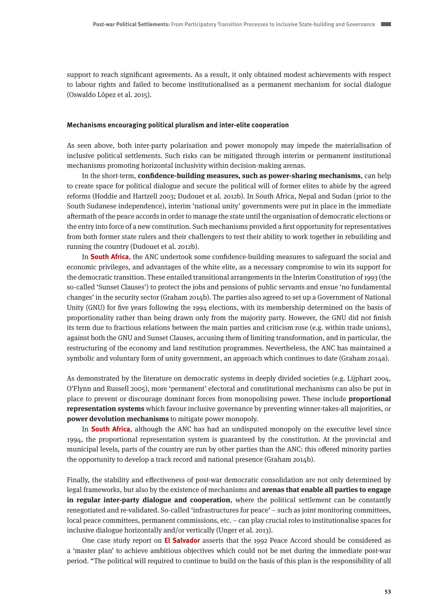support to reach significant agreements. As a result, it only obtained modest achievements with respect to labour rights and failed to become institutionalised as a permanent mechanism for social dialogue (Oswaldo López et al. 2015).

#### **Mechanisms encouraging political pluralism and inter-elite cooperation**

As seen above, both inter-party polarisation and power monopoly may impede the materialisation of inclusive political settlements. Such risks can be mitigated through interim or permanent institutional mechanisms promoting horizontal inclusivity within decision-making arenas.

In the short-term, **confidence-building measures, such as power-sharing mechanisms**, can help to create space for political dialogue and secure the political will of former elites to abide by the agreed reforms (Hoddie and Hartzell 2003; Dudouet et al. 2012b). In South Africa, Nepal and Sudan (prior to the South Sudanese independence), interim 'national unity' governments were put in place in the immediate aftermath of the peace accords in order to manage the state until the organisation of democratic elections or the entry into force of a new constitution. Such mechanisms provided a first opportunity for representatives from both former state rulers and their challengers to test their ability to work together in rebuilding and running the country (Dudouet et al. 2012b).

In **South Africa**, the ANC undertook some confidence-building measures to safeguard the social and economic privileges, and advantages of the white elite, as a necessary compromise to win its support for the democratic transition. These entailed transitional arrangements in the Interim Constitution of 1993 (the so-called 'Sunset Clauses') to protect the jobs and pensions of public servants and ensue 'no fundamental changes' in the security sector (Graham 2014b). The parties also agreed to set up a Government of National Unity (GNU) for five years following the 1994 elections, with its membership determined on the basis of proportionality rather than being drawn only from the majority party. However, the GNU did not finish its term due to fractious relations between the main parties and criticism rose (e.g. within trade unions), against both the GNU and Sunset Clauses, accusing them of limiting transformation, and in particular, the restructuring of the economy and land restitution programmes. Nevertheless, the ANC has maintained a symbolic and voluntary form of unity government, an approach which continues to date (Graham 2014a).

As demonstrated by the literature on democratic systems in deeply divided societies (e.g. Lijphart 2004, O'Flynn and Russell 2005), more 'permanent' electoral and constitutional mechanisms can also be put in place to prevent or discourage dominant forces from monopolising power. These include **proportional representation systems** which favour inclusive governance by preventing winner-takes-all majorities, or **power devolution mechanisms** to mitigate power monopoly.

In **South Africa**, although the ANC has had an undisputed monopoly on the executive level since 1994, the proportional representation system is guaranteed by the constitution. At the provincial and municipal levels, parts of the country are run by other parties than the ANC: this offered minority parties the opportunity to develop a track record and national presence (Graham 2014b).

Finally, the stability and effectiveness of post-war democratic consolidation are not only determined by legal frameworks, but also by the existence of mechanisms and **arenas that enable all parties to engage in regular inter-party dialogue and cooperation**, where the political settlement can be constantly renegotiated and re-validated. So-called 'infrastructures for peace' – such as joint monitoring committees, local peace committees, permanent commissions, etc. – can play crucial roles to institutionalise spaces for inclusive dialogue horizontally and/or vertically (Unger et al. 2013).

One case study report on **El Salvador** asserts that the 1992 Peace Accord should be considered as a 'master plan' to achieve ambitious objectives which could not be met during the immediate post-war period. "The political will required to continue to build on the basis of this plan is the responsibility of all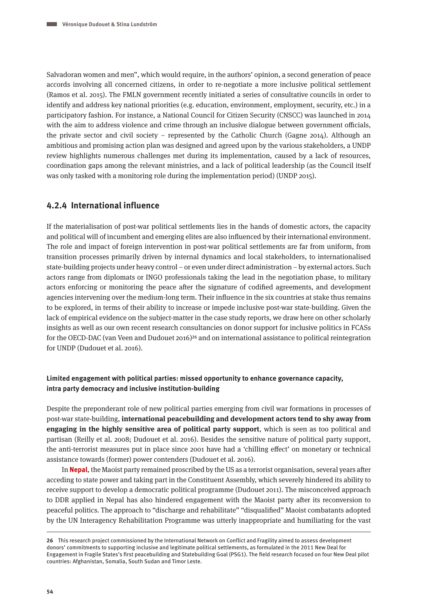Salvadoran women and men", which would require, in the authors' opinion, a second generation of peace accords involving all concerned citizens, in order to re-negotiate a more inclusive political settlement (Ramos et al. 2015). The FMLN government recently initiated a series of consultative councils in order to identify and address key national priorities (e.g. education, environment, employment, security, etc.) in a participatory fashion. For instance, a National Council for Citizen Security (CNSCC) was launched in 2014 with the aim to address violence and crime through an inclusive dialogue between government officials, the private sector and civil society – represented by the Catholic Church (Gagne 2014). Although an ambitious and promising action plan was designed and agreed upon by the various stakeholders, a UNDP review highlights numerous challenges met during its implementation, caused by a lack of resources, coordination gaps among the relevant ministries, and a lack of political leadership (as the Council itself was only tasked with a monitoring role during the implementation period) (UNDP 2015).

## **4.2.4 International influence**

If the materialisation of post-war political settlements lies in the hands of domestic actors, the capacity and political will of incumbent and emerging elites are also influenced by their international environment. The role and impact of foreign intervention in post-war political settlements are far from uniform, from transition processes primarily driven by internal dynamics and local stakeholders, to internationalised state-building projects under heavy control – or even under direct administration – by external actors. Such actors range from diplomats or INGO professionals taking the lead in the negotiation phase, to military actors enforcing or monitoring the peace after the signature of codified agreements, and development agencies intervening over the medium-long term. Their influence in the six countries at stake thus remains to be explored, in terms of their ability to increase or impede inclusive post-war state-building. Given the lack of empirical evidence on the subject-matter in the case study reports, we draw here on other scholarly insights as well as our own recent research consultancies on donor support for inclusive politics in FCASs for the OECD-DAC (van Veen and Dudouet 2016)<sup>26</sup> and on international assistance to political reintegration for UNDP (Dudouet et al. 2016).

## **Limited engagement with political parties: missed opportunity to enhance governance capacity, intra party democracy and inclusive institution-building**

Despite the preponderant role of new political parties emerging from civil war formations in processes of post-war state-building, **international peacebuilding and development actors tend to shy away from engaging in the highly sensitive area of political party support**, which is seen as too political and partisan (Reilly et al. 2008; Dudouet et al. 2016). Besides the sensitive nature of political party support, the anti-terrorist measures put in place since 2001 have had a 'chilling effect' on monetary or technical assistance towards (former) power contenders (Dudouet et al. 2016).

In **Nepal**, the Maoist party remained proscribed by the US as a terrorist organisation, several years after acceding to state power and taking part in the Constituent Assembly, which severely hindered its ability to receive support to develop a democratic political programme (Dudouet 2011). The misconceived approach to DDR applied in Nepal has also hindered engagement with the Maoist party after its reconversion to peaceful politics. The approach to "discharge and rehabilitate" "disqualified" Maoist combatants adopted by the UN Interagency Rehabilitation Programme was utterly inappropriate and humiliating for the vast

**<sup>26</sup>** This research project commissioned by the International Network on Conflict and Fragility aimed to assess development donors' commitments to supporting inclusive and legitimate political settlements, as formulated in the 2011 New Deal for Engagement in Fragile States's first peacebuilding and Statebuilding Goal (PSG1). The field research focused on four New Deal pilot countries: Afghanistan, Somalia, South Sudan and Timor Leste.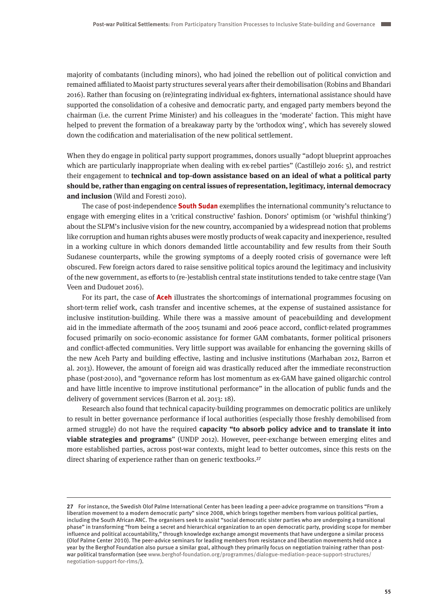majority of combatants (including minors), who had joined the rebellion out of political conviction and remained affiliated to Maoist party structures several years after their demobilisation (Robins and Bhandari 2016). Rather than focusing on (re)integrating individual ex-fighters, international assistance should have supported the consolidation of a cohesive and democratic party, and engaged party members beyond the chairman (i.e. the current Prime Minister) and his colleagues in the 'moderate' faction. This might have helped to prevent the formation of a breakaway party by the 'orthodox wing', which has severely slowed down the codification and materialisation of the new political settlement.

When they do engage in political party support programmes, donors usually "adopt blueprint approaches which are particularly inappropriate when dealing with ex-rebel parties" (Castillejo 2016: 5), and restrict their engagement to **technical and top-down assistance based on an ideal of what a political party should be, rather than engaging on central issues of representation, legitimacy, internal democracy and inclusion** (Wild and Foresti 2010).

The case of post-independence **South Sudan** exemplifies the international community's reluctance to engage with emerging elites in a 'critical constructive' fashion. Donors' optimism (or 'wishful thinking') about the SLPM's inclusive vision for the new country, accompanied by a widespread notion that problems like corruption and human rights abuses were mostly products of weak capacity and inexperience, resulted in a working culture in which donors demanded little accountability and few results from their South Sudanese counterparts, while the growing symptoms of a deeply rooted crisis of governance were left obscured. Few foreign actors dared to raise sensitive political topics around the legitimacy and inclusivity of the new government, as efforts to (re-)establish central state institutions tended to take centre stage (Van Veen and Dudouet 2016).

For its part, the case of **Aceh** illustrates the shortcomings of international programmes focusing on short-term relief work, cash transfer and incentive schemes, at the expense of sustained assistance for inclusive institution-building. While there was a massive amount of peacebuilding and development aid in the immediate aftermath of the 2005 tsunami and 2006 peace accord, conflict-related programmes focused primarily on socio-economic assistance for former GAM combatants, former political prisoners and conflict-affected communities. Very little support was available for enhancing the governing skills of the new Aceh Party and building effective, lasting and inclusive institutions (Marhaban 2012, Barron et al. 2013). However, the amount of foreign aid was drastically reduced after the immediate reconstruction phase (post-2010), and "governance reform has lost momentum as ex-GAM have gained oligarchic control and have little incentive to improve institutional performance" in the allocation of public funds and the delivery of government services (Barron et al. 2013: 18).

Research also found that technical capacity-building programmes on democratic politics are unlikely to result in better governance performance if local authorities (especially those freshly demobilised from armed struggle) do not have the required **capacity "to absorb policy advice and to translate it into viable strategies and programs**" (UNDP 2012). However, peer-exchange between emerging elites and more established parties, across post-war contexts, might lead to better outcomes, since this rests on the direct sharing of experience rather than on generic textbooks.<sup>27</sup>

**<sup>27</sup>** For instance, the Swedish Olof Palme International Center has been leading a peer-advice programme on transitions "From a liberation movement to a modern democratic party" since 2008, which brings together members from various political parties, including the South African ANC. The organisers seek to assist "social democratic sister parties who are undergoing a transitional phase" in transforming "from being a secret and hierarchical organization to an open democratic party, providing scope for member influence and political accountability," through knowledge exchange amongst movements that have undergone a similar process (Olof Palme Center 2010). The peer-advice seminars for leading members from resistance and liberation movements held once a year by the Berghof Foundation also pursue a similar goal, although they primarily focus on negotiation training rather than postwar political transformation (see [www.berghof-foundation.org/programmes/dialogue-mediation-peace-support-structures/](http://www.berghof-foundation.org/programmes/dialogue-mediation-peace-support-structures/negotiation-support-for-rlms/) [negotiation-support-for-rlms/](http://www.berghof-foundation.org/programmes/dialogue-mediation-peace-support-structures/negotiation-support-for-rlms/)).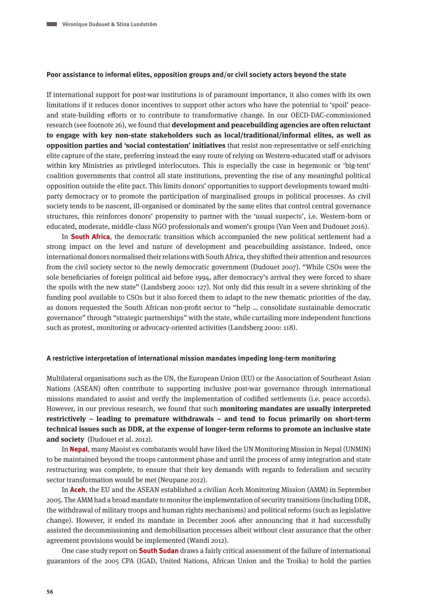#### **Poor assistance to informal elites, opposition groups and/or civil society actors beyond the state**

If international support for post-war institutions is of paramount importance, it also comes with its own limitations if it reduces donor incentives to support other actors who have the potential to 'spoil' peaceand state-building efforts or to contribute to transformative change. In our OECD-DAC-commissioned research (see footnote 26), we found that **development and peacebuilding agencies are often reluctant to engage with key non-state stakeholders such as local/traditional/informal elites, as well as opposition parties and 'social contestation' initiatives** that resist non-representative or self-enriching elite capture of the state, preferring instead the easy route of relying on Western-educated staff or advisors within key Ministries as privileged interlocutors. This is especially the case in hegemonic or 'big-tent' coalition governments that control all state institutions, preventing the rise of any meaningful political opposition outside the elite pact. This limits donors' opportunities to support developments toward multiparty democracy or to promote the participation of marginalised groups in political processes. As civil society tends to be nascent, ill-organised or dominated by the same elites that control central governance structures, this reinforces donors' propensity to partner with the 'usual suspects', i.e. Western-born or educated, moderate, middle-class NGO professionals and women's groups (Van Veen and Dudouet 2016).

In **South Africa**, the democratic transition which accompanied the new political settlement had a strong impact on the level and nature of development and peacebuilding assistance. Indeed, once international donors normalised their relations with South Africa, they shifted their attention and resources from the civil society sector to the newly democratic government (Dudouet 2007). "While CSOs were the sole beneficiaries of foreign political aid before 1994, after democracy's arrival they were forced to share the spoils with the new state" (Landsberg 2000: 127). Not only did this result in a severe shrinking of the funding pool available to CSOs but it also forced them to adapt to the new thematic priorities of the day, as donors requested the South African non-profit sector to "help … consolidate sustainable democratic governance" through "strategic partnerships" with the state, while curtailing more independent functions such as protest, monitoring or advocacy-oriented activities (Landsberg 2000: 118).

## **A restrictive interpretation of international mission mandates impeding long-term monitoring**

Multilateral organisations such as the UN, the European Union (EU) or the Association of Southeast Asian Nations (ASEAN) often contribute to supporting inclusive post-war governance through international missions mandated to assist and verify the implementation of codified settlements (i.e. peace accords). However, in our previous research, we found that such **monitoring mandates are usually interpreted restrictively – leading to premature withdrawals – and tend to focus primarily on short-term technical issues such as DDR, at the expense of longer-term reforms to promote an inclusive state and society** (Dudouet et al. 2012).

In **Nepal**, many Maoist ex-combatants would have liked the UN Monitoring Mission in Nepal (UNMIN) to be maintained beyond the troops cantonment phase and until the process of army integration and state restructuring was complete, to ensure that their key demands with regards to federalism and security sector transformation would be met (Neupane 2012).

In **Aceh**, the EU and the ASEAN established a civilian Aceh Monitoring Mission (AMM) in September 2005. The AMM had a broad mandate to monitor the implementation of security transitions (including DDR, the withdrawal of military troops and human rights mechanisms) and political reforms (such as legislative change). However, it ended its mandate in December 2006 after announcing that it had successfully assisted the decommissioning and demobilisation processes albeit without clear assurance that the other agreement provisions would be implemented (Wandi 2012).

One case study report on **South Sudan** draws a fairly critical assessment of the failure of international guarantors of the 2005 CPA (IGAD, United Nations, African Union and the Troika) to hold the parties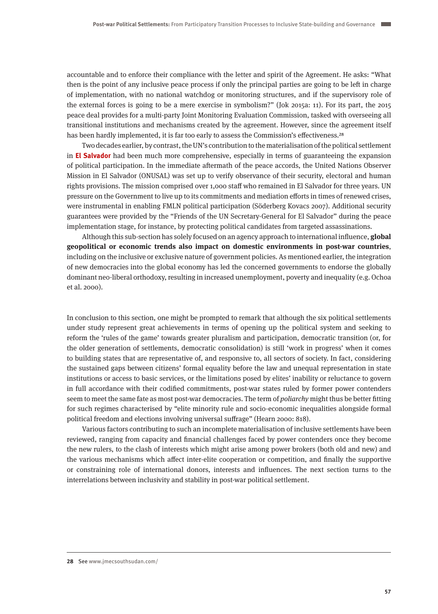accountable and to enforce their compliance with the letter and spirit of the Agreement. He asks: "What then is the point of any inclusive peace process if only the principal parties are going to be left in charge of implementation, with no national watchdog or monitoring structures, and if the supervisory role of the external forces is going to be a mere exercise in symbolism?" (Jok 2015a: 11). For its part, the 2015 peace deal provides for a multi-party Joint Monitoring Evaluation Commission, tasked with overseeing all transitional institutions and mechanisms created by the agreement. However, since the agreement itself has been hardly implemented, it is far too early to assess the Commission's effectiveness.<sup>28</sup>

Two decades earlier, by contrast, the UN's contribution to the materialisation of the political settlement in **El Salvador** had been much more comprehensive, especially in terms of guaranteeing the expansion of political participation. In the immediate aftermath of the peace accords, the United Nations Observer Mission in El Salvador (ONUSAL) was set up to verify observance of their security, electoral and human rights provisions. The mission comprised over 1,000 staff who remained in El Salvador for three years. UN pressure on the Government to live up to its commitments and mediation efforts in times of renewed crises, were instrumental in enabling FMLN political participation (Söderberg Kovacs 2007). Additional security guarantees were provided by the "Friends of the UN Secretary-General for El Salvador" during the peace implementation stage, for instance, by protecting political candidates from targeted assassinations.

Although this sub-section has solely focused on an agency approach to international influence, **global geopolitical or economic trends also impact on domestic environments in post-war countries**, including on the inclusive or exclusive nature of government policies. As mentioned earlier, the integration of new democracies into the global economy has led the concerned governments to endorse the globally dominant neo-liberal orthodoxy, resulting in increased unemployment, poverty and inequality (e.g. Ochoa et al. 2000).

In conclusion to this section, one might be prompted to remark that although the six political settlements under study represent great achievements in terms of opening up the political system and seeking to reform the 'rules of the game' towards greater pluralism and participation, democratic transition (or, for the older generation of settlements, democratic consolidation) is still 'work in progress' when it comes to building states that are representative of, and responsive to, all sectors of society. In fact, considering the sustained gaps between citizens' formal equality before the law and unequal representation in state institutions or access to basic services, or the limitations posed by elites' inability or reluctance to govern in full accordance with their codified commitments, post-war states ruled by former power contenders seem to meet the same fate as most post-war democracies. The term of *poliarchy* might thus be better fitting for such regimes characterised by "elite minority rule and socio-economic inequalities alongside formal political freedom and elections involving universal suffrage" (Hearn 2000: 818).

Various factors contributing to such an incomplete materialisation of inclusive settlements have been reviewed, ranging from capacity and financial challenges faced by power contenders once they become the new rulers, to the clash of interests which might arise among power brokers (both old and new) and the various mechanisms which affect inter-elite cooperation or competition, and finally the supportive or constraining role of international donors, interests and influences. The next section turns to the interrelations between inclusivity and stability in post-war political settlement.

**<sup>28</sup>** See www.jmecsouthsudan.com/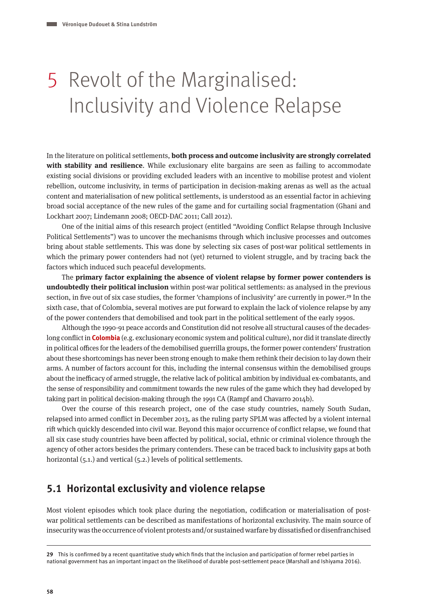# 5 Revolt of the Marginalised: Inclusivity and Violence Relapse

In the literature on political settlements, **both process and outcome inclusivity are strongly correlated with stability and resilience**. While exclusionary elite bargains are seen as failing to accommodate existing social divisions or providing excluded leaders with an incentive to mobilise protest and violent rebellion, outcome inclusivity, in terms of participation in decision-making arenas as well as the actual content and materialisation of new political settlements, is understood as an essential factor in achieving broad social acceptance of the new rules of the game and for curtailing social fragmentation (Ghani and Lockhart 2007; Lindemann 2008; OECD-DAC 2011; Call 2012).

One of the initial aims of this research project (entitled "Avoiding Conflict Relapse through Inclusive Political Settlements") was to uncover the mechanisms through which inclusive processes and outcomes bring about stable settlements. This was done by selecting six cases of post-war political settlements in which the primary power contenders had not (yet) returned to violent struggle, and by tracing back the factors which induced such peaceful developments.

The **primary factor explaining the absence of violent relapse by former power contenders is undoubtedly their political inclusion** within post-war political settlements: as analysed in the previous section, in five out of six case studies, the former 'champions of inclusivity' are currently in power.<sup>29</sup> In the sixth case, that of Colombia, several motives are put forward to explain the lack of violence relapse by any of the power contenders that demobilised and took part in the political settlement of the early 1990s.

Although the 1990-91 peace accords and Constitution did not resolve all structural causes of the decadeslong conflict in **Colombia** (e.g. exclusionary economic system and political culture), nor did it translate directly in political offices for the leaders of the demobilised guerrilla groups, the former power contenders' frustration about these shortcomings has never been strong enough to make them rethink their decision to lay down their arms. A number of factors account for this, including the internal consensus within the demobilised groups about the inefficacy of armed struggle, the relative lack of political ambition by individual ex-combatants, and the sense of responsibility and commitment towards the new rules of the game which they had developed by taking part in political decision-making through the 1991 CA (Rampf and Chavarro 2014b).

Over the course of this research project, one of the case study countries, namely South Sudan, relapsed into armed conflict in December 2013, as the ruling party SPLM was affected by a violent internal rift which quickly descended into civil war. Beyond this major occurrence of conflict relapse, we found that all six case study countries have been affected by political, social, ethnic or criminal violence through the agency of other actors besides the primary contenders. These can be traced back to inclusivity gaps at both horizontal (5.1.) and vertical (5.2.) levels of political settlements.

## **5.1 Horizontal exclusivity and violence relapse**

Most violent episodes which took place during the negotiation, codification or materialisation of postwar political settlements can be described as manifestations of horizontal exclusivity. The main source of insecurity was the occurrence of violent protests and/or sustained warfare by dissatisfied or disenfranchised

**<sup>29</sup>** This is confirmed by a recent quantitative study which finds that the inclusion and participation of former rebel parties in national government has an important impact on the likelihood of durable post-settlement peace (Marshall and Ishiyama 2016).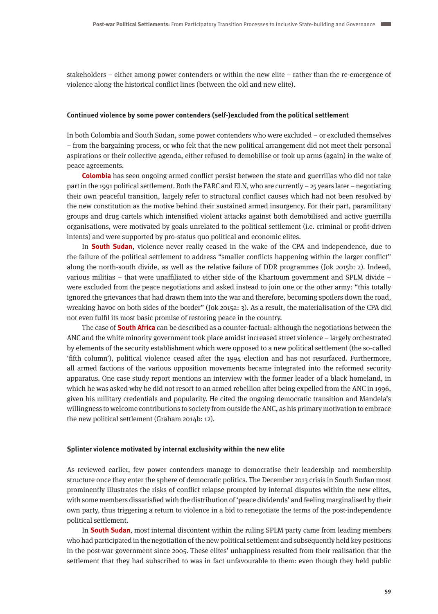stakeholders – either among power contenders or within the new elite – rather than the re-emergence of violence along the historical conflict lines (between the old and new elite).

## **Continued violence by some power contenders (self-)excluded from the political settlement**

In both Colombia and South Sudan, some power contenders who were excluded – or excluded themselves – from the bargaining process, or who felt that the new political arrangement did not meet their personal aspirations or their collective agenda, either refused to demobilise or took up arms (again) in the wake of peace agreements.

**Colombia** has seen ongoing armed conflict persist between the state and guerrillas who did not take part in the 1991 political settlement. Both the FARC and ELN, who are currently – 25 years later – negotiating their own peaceful transition, largely refer to structural conflict causes which had not been resolved by the new constitution as the motive behind their sustained armed insurgency. For their part, paramilitary groups and drug cartels which intensified violent attacks against both demobilised and active guerrilla organisations, were motivated by goals unrelated to the political settlement (i.e. criminal or profit-driven intents) and were supported by pro-status quo political and economic elites.

In **South Sudan**, violence never really ceased in the wake of the CPA and independence, due to the failure of the political settlement to address "smaller conflicts happening within the larger conflict" along the north-south divide, as well as the relative failure of DDR programmes (Jok 2015b: 2). Indeed, various militias – that were unaffiliated to either side of the Khartoum government and SPLM divide – were excluded from the peace negotiations and asked instead to join one or the other army: "this totally ignored the grievances that had drawn them into the war and therefore, becoming spoilers down the road, wreaking havoc on both sides of the border" (Jok 2015a: 3). As a result, the materialisation of the CPA did not even fulfil its most basic promise of restoring peace in the country.

The case of **South Africa** can be described as a counter-factual: although the negotiations between the ANC and the white minority government took place amidst increased street violence – largely orchestrated by elements of the security establishment which were opposed to a new political settlement (the so-called 'fifth column'), political violence ceased after the 1994 election and has not resurfaced. Furthermore, all armed factions of the various opposition movements became integrated into the reformed security apparatus. One case study report mentions an interview with the former leader of a black homeland, in which he was asked why he did not resort to an armed rebellion after being expelled from the ANC in 1996, given his military credentials and popularity. He cited the ongoing democratic transition and Mandela's willingness to welcome contributions to society from outside the ANC, as his primary motivation to embrace the new political settlement (Graham 2014b: 12).

#### **Splinter violence motivated by internal exclusivity within the new elite**

As reviewed earlier, few power contenders manage to democratise their leadership and membership structure once they enter the sphere of democratic politics. The December 2013 crisis in South Sudan most prominently illustrates the risks of conflict relapse prompted by internal disputes within the new elites, with some members dissatisfied with the distribution of 'peace dividends' and feeling marginalised by their own party, thus triggering a return to violence in a bid to renegotiate the terms of the post-independence political settlement.

In **South Sudan**, most internal discontent within the ruling SPLM party came from leading members who had participated in the negotiation of the new political settlement and subsequently held key positions in the post-war government since 2005. These elites' unhappiness resulted from their realisation that the settlement that they had subscribed to was in fact unfavourable to them: even though they held public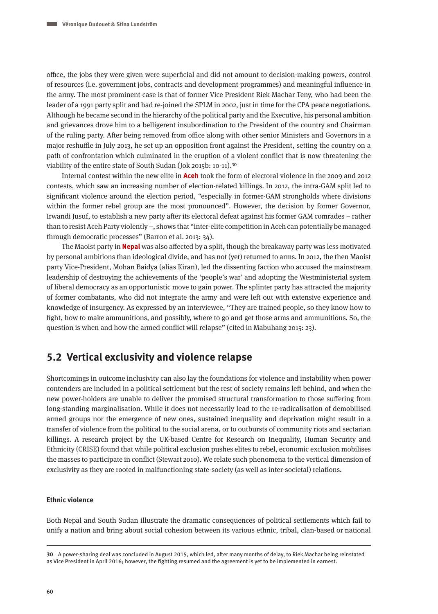office, the jobs they were given were superficial and did not amount to decision-making powers, control of resources (i.e. government jobs, contracts and development programmes) and meaningful influence in the army. The most prominent case is that of former Vice President Riek Machar Teny, who had been the leader of a 1991 party split and had re-joined the SPLM in 2002, just in time for the CPA peace negotiations. Although he became second in the hierarchy of the political party and the Executive, his personal ambition and grievances drove him to a belligerent insubordination to the President of the country and Chairman of the ruling party. After being removed from office along with other senior Ministers and Governors in a major reshuffle in July 2013, he set up an opposition front against the President, setting the country on a path of confrontation which culminated in the eruption of a violent conflict that is now threatening the viability of the entire state of South Sudan (Jok 2015b: 10-11).30

Internal contest within the new elite in **Aceh** took the form of electoral violence in the 2009 and 2012 contests, which saw an increasing number of election-related killings. In 2012, the intra-GAM split led to significant violence around the election period, "especially in former-GAM strongholds where divisions within the former rebel group are the most pronounced". However, the decision by former Governor, Irwandi Jusuf, to establish a new party after its electoral defeat against his former GAM comrades – rather than to resist Aceh Party violently –, shows that "inter-elite competition in Aceh can potentially be managed through democratic processes" (Barron et al. 2013: 34).

The Maoist party in **Nepal** was also affected by a split, though the breakaway party was less motivated by personal ambitions than ideological divide, and has not (yet) returned to arms. In 2012, the then Maoist party Vice-President, Mohan Baidya (alias Kiran), led the dissenting faction who accused the mainstream leadership of destroying the achievements of the 'people's war' and adopting the Westministerial system of liberal democracy as an opportunistic move to gain power. The splinter party has attracted the majority of former combatants, who did not integrate the army and were left out with extensive experience and knowledge of insurgency. As expressed by an interviewee, "They are trained people, so they know how to fight, how to make ammunitions, and possibly, where to go and get those arms and ammunitions. So, the question is when and how the armed conflict will relapse" (cited in Mabuhang 2015: 23).

## **5.2 Vertical exclusivity and violence relapse**

Shortcomings in outcome inclusivity can also lay the foundations for violence and instability when power contenders are included in a political settlement but the rest of society remains left behind, and when the new power-holders are unable to deliver the promised structural transformation to those suffering from long-standing marginalisation. While it does not necessarily lead to the re-radicalisation of demobilised armed groups nor the emergence of new ones, sustained inequality and deprivation might result in a transfer of violence from the political to the social arena, or to outbursts of community riots and sectarian killings. A research project by the UK-based Centre for Research on Inequality, Human Security and Ethnicity (CRISE) found that while political exclusion pushes elites to rebel, economic exclusion mobilises the masses to participate in conflict (Stewart 2010). We relate such phenomena to the vertical dimension of exclusivity as they are rooted in malfunctioning state-society (as well as inter-societal) relations.

## **Ethnic violence**

Both Nepal and South Sudan illustrate the dramatic consequences of political settlements which fail to unify a nation and bring about social cohesion between its various ethnic, tribal, clan-based or national

**<sup>30</sup>** A power-sharing deal was concluded in August 2015, which led, after many months of delay, to Riek Machar being reinstated as Vice President in April 2016; however, the fighting resumed and the agreement is yet to be implemented in earnest.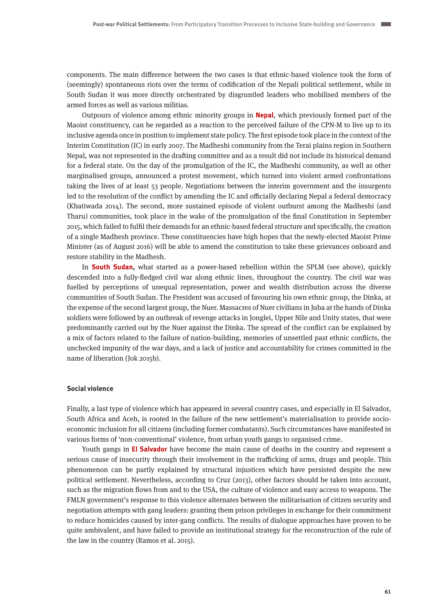components. The main difference between the two cases is that ethnic-based violence took the form of (seemingly) spontaneous riots over the terms of codification of the Nepali political settlement, while in South Sudan it was more directly orchestrated by disgruntled leaders who mobilised members of the armed forces as well as various militias.

Outpours of violence among ethnic minority groups in **Nepal**, which previously formed part of the Maoist constituency, can be regarded as a reaction to the perceived failure of the CPN-M to live up to its inclusive agenda once in position to implement state policy. The first episode took place in the context of the Interim Constitution (IC) in early 2007. The Madheshi community from the Terai plains region in Southern Nepal, was not represented in the drafting committee and as a result did not include its historical demand for a federal state. On the day of the promulgation of the IC, the Madheshi community, as well as other marginalised groups, announced a protest movement, which turned into violent armed confrontations taking the lives of at least 53 people. Negotiations between the interim government and the insurgents led to the resolution of the conflict by amending the IC and officially declaring Nepal a federal democracy (Khatiwada 2014). The second, more sustained episode of violent outburst among the Madheshi (and Tharu) communities, took place in the wake of the promulgation of the final Constitution in September 2015, which failed to fulfil their demands for an ethnic-based federal structure and specifically, the creation of a single Madhesh province. These constituencies have high hopes that the newly-elected Maoist Prime Minister (as of August 2016) will be able to amend the constitution to take these grievances onboard and restore stability in the Madhesh.

In **South Sudan,** what started as a power-based rebellion within the SPLM (see above), quickly descended into a fully-fledged civil war along ethnic lines, throughout the country. The civil war was fuelled by perceptions of unequal representation, power and wealth distribution across the diverse communities of South Sudan. The President was accused of favouring his own ethnic group, the Dinka, at the expense of the second largest group, the Nuer. Massacres of Nuer civilians in Juba at the hands of Dinka soldiers were followed by an outbreak of revenge attacks in Jonglei, Upper Nile and Unity states, that were predominantly carried out by the Nuer against the Dinka. The spread of the conflict can be explained by a mix of factors related to the failure of nation-building, memories of unsettled past ethnic conflicts, the unchecked impunity of the war days, and a lack of justice and accountability for crimes committed in the name of liberation (Jok 2015b).

#### **Social violence**

Finally, a last type of violence which has appeared in several country cases, and especially in El Salvador, South Africa and Aceh, is rooted in the failure of the new settlement's materialisation to provide socioeconomic inclusion for all citizens (including former combatants). Such circumstances have manifested in various forms of 'non-conventional' violence, from urban youth gangs to organised crime.

Youth gangs in **El Salvador** have become the main cause of deaths in the country and represent a serious cause of insecurity through their involvement in the trafficking of arms, drugs and people. This phenomenon can be partly explained by structural injustices which have persisted despite the new political settlement. Nevertheless, according to Cruz (2013), other factors should be taken into account, such as the migration flows from and to the USA, the culture of violence and easy access to weapons. The FMLN government's response to this violence alternates between the militarisation of citizen security and negotiation attempts with gang leaders: granting them prison privileges in exchange for their commitment to reduce homicides caused by inter-gang conflicts. The results of dialogue approaches have proven to be quite ambivalent, and have failed to provide an institutional strategy for the reconstruction of the rule of the law in the country (Ramos et al. 2015).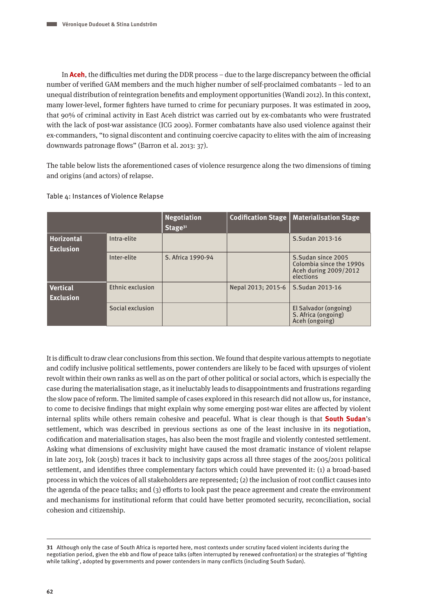In **Aceh**, the difficulties met during the DDR process – due to the large discrepancy between the official number of verified GAM members and the much higher number of self-proclaimed combatants – led to an unequal distribution of reintegration benefits and employment opportunities (Wandi 2012). In this context, many lower-level, former fighters have turned to crime for pecuniary purposes. It was estimated in 2009, that 90% of criminal activity in East Aceh district was carried out by ex-combatants who were frustrated with the lack of post-war assistance (ICG 2009). Former combatants have also used violence against their ex-commanders, "to signal discontent and continuing coercive capacity to elites with the aim of increasing downwards patronage flows" (Barron et al. 2013: 37).

The table below lists the aforementioned cases of violence resurgence along the two dimensions of timing and origins (and actors) of relapse.

|                                     |                  | <b>Negotiation</b><br>Stage <sup>31</sup> | <b>Codification Stage</b> | <b>Materialisation Stage</b>                                                         |
|-------------------------------------|------------------|-------------------------------------------|---------------------------|--------------------------------------------------------------------------------------|
| Horizontal<br><b>Exclusion</b>      | Intra-elite      |                                           |                           | S.Sudan 2013-16                                                                      |
|                                     | Inter-elite      | S. Africa 1990-94                         |                           | S.Sudan since 2005<br>Colombia since the 1990s<br>Aceh during 2009/2012<br>elections |
| <b>Vertical</b><br><b>Exclusion</b> | Ethnic exclusion |                                           | Nepal 2013; 2015-6        | S.Sudan 2013-16                                                                      |
|                                     | Social exclusion |                                           |                           | El Salvador (ongoing)<br>S. Africa (ongoing)<br>Aceh (ongoing)                       |

Table 4: Instances of Violence Relapse

It is difficult to draw clear conclusions from this section. We found that despite various attempts to negotiate and codify inclusive political settlements, power contenders are likely to be faced with upsurges of violent revolt within their own ranks as well as on the part of other political or social actors, which is especially the case during the materialisation stage, as it ineluctably leads to disappointments and frustrations regarding the slow pace of reform. The limited sample of cases explored in this research did not allow us, for instance, to come to decisive findings that might explain why some emerging post-war elites are affected by violent internal splits while others remain cohesive and peaceful. What is clear though is that **South Sudan**'s settlement, which was described in previous sections as one of the least inclusive in its negotiation, codification and materialisation stages, has also been the most fragile and violently contested settlement. Asking what dimensions of exclusivity might have caused the most dramatic instance of violent relapse in late 2013, Jok (2015b) traces it back to inclusivity gaps across all three stages of the 2005/2011 political settlement, and identifies three complementary factors which could have prevented it: (1) a broad-based process in which the voices of all stakeholders are represented; (2) the inclusion of root conflict causes into the agenda of the peace talks; and (3) efforts to look past the peace agreement and create the environment and mechanisms for institutional reform that could have better promoted security, reconciliation, social cohesion and citizenship.

**<sup>31</sup>** Although only the case of South Africa is reported here, most contexts under scrutiny faced violent incidents during the negotiation period, given the ebb and flow of peace talks (often interrupted by renewed confrontation) or the strategies of 'fighting while talking', adopted by governments and power contenders in many conflicts (including South Sudan).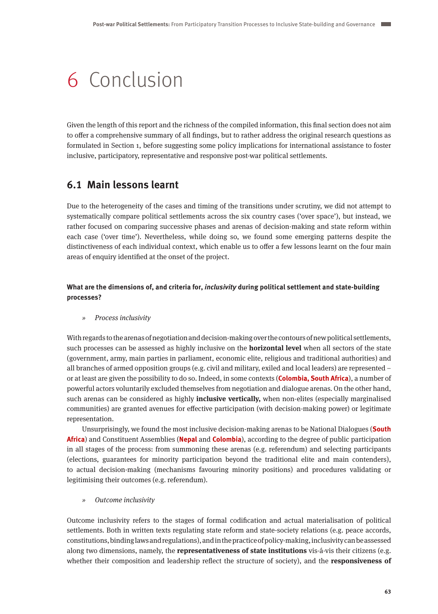# 6 Conclusion

Given the length of this report and the richness of the compiled information, this final section does not aim to offer a comprehensive summary of all findings, but to rather address the original research questions as formulated in Section 1, before suggesting some policy implications for international assistance to foster inclusive, participatory, representative and responsive post-war political settlements.

# **6.1 Main lessons learnt**

Due to the heterogeneity of the cases and timing of the transitions under scrutiny, we did not attempt to systematically compare political settlements across the six country cases ('over space'), but instead, we rather focused on comparing successive phases and arenas of decision-making and state reform within each case ('over time'). Nevertheless, while doing so, we found some emerging patterns despite the distinctiveness of each individual context, which enable us to offer a few lessons learnt on the four main areas of enquiry identified at the onset of the project.

**What are the dimensions of, and criteria for, inclusivity during political settlement and state-building processes?**

» Process inclusivity

With regards to the arenas of negotiation and decision-making over the contours of new political settlements, such processes can be assessed as highly inclusive on the **horizontal level** when all sectors of the state (government, army, main parties in parliament, economic elite, religious and traditional authorities) and all branches of armed opposition groups (e.g. civil and military, exiled and local leaders) are represented – or at least are given the possibility to do so. Indeed, in some contexts (**Colombia, South Africa**), a number of powerful actors voluntarily excluded themselves from negotiation and dialogue arenas. On the other hand, such arenas can be considered as highly **inclusive vertically,** when non-elites (especially marginalised communities) are granted avenues for effective participation (with decision-making power) or legitimate representation.

Unsurprisingly, we found the most inclusive decision-making arenas to be National Dialogues (**South Africa**) and Constituent Assemblies (**Nepal** and **Colombia**), according to the degree of public participation in all stages of the process: from summoning these arenas (e.g. referendum) and selecting participants (elections, guarantees for minority participation beyond the traditional elite and main contenders), to actual decision-making (mechanisms favouring minority positions) and procedures validating or legitimising their outcomes (e.g. referendum).

» Outcome inclusivity

Outcome inclusivity refers to the stages of formal codification and actual materialisation of political settlements. Both in written texts regulating state reform and state-society relations (e.g. peace accords, constitutions, binding laws and regulations), and in the practice of policy-making, inclusivity can be assessed along two dimensions, namely, the **representativeness of state institutions** vis-á-vis their citizens (e.g. whether their composition and leadership reflect the structure of society), and the **responsiveness of**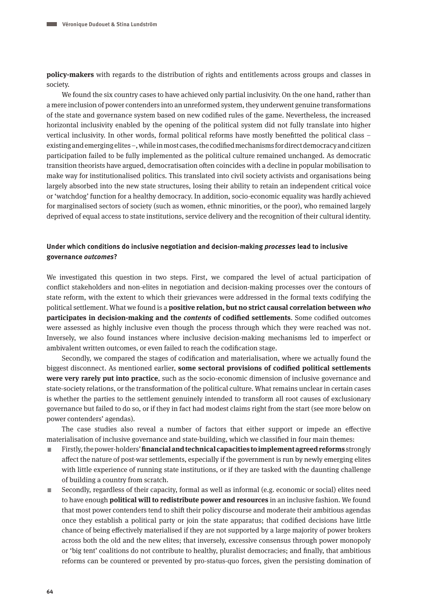**policy-makers** with regards to the distribution of rights and entitlements across groups and classes in society.

We found the six country cases to have achieved only partial inclusivity. On the one hand, rather than a mere inclusion of power contenders into an unreformed system, they underwent genuine transformations of the state and governance system based on new codified rules of the game. Nevertheless, the increased horizontal inclusivity enabled by the opening of the political system did not fully translate into higher vertical inclusivity. In other words, formal political reforms have mostly benefitted the political class – existing and emerging elites –, while in most cases, the codified mechanisms for direct democracy and citizen participation failed to be fully implemented as the political culture remained unchanged. As democratic transition theorists have argued, democratisation often coincides with a decline in popular mobilisation to make way for institutionalised politics. This translated into civil society activists and organisations being largely absorbed into the new state structures, losing their ability to retain an independent critical voice or 'watchdog' function for a healthy democracy. In addition, socio-economic equality was hardly achieved for marginalised sectors of society (such as women, ethnic minorities, or the poor), who remained largely deprived of equal access to state institutions, service delivery and the recognition of their cultural identity.

## **Under which conditions do inclusive negotiation and decision-making processes lead to inclusive governance outcomes?**

We investigated this question in two steps. First, we compared the level of actual participation of conflict stakeholders and non-elites in negotiation and decision-making processes over the contours of state reform, with the extent to which their grievances were addressed in the formal texts codifying the political settlement. What we found is a **positive relation, but no strict causal correlation between who participates in decision-making and the contents of codified settlements**. Some codified outcomes were assessed as highly inclusive even though the process through which they were reached was not. Inversely, we also found instances where inclusive decision-making mechanisms led to imperfect or ambivalent written outcomes, or even failed to reach the codification stage.

Secondly, we compared the stages of codification and materialisation, where we actually found the biggest disconnect. As mentioned earlier, **some sectoral provisions of codified political settlements were very rarely put into practice**, such as the socio-economic dimension of inclusive governance and state-society relations, or the transformation of the political culture. What remains unclear in certain cases is whether the parties to the settlement genuinely intended to transform all root causes of exclusionary governance but failed to do so, or if they in fact had modest claims right from the start (see more below on power contenders' agendas).

The case studies also reveal a number of factors that either support or impede an effective materialisation of inclusive governance and state-building, which we classified in four main themes:

- A Firstly, the power-holders' **financial and technical capacities to implement agreed reforms** strongly affect the nature of post-war settlements, especially if the government is run by newly emerging elites with little experience of running state institutions, or if they are tasked with the daunting challenge of building a country from scratch.
- $\equiv$  Secondly, regardless of their capacity, formal as well as informal (e.g. economic or social) elites need to have enough **political will to redistribute power and resources** in an inclusive fashion. We found that most power contenders tend to shift their policy discourse and moderate their ambitious agendas once they establish a political party or join the state apparatus; that codified decisions have little chance of being effectively materialised if they are not supported by a large majority of power brokers across both the old and the new elites; that inversely, excessive consensus through power monopoly or 'big tent' coalitions do not contribute to healthy, pluralist democracies; and finally, that ambitious reforms can be countered or prevented by pro-status-quo forces, given the persisting domination of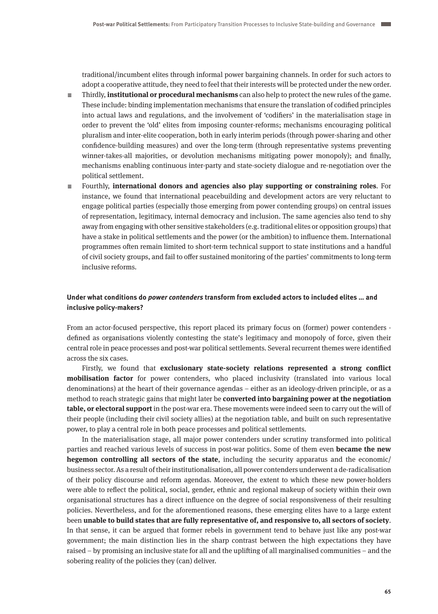traditional/incumbent elites through informal power bargaining channels. In order for such actors to adopt a cooperative attitude, they need to feel that their interests will be protected under the new order.

- $\equiv$  Thirdly, **institutional or procedural mechanisms** can also help to protect the new rules of the game. These include: binding implementation mechanisms that ensure the translation of codified principles into actual laws and regulations, and the involvement of 'codifiers' in the materialisation stage in order to prevent the 'old' elites from imposing counter-reforms; mechanisms encouraging political pluralism and inter-elite cooperation, both in early interim periods (through power-sharing and other confidence-building measures) and over the long-term (through representative systems preventing winner-takes-all majorities, or devolution mechanisms mitigating power monopoly); and finally, mechanisms enabling continuous inter-party and state-society dialogue and re-negotiation over the political settlement.
- $\equiv$  Fourthly, **international donors and agencies also play supporting or constraining roles**. For instance, we found that international peacebuilding and development actors are very reluctant to engage political parties (especially those emerging from power contending groups) on central issues of representation, legitimacy, internal democracy and inclusion. The same agencies also tend to shy away from engaging with other sensitive stakeholders (e.g. traditional elites or opposition groups) that have a stake in political settlements and the power (or the ambition) to influence them. International programmes often remain limited to short-term technical support to state institutions and a handful of civil society groups, and fail to offer sustained monitoring of the parties' commitments to long-term inclusive reforms.

## **Under what conditions do power contenders transform from excluded actors to included elites … and inclusive policy-makers?**

From an actor-focused perspective, this report placed its primary focus on (former) power contenders defined as organisations violently contesting the state's legitimacy and monopoly of force, given their central role in peace processes and post-war political settlements. Several recurrent themes were identified across the six cases.

Firstly, we found that **exclusionary state-society relations represented a strong conflict mobilisation factor** for power contenders, who placed inclusivity (translated into various local denominations) at the heart of their governance agendas – either as an ideology-driven principle, or as a method to reach strategic gains that might later be **converted into bargaining power at the negotiation table, or electoral support** in the post-war era. These movements were indeed seen to carry out the will of their people (including their civil society allies) at the negotiation table, and built on such representative power, to play a central role in both peace processes and political settlements.

In the materialisation stage, all major power contenders under scrutiny transformed into political parties and reached various levels of success in post-war politics. Some of them even **became the new hegemon controlling all sectors of the state**, including the security apparatus and the economic/ business sector. As a result of their institutionalisation, all power contenders underwent a de-radicalisation of their policy discourse and reform agendas. Moreover, the extent to which these new power-holders were able to reflect the political, social, gender, ethnic and regional makeup of society within their own organisational structures has a direct influence on the degree of social responsiveness of their resulting policies. Nevertheless, and for the aforementioned reasons, these emerging elites have to a large extent been **unable to build states that are fully representative of, and responsive to, all sectors of society**. In that sense, it can be argued that former rebels in government tend to behave just like any post-war government; the main distinction lies in the sharp contrast between the high expectations they have raised – by promising an inclusive state for all and the uplifting of all marginalised communities – and the sobering reality of the policies they (can) deliver.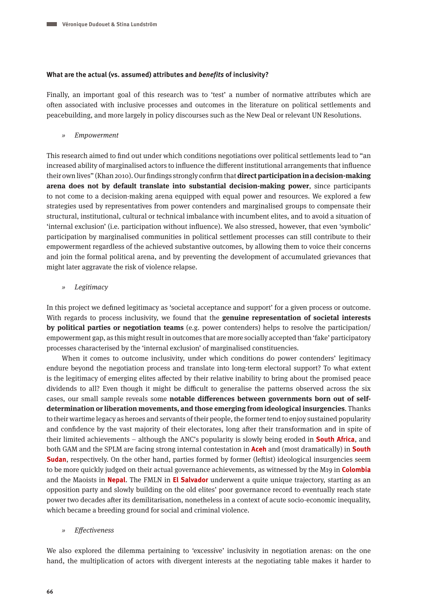## **What are the actual (vs. assumed) attributes and benefits of inclusivity?**

Finally, an important goal of this research was to 'test' a number of normative attributes which are often associated with inclusive processes and outcomes in the literature on political settlements and peacebuilding, and more largely in policy discourses such as the New Deal or relevant UN Resolutions.

» Empowerment

This research aimed to find out under which conditions negotiations over political settlements lead to "an increased ability of marginalised actors to influence the different institutional arrangements that influence their own lives" (Khan 2010). Our findings strongly confirm that **direct participation in a decision-making arena does not by default translate into substantial decision-making power**, since participants to not come to a decision-making arena equipped with equal power and resources. We explored a few strategies used by representatives from power contenders and marginalised groups to compensate their structural, institutional, cultural or technical imbalance with incumbent elites, and to avoid a situation of 'internal exclusion' (i.e. participation without influence). We also stressed, however, that even 'symbolic' participation by marginalised communities in political settlement processes can still contribute to their empowerment regardless of the achieved substantive outcomes, by allowing them to voice their concerns and join the formal political arena, and by preventing the development of accumulated grievances that might later aggravate the risk of violence relapse.

» Legitimacy

In this project we defined legitimacy as 'societal acceptance and support' for a given process or outcome. With regards to process inclusivity, we found that the **genuine representation of societal interests by political parties or negotiation teams** (e.g. power contenders) helps to resolve the participation/ empowerment gap, as this might result in outcomes that are more socially accepted than 'fake' participatory processes characterised by the 'internal exclusion' of marginalised constituencies.

When it comes to outcome inclusivity, under which conditions do power contenders' legitimacy endure beyond the negotiation process and translate into long-term electoral support? To what extent is the legitimacy of emerging elites affected by their relative inability to bring about the promised peace dividends to all? Even though it might be difficult to generalise the patterns observed across the six cases, our small sample reveals some **notable differences between governments born out of selfdetermination or liberation movements, and those emerging from ideological insurgencies**. Thanks to their wartime legacy as heroes and servants of their people, the former tend to enjoy sustained popularity and confidence by the vast majority of their electorates, long after their transformation and in spite of their limited achievements – although the ANC's popularity is slowly being eroded in **South Africa**, and both GAM and the SPLM are facing strong internal contestation in **Aceh** and (most dramatically) in **South Sudan**, respectively. On the other hand, parties formed by former (leftist) ideological insurgencies seem to be more quickly judged on their actual governance achievements, as witnessed by the M19 in **Colombia** and the Maoists in **Nepal**. The FMLN in **El Salvador** underwent a quite unique trajectory, starting as an opposition party and slowly building on the old elites' poor governance record to eventually reach state power two decades after its demilitarisation, nonetheless in a context of acute socio-economic inequality, which became a breeding ground for social and criminal violence.

» Effectiveness

We also explored the dilemma pertaining to 'excessive' inclusivity in negotiation arenas: on the one hand, the multiplication of actors with divergent interests at the negotiating table makes it harder to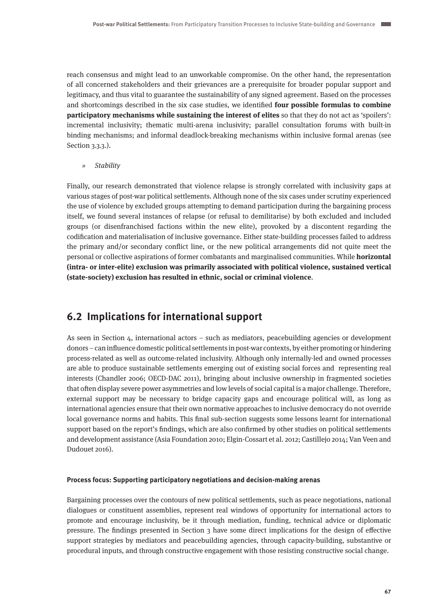reach consensus and might lead to an unworkable compromise. On the other hand, the representation of all concerned stakeholders and their grievances are a prerequisite for broader popular support and legitimacy, and thus vital to guarantee the sustainability of any signed agreement. Based on the processes and shortcomings described in the six case studies, we identified **four possible formulas to combine participatory mechanisms while sustaining the interest of elites** so that they do not act as 'spoilers': incremental inclusivity; thematic multi-arena inclusivity; parallel consultation forums with built-in binding mechanisms; and informal deadlock-breaking mechanisms within inclusive formal arenas (see Section 3.3.3.).

» Stability

Finally, our research demonstrated that violence relapse is strongly correlated with inclusivity gaps at various stages of post-war political settlements. Although none of the six cases under scrutiny experienced the use of violence by excluded groups attempting to demand participation during the bargaining process itself, we found several instances of relapse (or refusal to demilitarise) by both excluded and included groups (or disenfranchised factions within the new elite), provoked by a discontent regarding the codification and materialisation of inclusive governance. Either state-building processes failed to address the primary and/or secondary conflict line, or the new political arrangements did not quite meet the personal or collective aspirations of former combatants and marginalised communities. While **horizontal (intra- or inter-elite) exclusion was primarily associated with political violence, sustained vertical (state-society) exclusion has resulted in ethnic, social or criminal violence**.

# **6.2 Implications for international support**

As seen in Section 4, international actors – such as mediators, peacebuilding agencies or development donors – can influence domestic political settlements in post-war contexts, by either promoting or hindering process-related as well as outcome-related inclusivity. Although only internally-led and owned processes are able to produce sustainable settlements emerging out of existing social forces and representing real interests (Chandler 2006; OECD-DAC 2011), bringing about inclusive ownership in fragmented societies that often display severe power asymmetries and low levels of social capital is a major challenge. Therefore, external support may be necessary to bridge capacity gaps and encourage political will, as long as international agencies ensure that their own normative approaches to inclusive democracy do not override local governance norms and habits. This final sub-section suggests some lessons learnt for international support based on the report's findings, which are also confirmed by other studies on political settlements and development assistance (Asia Foundation 2010; Elgin-Cossart et al. 2012; Castillejo 2014; Van Veen and Dudouet 2016).

## **Process focus: Supporting participatory negotiations and decision-making arenas**

Bargaining processes over the contours of new political settlements, such as peace negotiations, national dialogues or constituent assemblies, represent real windows of opportunity for international actors to promote and encourage inclusivity, be it through mediation, funding, technical advice or diplomatic pressure. The findings presented in Section 3 have some direct implications for the design of effective support strategies by mediators and peacebuilding agencies, through capacity-building, substantive or procedural inputs, and through constructive engagement with those resisting constructive social change.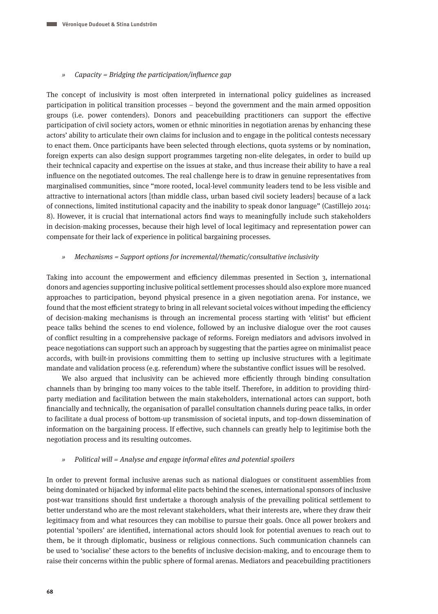## » Capacity = Bridging the participation/influence gap

The concept of inclusivity is most often interpreted in international policy guidelines as increased participation in political transition processes – beyond the government and the main armed opposition groups (i.e. power contenders). Donors and peacebuilding practitioners can support the effective participation of civil society actors, women or ethnic minorities in negotiation arenas by enhancing these actors' ability to articulate their own claims for inclusion and to engage in the political contests necessary to enact them. Once participants have been selected through elections, quota systems or by nomination, foreign experts can also design support programmes targeting non-elite delegates, in order to build up their technical capacity and expertise on the issues at stake, and thus increase their ability to have a real influence on the negotiated outcomes. The real challenge here is to draw in genuine representatives from marginalised communities, since "more rooted, local-level community leaders tend to be less visible and attractive to international actors [than middle class, urban based civil society leaders] because of a lack of connections, limited institutional capacity and the inability to speak donor language" (Castillejo 2014: 8). However, it is crucial that international actors find ways to meaningfully include such stakeholders in decision-making processes, because their high level of local legitimacy and representation power can compensate for their lack of experience in political bargaining processes.

## » Mechanisms = Support options for incremental/thematic/consultative inclusivity

Taking into account the empowerment and efficiency dilemmas presented in Section 3, international donors and agencies supporting inclusive political settlement processes should also explore more nuanced approaches to participation, beyond physical presence in a given negotiation arena. For instance, we found that the most efficient strategy to bring in all relevant societal voices without impeding the efficiency of decision-making mechanisms is through an incremental process starting with 'elitist' but efficient peace talks behind the scenes to end violence, followed by an inclusive dialogue over the root causes of conflict resulting in a comprehensive package of reforms. Foreign mediators and advisors involved in peace negotiations can support such an approach by suggesting that the parties agree on minimalist peace accords, with built-in provisions committing them to setting up inclusive structures with a legitimate mandate and validation process (e.g. referendum) where the substantive conflict issues will be resolved.

We also argued that inclusivity can be achieved more efficiently through binding consultation channels than by bringing too many voices to the table itself. Therefore, in addition to providing thirdparty mediation and facilitation between the main stakeholders, international actors can support, both financially and technically, the organisation of parallel consultation channels during peace talks, in order to facilitate a dual process of bottom-up transmission of societal inputs, and top-down dissemination of information on the bargaining process. If effective, such channels can greatly help to legitimise both the negotiation process and its resulting outcomes.

## » Political will = Analyse and engage informal elites and potential spoilers

In order to prevent formal inclusive arenas such as national dialogues or constituent assemblies from being dominated or hijacked by informal elite pacts behind the scenes, international sponsors of inclusive post-war transitions should first undertake a thorough analysis of the prevailing political settlement to better understand who are the most relevant stakeholders, what their interests are, where they draw their legitimacy from and what resources they can mobilise to pursue their goals. Once all power brokers and potential 'spoilers' are identified, international actors should look for potential avenues to reach out to them, be it through diplomatic, business or religious connections. Such communication channels can be used to 'socialise' these actors to the benefits of inclusive decision-making, and to encourage them to raise their concerns within the public sphere of formal arenas. Mediators and peacebuilding practitioners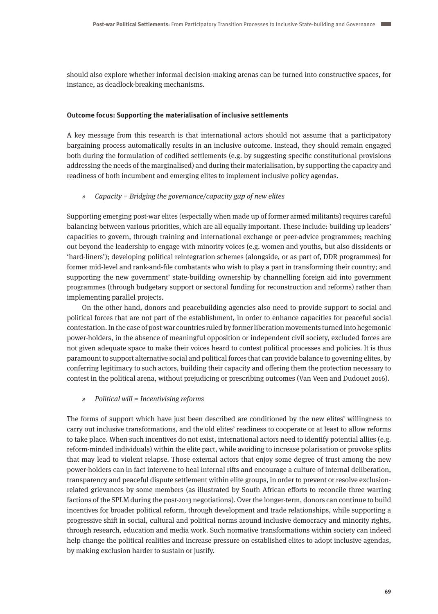should also explore whether informal decision-making arenas can be turned into constructive spaces, for instance, as deadlock-breaking mechanisms.

## **Outcome focus: Supporting the materialisation of inclusive settlements**

A key message from this research is that international actors should not assume that a participatory bargaining process automatically results in an inclusive outcome. Instead, they should remain engaged both during the formulation of codified settlements (e.g. by suggesting specific constitutional provisions addressing the needs of the marginalised) and during their materialisation, by supporting the capacity and readiness of both incumbent and emerging elites to implement inclusive policy agendas.

## » Capacity = Bridging the governance/capacity gap of new elites

Supporting emerging post-war elites (especially when made up of former armed militants) requires careful balancing between various priorities, which are all equally important. These include: building up leaders' capacities to govern, through training and international exchange or peer-advice programmes; reaching out beyond the leadership to engage with minority voices (e.g. women and youths, but also dissidents or 'hard-liners'); developing political reintegration schemes (alongside, or as part of, DDR programmes) for former mid-level and rank-and-file combatants who wish to play a part in transforming their country; and supporting the new government' state-building ownership by channelling foreign aid into government programmes (through budgetary support or sectoral funding for reconstruction and reforms) rather than implementing parallel projects.

On the other hand, donors and peacebuilding agencies also need to provide support to social and political forces that are not part of the establishment, in order to enhance capacities for peaceful social contestation. In the case of post-war countries ruled by former liberation movements turned into hegemonic power-holders, in the absence of meaningful opposition or independent civil society, excluded forces are not given adequate space to make their voices heard to contest political processes and policies. It is thus paramount to support alternative social and political forces that can provide balance to governing elites, by conferring legitimacy to such actors, building their capacity and offering them the protection necessary to contest in the political arena, without prejudicing or prescribing outcomes (Van Veen and Dudouet 2016).

## » Political will = Incentivising reforms

The forms of support which have just been described are conditioned by the new elites' willingness to carry out inclusive transformations, and the old elites' readiness to cooperate or at least to allow reforms to take place. When such incentives do not exist, international actors need to identify potential allies (e.g. reform-minded individuals) within the elite pact, while avoiding to increase polarisation or provoke splits that may lead to violent relapse. Those external actors that enjoy some degree of trust among the new power-holders can in fact intervene to heal internal rifts and encourage a culture of internal deliberation, transparency and peaceful dispute settlement within elite groups, in order to prevent or resolve exclusionrelated grievances by some members (as illustrated by South African efforts to reconcile three warring factions of the SPLM during the post-2013 negotiations). Over the longer-term, donors can continue to build incentives for broader political reform, through development and trade relationships, while supporting a progressive shift in social, cultural and political norms around inclusive democracy and minority rights, through research, education and media work. Such normative transformations within society can indeed help change the political realities and increase pressure on established elites to adopt inclusive agendas, by making exclusion harder to sustain or justify.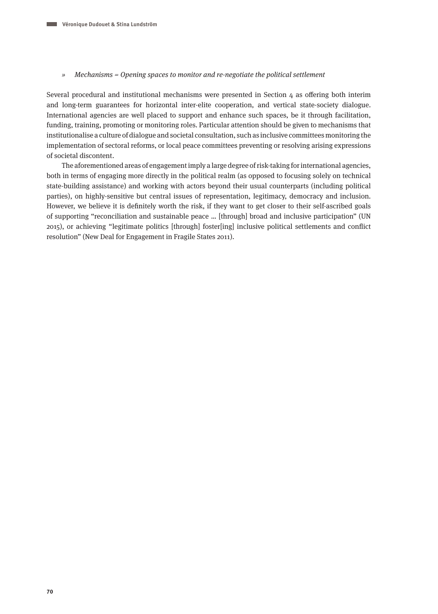#### » Mechanisms = Opening spaces to monitor and re-negotiate the political settlement

Several procedural and institutional mechanisms were presented in Section 4 as offering both interim and long-term guarantees for horizontal inter-elite cooperation, and vertical state-society dialogue. International agencies are well placed to support and enhance such spaces, be it through facilitation, funding, training, promoting or monitoring roles. Particular attention should be given to mechanisms that institutionalise a culture of dialogue and societal consultation, such as inclusive committees monitoring the implementation of sectoral reforms, or local peace committees preventing or resolving arising expressions of societal discontent.

The aforementioned areas of engagement imply a large degree of risk-taking for international agencies, both in terms of engaging more directly in the political realm (as opposed to focusing solely on technical state-building assistance) and working with actors beyond their usual counterparts (including political parties), on highly-sensitive but central issues of representation, legitimacy, democracy and inclusion. However, we believe it is definitely worth the risk, if they want to get closer to their self-ascribed goals of supporting "reconciliation and sustainable peace … [through] broad and inclusive participation" (UN 2015), or achieving "legitimate politics [through] foster[ing] inclusive political settlements and conflict resolution" (New Deal for Engagement in Fragile States 2011).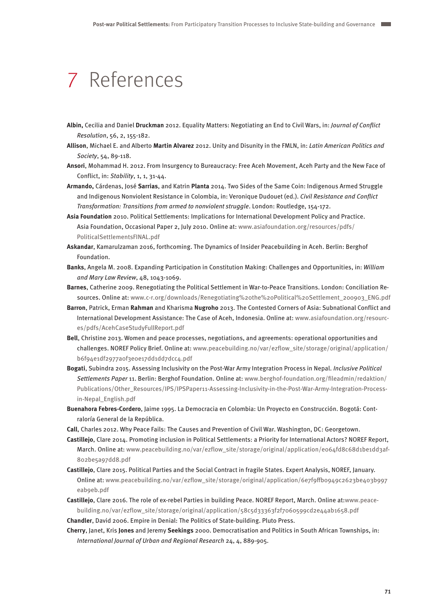## 7 References

- **Albin,** Cecilia and Daniel **Druckman** 2012. Equality Matters: Negotiating an End to Civil Wars, in: Journal of Conflict Resolution, 56, 2, 155-182.
- **Allison**, Michael E. and Alberto **Martin Alvarez** 2012. Unity and Disunity in the FMLN, in: Latin American Politics and Society, 54, 89-118.
- **Ansori**, Mohammad H. 2012. From Insurgency to Bureaucracy: Free Aceh Movement, Aceh Party and the New Face of Conflict, in: Stability, 1, 1, 31-44.
- **Armando,** Cárdenas, José **Sarrias**, and Katrin **Planta** 2014. Two Sides of the Same Coin: Indigenous Armed Struggle and Indigenous Nonviolent Resistance in Colombia, in: Veronique Dudouet (ed.). Civil Resistance and Conflict Transformation: Transitions from armed to nonviolent struggle. London: Routledge, 154-172.
- **Asia Foundation** 2010. Political Settlements: Implications for International Development Policy and Practice. Asia Foundation, Occasional Paper 2, July 2010. Online at: [www.asiafoundation.org/resources/pdfs/](http://www.asiafoundation.org/resources/pdfs/PoliticalSettlementsFINAL.pdf) [PoliticalSettlementsFINAL.pdf](http://www.asiafoundation.org/resources/pdfs/PoliticalSettlementsFINAL.pdf)
- **Askandar**, Kamarulzaman 2016, forthcoming. The Dynamics of Insider Peacebuilding in Aceh. Berlin: Berghof Foundation.
- **Banks**, Angela M. 2008. Expanding Participation in Constitution Making: Challenges and Opportunities, in: William and Mary Law Review, 48, 1043-1069.
- **Barnes**, Catherine 2009. Renegotiating the Political Settlement in War-to-Peace Transitions. London: Conciliation Resources. Online at: [www.c-r.org/downloads/Renegotiating%20the%20Political%20Settlement\\_200903\\_ENG.pdf](http://www.c-r.org/downloads/Renegotiating%20the%20Political%20Settlement_200903_ENG.pdf)
- **Barron**, Patrick, Erman **Rahman** and Kharisma **Nugroho** 2013. The Contested Corners of Asia: Subnational Conflict and International Development Assistance: The Case of Aceh, Indonesia. Online at: [www.asiafoundation.org/resourc](http://www.asiafoundation.org/resources/pdfs/AcehCaseStudyFullReport.pdf)[es/pdfs/AcehCaseStudyFullReport.pdf](http://www.asiafoundation.org/resources/pdfs/AcehCaseStudyFullReport.pdf)
- **Bell**, Christine 2013. Women and peace processes, negotiations, and agreements: operational opportunities and challenges. NOREF Policy Brief. Online at: [www.peacebuilding.no/var/ezflow\\_site/storage/original/application/](http://www.peacebuilding.no/var/ezflow_site/storage/original/application/b6f94e1df2977a0f3e0e17dd1dd7dcc4.pdf) [b6f94e1df2977a0f3e0e17dd1dd7dcc4.pdf](http://www.peacebuilding.no/var/ezflow_site/storage/original/application/b6f94e1df2977a0f3e0e17dd1dd7dcc4.pdf)
- **Bogati**, Subindra 2015. Assessing Inclusivity on the Post-War Army Integration Process in Nepal. Inclusive Political Settlements Paper 11. Berlin: Berghof Foundation. Online at: [www.berghof-foundation.org/fileadmin/redaktion/](http://www.berghof-foundation.org/fileadmin/redaktion/Publications/Other_Resources/IPS/IPSPaper11-Assessing-Inclusivity-in-the-Post-War-Army-Integration-Process-in-Nepal_English.pdf) [Publications/Other\\_Resources/IPS/IPSPaper11-Assessing-Inclusivity-in-the-Post-War-Army-Integration-Process](http://www.berghof-foundation.org/fileadmin/redaktion/Publications/Other_Resources/IPS/IPSPaper11-Assessing-Inclusivity-in-the-Post-War-Army-Integration-Process-in-Nepal_English.pdf)[in-Nepal\\_English.pdf](http://www.berghof-foundation.org/fileadmin/redaktion/Publications/Other_Resources/IPS/IPSPaper11-Assessing-Inclusivity-in-the-Post-War-Army-Integration-Process-in-Nepal_English.pdf)
- **Buenahora Febres-Cordero**, Jaime 1995. La Democracia en Colombia: Un Proyecto en Construcción. Bogotá: Contraloría General de la República.
- **Call**, Charles 2012. Why Peace Fails: The Causes and Prevention of Civil War. Washington, DC: Georgetown.
- **Castillejo**, Clare 2014. Promoting inclusion in Political Settlements: a Priority for International Actors? NOREF Report, March. Online at: www.peacebuilding.no/var/ezflow\_site/storage/original/application/eo64fd8c68d1be1dd3af-[802be5a97dd8.pdf](http://www.peacebuilding.no/var/ezflow_site/storage/original/application/e064fd8c68d1be1dd3af802be5a97dd8.pdf)
- **Castillejo**, Clare 2015. Political Parties and the Social Contract in fragile States. Expert Analysis, NOREF, January. Online at: [www.peacebuilding.no/var/ezflow\\_site/storage/original/application/6e7f9ffb0949c2623be403b997](http://www.peacebuilding.no/var/ezflow_site/storage/original/application/6e7f9ffb0949c2623be403b997eab9eb.pdf) [eab9eb.pdf](http://www.peacebuilding.no/var/ezflow_site/storage/original/application/6e7f9ffb0949c2623be403b997eab9eb.pdf)
- **Castillejo**, Clare 2016. The role of ex-rebel Parties in building Peace. NOREF Report, March. Online at[:www.peace](http://www.peacebuilding.no/var/ezflow_site/storage/original/application/58c5d33363f2f7060599cd2e44ab1658.pdf)[building.no/var/ezflow\\_site/storage/original/application/58c5d33363f2f7060599cd2e44ab1658.pdf](http://www.peacebuilding.no/var/ezflow_site/storage/original/application/58c5d33363f2f7060599cd2e44ab1658.pdf)

**Chandler**, David 2006. Empire in Denial: The Politics of State-building. Pluto Press.

**Cherry**, Janet, Kris **Jones** and Jeremy **Seekings** 2000. Democratisation and Politics in South African Townships, in: International Journal of Urban and Regional Research 24, 4, 889-905.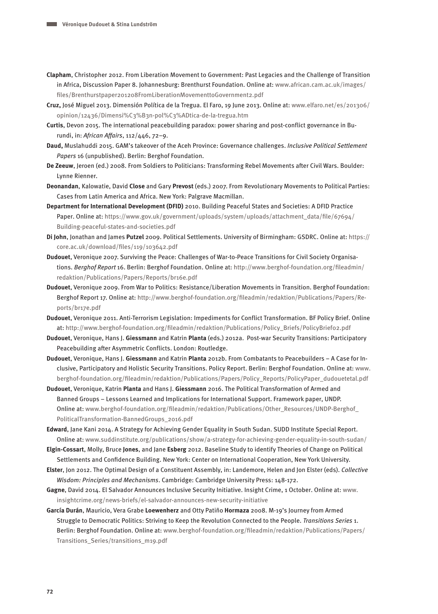- **Clapham**, Christopher 2012. From Liberation Movement to Government: Past Legacies and the Challenge of Transition in Africa, Discussion Paper 8. Johannesburg: Brenthurst Foundation. Online at: [www.african.cam.ac.uk/images/](http://www.african.cam.ac.uk/images/files/Brenthurstpaper201208FromLiberationMovementtoGovernment2.pdf) [files/Brenthurstpaper201208FromLiberationMovementtoGovernment2.pdf](http://www.african.cam.ac.uk/images/files/Brenthurstpaper201208FromLiberationMovementtoGovernment2.pdf)
- **Cruz,** José Miguel 2013. Dimensión Política de la Tregua. El Faro, 19 June 2013. Online at: [www.elfaro.net/es/201306/](http://www.elfaro.net/es/201306/opinion/12436/Dimensi%C3%B3n-pol%C3%ADtica-de-la-tregua.htm) [opinion/12436/Dimensi%C3%B3n-pol%C3%ADtica-de-la-tregua.htm](http://www.elfaro.net/es/201306/opinion/12436/Dimensi%C3%B3n-pol%C3%ADtica-de-la-tregua.htm)
- **Curtis**, Devon 2015. The international peacebuilding paradox: power sharing and post-conflict governance in Burundi, in: African Affairs, 112/446, 72–9.
- **Daud,** Muslahuddi 2015. GAM's takeover of the Aceh Province: Governance challenges. Inclusive Political Settlement Papers 16 (unpublished). Berlin: Berghof Foundation.
- **De Zeeuw**, Jeroen (ed.) 2008. From Soldiers to Politicians: Transforming Rebel Movements after Civil Wars. Boulder: Lynne Rienner.
- **Deonandan**, Kalowatie, David **Close** and Gary **Prevost** (eds.) 2007. From Revolutionary Movements to Political Parties: Cases from Latin America and Africa. New York: Palgrave Macmillan.
- **Department for International Development (DFID)** 2010. Building Peaceful States and Societies: A DFID Practice Paper. Online at: [https://www.gov.uk/government/uploads/system/uploads/attachment\\_data/file/67694/](https://www.gov.uk/government/uploads/system/uploads/attachment_data/file/67694/Building-peaceful-states-and-societies.pdf) [Building-peaceful-states-and-societies.pdf](https://www.gov.uk/government/uploads/system/uploads/attachment_data/file/67694/Building-peaceful-states-and-societies.pdf)
- **Di John**, Jonathan and James **Putzel** 2009. Political Settlements. University of Birmingham: GSDRC. Online at: [https://](https://core.ac.uk/download/files/119/103642.pdf) [core.ac.uk/download/files/119/103642.pdf](https://core.ac.uk/download/files/119/103642.pdf)
- **Dudouet**, Veronique 2007. Surviving the Peace: Challenges of War-to-Peace Transitions for Civil Society Organisations. Berghof Report 16. Berlin: Berghof Foundation. Online at: [http://www.berghof-foundation.org/fileadmin/](http://www.berghof-foundation.org/fileadmin/redaktion/Publications/Papers/Reports/br16e.pdf) [redaktion/Publications/Papers/Reports/br16e.pdf](http://www.berghof-foundation.org/fileadmin/redaktion/Publications/Papers/Reports/br16e.pdf)
- **Dudouet**, Veronique 2009. From War to Politics: Resistance/Liberation Movements in Transition. Berghof Foundation: Berghof Report 17. Online at: [http://www.berghof-foundation.org/fileadmin/redaktion/Publications/Papers/Re](http://www.berghof-foundation.org/fileadmin/redaktion/Publications/Papers/Reports/br17e.pdf)[ports/br17e.pdf](http://www.berghof-foundation.org/fileadmin/redaktion/Publications/Papers/Reports/br17e.pdf)
- **Dudouet**, Veronique 2011. Anti-Terrorism Legislation: Impediments for Conflict Transformation. BF Policy Brief. Online at: [http://www.berghof-foundation.org/fileadmin/redaktion/Publications/Policy\\_Briefs/PolicyBrief02.pdf](http://www.berghof-foundation.org/fileadmin/redaktion/Publications/Policy_Briefs/PolicyBrief02.pdf)
- **Dudouet**, Veronique, Hans J. **Giessmann** and Katrin **Planta** (eds.) 2012a. Post-war Security Transitions: Participatory Peacebuilding after Asymmetric Conflicts. London: Routledge.
- **Dudouet**, Veronique, Hans J. **Giessmann** and Katrin **Planta** 2012b. From Combatants to Peacebuilders A Case for Inclusive, Participatory and Holistic Security Transitions. Policy Report. Berlin: Berghof Foundation. Online at: [www.](http://www.berghof-foundation.org/fileadmin/redaktion/Publications/Papers/Policy_Reports/PolicyPaper_dudouetetal.pdf) [berghof-foundation.org/fileadmin/redaktion/Publications/Papers/Policy\\_Reports/PolicyPaper\\_dudouetetal.pdf](http://www.berghof-foundation.org/fileadmin/redaktion/Publications/Papers/Policy_Reports/PolicyPaper_dudouetetal.pdf)
- **Dudouet**, Veronique, Katrin **Planta** and Hans J. **Giessmann** 2016. The Political Transformation of Armed and Banned Groups – Lessons Learned and Implications for International Support. Framework paper, UNDP. Online at: [www.berghof-foundation.org/fileadmin/redaktion/Publications/Other\\_Resources/UNDP-Berghof\\_](http://www.berghof-foundation.org/fileadmin/redaktion/Publications/Other_Resources/UNDP-Berghof_PoliticalTransformation-BannedGroups_2016.pdf) [PoliticalTransformation-BannedGroups\\_2016.pdf](http://www.berghof-foundation.org/fileadmin/redaktion/Publications/Other_Resources/UNDP-Berghof_PoliticalTransformation-BannedGroups_2016.pdf)
- **Edward**, Jane Kani 2014. A Strategy for Achieving Gender Equality in South Sudan. SUDD Institute Special Report. Online at: [www.suddinstitute.org/publications/show/a-strategy-for-achieving-gender-equality-in-south-sudan/](http://www.suddinstitute.org/publications/show/a-strategy-for-achieving-gender-equality-in-south-sudan/)
- **Elgin-Cossart**, Molly, Bruce **Jones**, and Jane **Esberg** 2012. Baseline Study to identify Theories of Change on Political Settlements and Confidence Building. New York: Center on International Cooperation, New York University.
- **Elster**, Jon 2012. The Optimal Design of a Constituent Assembly, in: Landemore, Helen and Jon Elster (eds). Collective Wisdom: Principles and Mechanisms. Cambridge: Cambridge University Press: 148-172.
- **Gagne**, David 2014. El Salvador Announces Inclusive Security Initiative. Insight Crime, 1 October. Online at: [www.](http://www.insightcrime.org/news-briefs/el-salvador-announces-new-security-initiative) [insightcrime.org/news-briefs/el-salvador-announces-new-security-initiative](http://www.insightcrime.org/news-briefs/el-salvador-announces-new-security-initiative)
- **García Durán**, Mauricio, Vera Grabe **Loewenherz** and Otty Patiño **Hormaza** 2008. M-19's Journey from Armed Struggle to Democratic Politics: Striving to Keep the Revolution Connected to the People. Transitions Series 1. Berlin: Berghof Foundation. Online at: [www.berghof-foundation.org/fileadmin/redaktion/Publications/Papers/](http://www.berghof-foundation.org/fileadmin/redaktion/Publications/Papers/Transitions_Series/transitions_m19.pdf) [Transitions\\_Series/transitions\\_m19.pdf](http://www.berghof-foundation.org/fileadmin/redaktion/Publications/Papers/Transitions_Series/transitions_m19.pdf)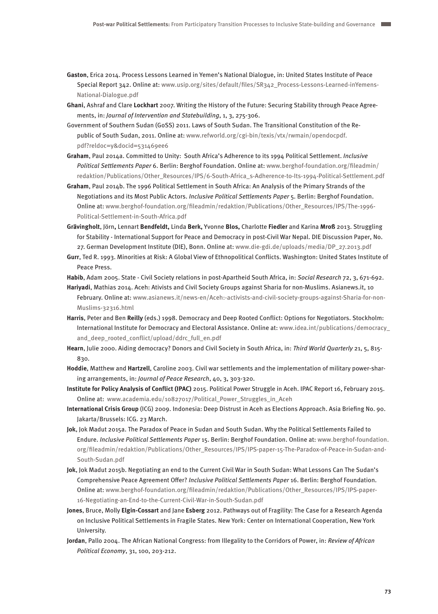- **Gaston**, Erica 2014. Process Lessons Learned in Yemen's National Dialogue, in: United States Institute of Peace Special Report 342. Online at: [www.usip.org/sites/default/files/SR342\\_Process-Lessons-Learned-inYemens-](http://www.usip.org/sites/default/files/SR342_Process-Lessons-Learned-inYemens-National-Dialogue.pdf)[National-Dialogue.pdf](http://www.usip.org/sites/default/files/SR342_Process-Lessons-Learned-inYemens-National-Dialogue.pdf)
- **Ghani**, Ashraf and Clare **Lockhart** 2007. Writing the History of the Future: Securing Stability through Peace Agreements, in: Journal of Intervention and Statebuilding, 1, 3, 275-306.
- Government of Southern Sudan (GoSS) 2011. Laws of South Sudan. The Transitional Constitution of the Republic of South Sudan, 2011. Online at: [www.refworld.org/cgi-bin/texis/vtx/rwmain/opendocpdf.](http://www.refworld.org/cgi-bin/texis/vtx/rwmain/opendocpdf.pdf?reldoc=y&docid=531469ee6) [pdf?reldoc=y&docid=531469ee6](http://www.refworld.org/cgi-bin/texis/vtx/rwmain/opendocpdf.pdf?reldoc=y&docid=531469ee6)
- **Graham**, Paul 2014a. Committed to Unity: South Africa's Adherence to its 1994 Political Settlement. Inclusive Political Settlements Paper 6. Berlin: Berghof Foundation. Online at: [www.berghof-foundation.org/fileadmin/](http://www.berghof-foundation.org/fileadmin/redaktion/Publications/Other_Resources/IPS/6-South-Africa_s-Adherence-to-Its-1994-Political-Settlement.pdf) [redaktion/Publications/Other\\_Resources/IPS/6-South-Africa\\_s-Adherence-to-Its-1994-Political-Settlement.pdf](http://www.berghof-foundation.org/fileadmin/redaktion/Publications/Other_Resources/IPS/6-South-Africa_s-Adherence-to-Its-1994-Political-Settlement.pdf)
- **Graham**, Paul 2014b. The 1996 Political Settlement in South Africa: An Analysis of the Primary Strands of the Negotiations and its Most Public Actors. Inclusive Political Settlements Paper 5. Berlin: Berghof Foundation. Online at: [www.berghof-foundation.org/fileadmin/redaktion/Publications/Other\\_Resources/IPS/The-1996-](http://www.berghof-foundation.org/fileadmin/redaktion/Publications/Other_Resources/IPS/The-1996-Political-Settlement-in-South-Africa.pdf) [Political-Settlement-in-South-Africa.pdf](http://www.berghof-foundation.org/fileadmin/redaktion/Publications/Other_Resources/IPS/The-1996-Political-Settlement-in-South-Africa.pdf)
- **Grävingholt**, Jörn**,** Lennart **Bendfeldt,** Linda **Berk,** Yvonne **Blos,** Charlotte **Fiedler** and Karina **Mroß** 2013. Struggling for Stability - International Support for Peace and Democracy in post-Civil War Nepal. DIE Discussion Paper, No. 27. German Development Institute (DIE), Bonn. Online at: [www.die-gdi.de/uploads/media/DP\\_27.2013.pdf](http://www.die-gdi.de/uploads/media/DP_27.2013.pdf)
- **Gurr**, Ted R. 1993. Minorities at Risk: A Global View of Ethnopolitical Conflicts. Washington: United States Institute of Peace Press.

**Habib**, Adam 2005. State - Civil Society relations in post-Apartheid South Africa, in: Social Research 72, 3, 671-692.

**Hariyadi**, Mathias 2014. Aceh: Ativists and Civil Society Groups against Sharia for non-Muslims. Asianews.it, 10 February. Online at: [www.asianews.it/news-en/Aceh:-activists-and-civil-society-groups-against-Sharia-for-non-](http://www.asianews.it/news-en/Aceh:-activists-and-civil-society-groups-against-Sharia-for-non-Muslims-32316.html)[Muslims-32316.html](http://www.asianews.it/news-en/Aceh:-activists-and-civil-society-groups-against-Sharia-for-non-Muslims-32316.html)

- **Harris**, Peter and Ben **Reilly** (eds.) 1998. Democracy and Deep Rooted Conflict: Options for Negotiators. Stockholm: International Institute for Democracy and Electoral Assistance. Online at: [www.idea.int/publications/democracy\\_](http://www.idea.int/publications/democracy_and_deep_rooted_conflict/upload/ddrc_full_en.pdf) and deep rooted conflict/upload/ddrc full en.pdf
- **Hearn**, Julie 2000. Aiding democracy? Donors and Civil Society in South Africa, in: Third World Quarterly 21, 5, 815- 830.
- **Hoddie**, Matthew and **Hartzell**, Caroline 2003. Civil war settlements and the implementation of military power-sharing arrangements, in: Journal of Peace Research, 40, 3, 303-320.

**Institute for Policy Analysis of Conflict (IPAC)** 2015. Political Power Struggle in Aceh. IPAC Report 16, February 2015. Online at: [www.academia.edu/10827017/Political\\_Power\\_Struggles\\_in\\_Aceh](https://www.academia.edu/10827017/Political_Power_Struggles_in_Aceh)

- **International Crisis Group** (ICG) 2009. Indonesia: Deep Distrust in Aceh as Elections Approach. Asia Briefing No. 90. Jakarta/Brussels: ICG. 23 March.
- **Jok**, Jok Madut 2015a. The Paradox of Peace in Sudan and South Sudan. Why the Political Settlements Failed to Endure. Inclusive Political Settlements Paper 15. Berlin: Berghof Foundation. Online at: [www.berghof-foundation.](http://www.berghof-foundation.org/fileadmin/redaktion/Publications/Other_Resources/IPS/IPS-paper-15-The-Paradox-of-Peace-in-Sudan-and-South-Sudan.pdf) [org/fileadmin/redaktion/Publications/Other\\_Resources/IPS/IPS-paper-15-The-Paradox-of-Peace-in-Sudan-and-](http://www.berghof-foundation.org/fileadmin/redaktion/Publications/Other_Resources/IPS/IPS-paper-15-The-Paradox-of-Peace-in-Sudan-and-South-Sudan.pdf)[South-Sudan.pdf](http://www.berghof-foundation.org/fileadmin/redaktion/Publications/Other_Resources/IPS/IPS-paper-15-The-Paradox-of-Peace-in-Sudan-and-South-Sudan.pdf)
- **Jok**, Jok Madut 2015b. Negotiating an end to the Current Civil War in South Sudan: What Lessons Can The Sudan's Comprehensive Peace Agreement Offer? Inclusive Political Settlements Paper 16. Berlin: Berghof Foundation. Online at: [www.berghof-foundation.org/fileadmin/redaktion/Publications/Other\\_Resources/IPS/IPS-paper-](http://www.berghof-foundation.org/fileadmin/redaktion/Publications/Other_Resources/IPS/IPS-paper-16-Negotiating-an-End-to-the-Current-Civil-War-in-South-Sudan.pdf)[16-Negotiating-an-End-to-the-Current-Civil-War-in-South-Sudan.pdf](http://www.berghof-foundation.org/fileadmin/redaktion/Publications/Other_Resources/IPS/IPS-paper-16-Negotiating-an-End-to-the-Current-Civil-War-in-South-Sudan.pdf)
- **Jones**, Bruce, Molly **Elgin-Cossart** and Jane **Esberg** 2012. Pathways out of Fragility: The Case for a Research Agenda on Inclusive Political Settlements in Fragile States. New York: Center on International Cooperation, New York University.
- **Jordan**, Pallo 2004. The African National Congress: from Illegality to the Corridors of Power, in: Review of African Political Economy, 31, 100, 203-212.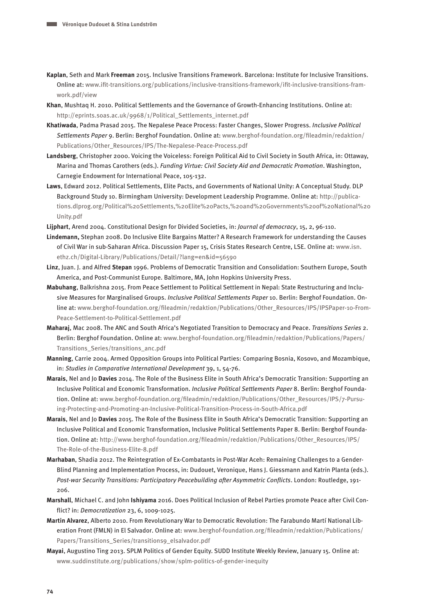- **Kaplan**, Seth and Mark **Freeman** 2015. Inclusive Transitions Framework. Barcelona: Institute for Inclusive Transitions. Online at: [www.ifit-transitions.org/publications/inclusive-transitions-framework/ifit-inclusive-transitions-fram](http://www.ifit-transitions.org/publications/inclusive-transitions-framework/ifit-inclusive-transitions-framwork.pdf/view)[work.pdf/view](http://www.ifit-transitions.org/publications/inclusive-transitions-framework/ifit-inclusive-transitions-framwork.pdf/view)
- **Khan**, Mushtaq H. 2010. Political Settlements and the Governance of Growth-Enhancing Institutions. Online at: [http://eprints.soas.ac.uk/9968/1/Political\\_Settlements\\_internet.pdf](http://eprints.soas.ac.uk/9968/1/Political_Settlements_internet.pdf)
- **Khatiwada**, Padma Prasad 2015. The Nepalese Peace Process: Faster Changes, Slower Progress. Inclusive Political Settlements Paper 9. Berlin: Berghof Foundation. Online at: [www.berghof-foundation.org/fileadmin/redaktion/](http://www.berghof-foundation.org/fileadmin/redaktion/Publications/Other_Resources/IPS/The-Nepalese-Peace-Process.pdf) [Publications/Other\\_Resources/IPS/The-Nepalese-Peace-Process.pdf](http://www.berghof-foundation.org/fileadmin/redaktion/Publications/Other_Resources/IPS/The-Nepalese-Peace-Process.pdf)
- **Landsberg**, Christopher 2000. Voicing the Voiceless: Foreign Political Aid to Civil Society in South Africa, in: Ottaway, Marina and Thomas Carothers (eds.). Funding Virtue: Civil Society Aid and Democratic Promotion. Washington, Carnegie Endowment for International Peace, 105-132.
- **Laws**, Edward 2012. Political Settlements, Elite Pacts, and Governments of National Unity: A Conceptual Study. DLP Background Study 10. Birmingham University: Development Leadership Programme. Online at: [http://publica](http://publications.dlprog.org/Political%20Settlements,%20Elite%20Pacts,%20and%20Governments%20of%20National%20Unity.pdf)[tions.dlprog.org/Political%20Settlements,%20Elite%20Pacts,%20and%20Governments%20of%20National%20](http://publications.dlprog.org/Political%20Settlements,%20Elite%20Pacts,%20and%20Governments%20of%20National%20Unity.pdf) [Unity.pdf](http://publications.dlprog.org/Political%20Settlements,%20Elite%20Pacts,%20and%20Governments%20of%20National%20Unity.pdf)
- **Lijphart**, Arend 2004. Constitutional Design for Divided Societies, in: Journal of democracy, 15, 2, 96-110.
- **Lindemann,** Stephan 2008. Do Inclusive Elite Bargains Matter? A Research Framework for understanding the Causes of Civil War in sub-Saharan Africa. Discussion Paper 15, Crisis States Research Centre, LSE. Online at: [www.isn.](http://www.isn.ethz.ch/Digital-Library/Publications/Detail/?lang=en&id=56590) [ethz.ch/Digital-Library/Publications/Detail/?lang=en&id=56590](http://www.isn.ethz.ch/Digital-Library/Publications/Detail/?lang=en&id=56590)
- **Linz**, Juan. J. and Alfred **Stepan** 1996. Problems of Democratic Transition and Consolidation: Southern Europe, South America, and Post-Communist Europe. Baltimore, MA, John Hopkins University Press.
- **Mabuhang**, Balkrishna 2015. From Peace Settlement to Political Settlement in Nepal: State Restructuring and Inclusive Measures for Marginalised Groups. Inclusive Political Settlements Paper 10. Berlin: Berghof Foundation. Online at: [www.berghof-foundation.org/fileadmin/redaktion/Publications/Other\\_Resources/IPS/IPSPaper-10-From-](http://www.berghof-foundation.org/fileadmin/redaktion/Publications/Other_Resources/IPS/IPSPaper-10-From-Peace-Settlement-to-Political-Settlement.pdf)[Peace-Settlement-to-Political-Settlement.pdf](http://www.berghof-foundation.org/fileadmin/redaktion/Publications/Other_Resources/IPS/IPSPaper-10-From-Peace-Settlement-to-Political-Settlement.pdf)
- **Maharaj**, Mac 2008. The ANC and South Africa's Negotiated Transition to Democracy and Peace. Transitions Series 2. Berlin: Berghof Foundation. Online at: [www.berghof-foundation.org/fileadmin/redaktion/Publications/Papers/](http://www.berghof-foundation.org/fileadmin/redaktion/Publications/Papers/Transitions_Series/transitions_anc.pdf) [Transitions\\_Series/transitions\\_anc.pdf](http://www.berghof-foundation.org/fileadmin/redaktion/Publications/Papers/Transitions_Series/transitions_anc.pdf)
- **Manning**, Carrie 2004. Armed Opposition Groups into Political Parties: Comparing Bosnia, Kosovo, and Mozambique, in: Studies in Comparative International Development 39, 1, 54-76.
- **Marais**, Nel and Jo **Davies** 2014. The Role of the Business Elite in South Africa's Democratic Transition: Supporting an Inclusive Political and Economic Transformation. Inclusive Political Settlements Paper 8. Berlin: Berghof Foundation. Online at: [www.berghof-foundation.org/fileadmin/redaktion/Publications/Other\\_Resources/IPS/7-Pursu](%20http://www.berghof-foundation.org/fileadmin/redaktion/Publications/Other_Resources/IPS/7-Pursuing-Protecting-and-Promoting-an-Inclusive-Political-Transition-Process-in-South-Africa.pdf)[ing-Protecting-and-Promoting-an-Inclusive-Political-Transition-Process-in-South-Africa.pdf](%20http://www.berghof-foundation.org/fileadmin/redaktion/Publications/Other_Resources/IPS/7-Pursuing-Protecting-and-Promoting-an-Inclusive-Political-Transition-Process-in-South-Africa.pdf)
- **Marais**, Nel and Jo **Davies** 2015. The Role of the Business Elite in South Africa's Democratic Transition: Supporting an Inclusive Political and Economic Transformation, Inclusive Political Settlements Paper 8. Berlin: Berghof Foundation. Online at: [http://www.berghof-foundation.org/fileadmin/redaktion/Publications/Other\\_Resources/IPS/](http://www.berghof-foundation.org/fileadmin/redaktion/Publications/Other_Resources/IPS/The-Role-of-the-Business-Elite-8.pdf) [The-Role-of-the-Business-Elite-8.pdf](http://www.berghof-foundation.org/fileadmin/redaktion/Publications/Other_Resources/IPS/The-Role-of-the-Business-Elite-8.pdf)
- **Marhaban**, Shadia 2012. The Reintegration of Ex-Combatants in Post-War Aceh: Remaining Challenges to a Gender-Blind Planning and Implementation Process, in: Dudouet, Veronique, Hans J. Giessmann and Katrin Planta (eds.). Post-war Security Transitions: Participatory Peacebuilding after Asymmetric Conflicts. London: Routledge, 191- 206.
- **Marshall**, Michael C. and John **Ishiyama** 2016. Does Political Inclusion of Rebel Parties promote Peace after Civil Conflict? in: Democratization 23, 6, 1009-1025.
- **Martin Alvarez**, Alberto 2010. From Revolutionary War to Democratic Revolution: The Farabundo Martí National Liberation Front (FMLN) in El Salvador. Online at: [www.berghof-foundation.org/fileadmin/redaktion/Publications/](http://www.berghof-foundation.org/fileadmin/redaktion/Publications/Papers/Transitions_Series/transitions9_elsalvador.pdf) [Papers/Transitions\\_Series/transitions9\\_elsalvador.pdf](http://www.berghof-foundation.org/fileadmin/redaktion/Publications/Papers/Transitions_Series/transitions9_elsalvador.pdf)
- **Mayai**, Augustino Ting 2013. SPLM Politics of Gender Equity. SUDD Institute Weekly Review, January 15. Online at: [www.suddinstitute.org/publications/show/splm-politics-of-gender-inequity](https://www.suddinstitute.org/publications/show/splm-politics-of-gender-inequity)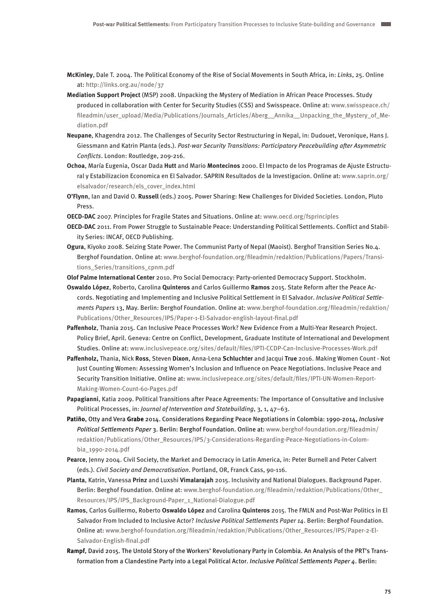- **McKinley**, Dale T. 2004. The Political Economy of the Rise of Social Movements in South Africa, in: Links, 25. Online at:<http://links.org.au/node/37>
- **Mediation Support Project** (MSP) 2008. Unpacking the Mystery of Mediation in African Peace Processes. Study produced in collaboration with Center for Security Studies (CSS) and Swisspeace. Online at: [www.swisspeace.ch/](http://www.swisspeace.ch/fileadmin/user_upload/Media/Publications/Journals_Articles/Aberg__Annika__Unpacking_the_Mystery_of_Mediation.pdf) [fileadmin/user\\_upload/Media/Publications/Journals\\_Articles/Aberg\\_\\_Annika\\_\\_Unpacking\\_the\\_Mystery\\_of\\_Me](http://www.swisspeace.ch/fileadmin/user_upload/Media/Publications/Journals_Articles/Aberg__Annika__Unpacking_the_Mystery_of_Mediation.pdf)[diation.pdf](http://www.swisspeace.ch/fileadmin/user_upload/Media/Publications/Journals_Articles/Aberg__Annika__Unpacking_the_Mystery_of_Mediation.pdf)
- **Neupane**, Khagendra 2012. The Challenges of Security Sector Restructuring in Nepal, in: Dudouet, Veronique, Hans J. Giessmann and Katrin Planta (eds.). Post-war Security Transitions: Participatory Peacebuilding after Asymmetric Conflicts. London: Routledge, 209-216.
- **Ochoa**, María Eugenia, Oscar Dada **Hutt** and Mario **Montecinos** 2000. El Impacto de los Programas de Ajuste Estructural y Estabilizacion Economica en El Salvador. SAPRIN Resultados de la Investigacion. Online at: [www.saprin.org/](http://www.saprin.org/elsalvador/research/els_cover_index.html) [elsalvador/research/els\\_cover\\_index.html](http://www.saprin.org/elsalvador/research/els_cover_index.html)
- **O'Flynn**, Ian and David O. **Russell** (eds.) 2005. Power Sharing: New Challenges for Divided Societies. London, Pluto Press.
- **OECD-DAC** 2007. Principles for Fragile States and Situations. Online at: [www.oecd.org/fsprinciples](http://www.oecd.org/fsprinciples)
- **OECD-DAC** 2011. From Power Struggle to Sustainable Peace: Understanding Political Settlements. Conflict and Stability Series: INCAF, OECD Publishing.
- **Ogura**, Kiyoko 2008. Seizing State Power. The Communist Party of Nepal (Maoist). Berghof Transition Series No.4. Berghof Foundation. Online at: [www.berghof-foundation.org/fileadmin/redaktion/Publications/Papers/Transi](http://www.berghof-foundation.org/fileadmin/redaktion/Publications/Papers/Transitions_Series/transitions_cpnm.pdf)[tions\\_Series/transitions\\_cpnm.pdf](http://www.berghof-foundation.org/fileadmin/redaktion/Publications/Papers/Transitions_Series/transitions_cpnm.pdf)

**Olof Palme International Center** 2010. Pro Social Democracy: Party-oriented Democracy Support. Stockholm.

**Oswaldo López**, Roberto, Carolina **Quinteros** and Carlos Guillermo **Ramos** 2015. State Reform after the Peace Accords. Negotiating and Implementing and Inclusive Political Settlement in El Salvador. Inclusive Political Settlements Papers 13, May. Berlin: Berghof Foundation. Online at: [www.berghof-foundation.org/fileadmin/redaktion/](http://www.berghof-foundation.org/fileadmin/redaktion/Publications/Other_Resources/IPS/Paper-1-El-Salvador-english-layout-final.pdf) [Publications/Other\\_Resources/IPS/Paper-1-El-Salvador-english-layout-final.pdf](http://www.berghof-foundation.org/fileadmin/redaktion/Publications/Other_Resources/IPS/Paper-1-El-Salvador-english-layout-final.pdf)

- **Paffenholz**, Thania 2015. Can Inclusive Peace Processes Work? New Evidence From a Multi-Year Research Project. Policy Brief, April. Geneva: Centre on Conflict, Development, Graduate Institute of International and Development Studies. Online at: [www.inclusivepeace.org/sites/default/files/IPTI-CCDP-Can-Inclusive-Processes-Work.pdf](http://www.inclusivepeace.org/sites/default/files/IPTI-CCDP-Can-Inclusive-Processes-Work.pdf)
- **Paffenholz,** Thania, Nick **Ross**, Steven **Dixon**, Anna-Lena **Schluchter** and Jacqui **True** 2016. Making Women Count Not Just Counting Women: Assessing Women's Inclusion and Influence on Peace Negotiations. Inclusive Peace and Security Transition Initiative. Online at: [www.inclusivepeace.org/sites/default/files/IPTI-UN-Women-Report-](http://www.inclusivepeace.org/sites/default/files/IPTI-UN-Women-Report-Making-Women-Count-60-Pages.pdf)[Making-Women-Count-60-Pages.pdf](http://www.inclusivepeace.org/sites/default/files/IPTI-UN-Women-Report-Making-Women-Count-60-Pages.pdf)
- **Papagianni**, Katia 2009. Political Transitions after Peace Agreements: The Importance of Consultative and Inclusive Political Processes, in: Journal of Intervention and Statebuilding, 3, 1, 47–63.
- **Patiño**, Otty and Vera **Grabe** 2014. Considerations Regarding Peace Negotiations in Colombia: 1990-2014, Inclusive Political Settlements Paper 3. Berlin: Berghof Foundation. Online at: [www.berghof-foundation.org/fileadmin/](http://www.berghof-foundation.org/fileadmin/redaktion/Publications/Other_Resources/IPS/3-Considerations-Regarding-Peace-Negotiations-in-Colombia_1990-2014.pdf) [redaktion/Publications/Other\\_Resources/IPS/3-Considerations-Regarding-Peace-Negotiations-in-Colom](http://www.berghof-foundation.org/fileadmin/redaktion/Publications/Other_Resources/IPS/3-Considerations-Regarding-Peace-Negotiations-in-Colombia_1990-2014.pdf)[bia\\_1990-2014.pdf](http://www.berghof-foundation.org/fileadmin/redaktion/Publications/Other_Resources/IPS/3-Considerations-Regarding-Peace-Negotiations-in-Colombia_1990-2014.pdf)
- **Pearce**, Jenny 2004. Civil Society, the Market and Democracy in Latin America, in: Peter Burnell and Peter Calvert (eds.). Civil Society and Democratisation. Portland, OR, Franck Cass, 90-116.
- **Planta**, Katrin, Vanessa **Prinz** and Luxshi **Vimalarajah** 2015. Inclusivity and National Dialogues. Background Paper. Berlin: Berghof Foundation. Online at: [www.berghof-foundation.org/fileadmin/redaktion/Publications/Other\\_](http://www.berghof-foundation.org/fileadmin/redaktion/Publications/Other_Resources/IPS/IPS_Background-Paper_1_National-Dialogue.pdf) [Resources/IPS/IPS\\_Background-Paper\\_1\\_National-Dialogue.pdf](http://www.berghof-foundation.org/fileadmin/redaktion/Publications/Other_Resources/IPS/IPS_Background-Paper_1_National-Dialogue.pdf)
- **Ramos**, Carlos Guillermo, Roberto **Oswaldo López** and Carolina **Quinteros** 2015. The FMLN and Post-War Politics in El Salvador From Included to Inclusive Actor? Inclusive Political Settlements Paper 14. Berlin: Berghof Foundation. Online at: [www.berghof-foundation.org/fileadmin/redaktion/Publications/Other\\_Resources/IPS/Paper-2-El-](http://www.berghof-foundation.org/fileadmin/redaktion/Publications/Other_Resources/IPS/Paper-2-El-Salvador-English-final.pdf)[Salvador-English-final.pdf](http://www.berghof-foundation.org/fileadmin/redaktion/Publications/Other_Resources/IPS/Paper-2-El-Salvador-English-final.pdf)
- **Rampf**, David 2015. The Untold Story of the Workers' Revolutionary Party in Colombia. An Analysis of the PRT's Transformation from a Clandestine Party into a Legal Political Actor. Inclusive Political Settlements Paper 4. Berlin: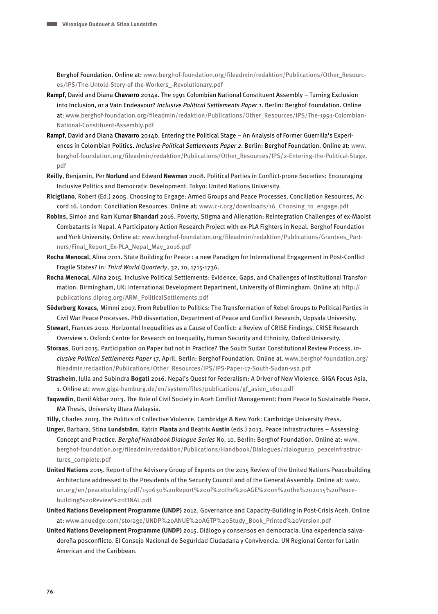Berghof Foundation. Online at: [www.berghof-foundation.org/fileadmin/redaktion/Publications/Other\\_Resourc](http://www.berghof-foundation.org/fileadmin/redaktion/Publications/Other_Resources/IPS/The-Untold-Story-of-the-Workers_-Revolutionary.pdf)[es/IPS/The-Untold-Story-of-the-Workers\\_-Revolutionary.pdf](http://www.berghof-foundation.org/fileadmin/redaktion/Publications/Other_Resources/IPS/The-Untold-Story-of-the-Workers_-Revolutionary.pdf)

- **Rampf**, David and Diana **Chavarro** 2014a. The 1991 Colombian National Constituent Assembly Turning Exclusion into Inclusion, or a Vain Endeavour? Inclusive Political Settlements Paper 1. Berlin: Berghof Foundation. Online at: [www.berghof-foundation.org/fileadmin/redaktion/Publications/Other\\_Resources/IPS/The-1991-Colombian-](http://www.berghof-foundation.org/fileadmin/redaktion/Publications/Other_Resources/IPS/The-1991-Colombian-National-Constituent-Assembly.pdf)[National-Constituent-Assembly.pdf](http://www.berghof-foundation.org/fileadmin/redaktion/Publications/Other_Resources/IPS/The-1991-Colombian-National-Constituent-Assembly.pdf)
- **Rampf**, David and Diana **Chavarro** 2014b. Entering the Political Stage An Analysis of Former Guerrilla's Experiences in Colombian Politics. *Inclusive Political Settlements Paper 2*. Berlin: Berghof Foundation. Online at: [www.](http://www.berghof-foundation.org/fileadmin/redaktion/Publications/Other_Resources/IPS/2-Entering-the-Political-Stage.pdf) [berghof-foundation.org/fileadmin/redaktion/Publications/Other\\_Resources/IPS/2-Entering-the-Political-Stage.](http://www.berghof-foundation.org/fileadmin/redaktion/Publications/Other_Resources/IPS/2-Entering-the-Political-Stage.pdf) [pdf](http://www.berghof-foundation.org/fileadmin/redaktion/Publications/Other_Resources/IPS/2-Entering-the-Political-Stage.pdf)
- **Reilly**, Benjamin, Per **Norlund** and Edward **Newman** 2008. Political Parties in Conflict-prone Societies: Encouraging Inclusive Politics and Democratic Development. Tokyo: United Nations University.
- **Ricigliano**, Robert (Ed.) 2005. Choosing to Engage: Armed Groups and Peace Processes. Conciliation Resources, Accord 16. London: Conciliation Resources. Online at: [www.c-r.org/downloads/16\\_Choosing\\_to\\_engage.pdf](http://www.c-r.org/downloads/16_Choosing_to_engage.pdf)
- **Robins**, Simon and Ram Kumar **Bhandari** 2016. Poverty, Stigma and Alienation: Reintegration Challenges of ex-Maoist Combatants in Nepal. A Participatory Action Research Project with ex-PLA Fighters in Nepal. Berghof Foundation and York University. Online at: [www.berghof-foundation.org/fileadmin/redaktion/Publications/Grantees\\_Part](http://www.berghof-foundation.org/fileadmin/redaktion/Publications/Grantees_Partners/Final_Report_Ex-PLA_Nepal_May_2016.pdf)ners/Final Report Ex-PLA Nepal May 2016.pdf
- **Rocha Menocal**, Alina 2011. State Building for Peace : a new Paradigm for International Engagement in Post-Conflict Fragile States? in: Third World Quarterly, 32, 10, 1715-1736.
- **Rocha Menocal**, Alina 2015. Inclusive Political Settlements: Evidence, Gaps, and Challenges of Institutional Transformation. Birmingham, UK: International Development Department, University of Birmingham. Online at: [http://](http://publications.dlprog.org/ARM_PoliticalSettlements.pdf) [publications.dlprog.org/ARM\\_PoliticalSettlements.pdf](http://publications.dlprog.org/ARM_PoliticalSettlements.pdf)
- **Söderberg Kovacs**, Mimmi 2007. From Rebellion to Politics: The Transformation of Rebel Groups to Political Parties in Civil War Peace Processes. PhD dissertation, Department of Peace and Conflict Research, Uppsala University.
- **Stewart**, Frances 2010. Horizontal Inequalities as a Cause of Conflict: a Review of CRISE Findings. CRISE Research Overview 1. Oxford: Centre for Research on Inequality, Human Security and Ethnicity, Oxford University.
- **Storaas**, Guri 2015. Participation on Paper but not in Practice? The South Sudan Constitutional Review Process. Inclusive Political Settlements Paper 17, April. Berlin: Berghof Foundation. Online at. [www.berghof-foundation.org/](http://www.berghof-foundation.org/fileadmin/redaktion/Publications/Other_Resources/IPS/IPS-Paper-17-South-Sudan-vs2.pdf) [fileadmin/redaktion/Publications/Other\\_Resources/IPS/IPS-Paper-17-South-Sudan-vs2.pdf](http://www.berghof-foundation.org/fileadmin/redaktion/Publications/Other_Resources/IPS/IPS-Paper-17-South-Sudan-vs2.pdf)
- **Strasheim**, Julia and Subindra **Bogati** 2016. Nepal's Quest for Federalism: A Driver of New Violence. GIGA Focus Asia, 1. Online at: [www.giga-hamburg.de/en/system/files/publications/gf\\_asien\\_1601.pdf](https://www.giga-hamburg.de/en/system/files/publications/gf_asien_1601.pdf)
- **Taqwadin**, Danil Akbar 2013. The Role of Civil Society in Aceh Conflict Management: From Peace to Sustainable Peace. MA Thesis, University Utara Malaysia.
- **Tilly**, Charles 2003. The Politics of Collective Violence. Cambridge & New York: Cambridge University Press.
- **Unger**, Barbara, Stina **Lundström**, Katrin **Planta** and Beatrix **Austin** (eds.) 2013. Peace Infrastructures Assessing Concept and Practice. Berghof Handbook Dialogue Series No. 10. Berlin: Berghof Foundation. Online at: [www.](http://www.berghof-foundation.org/fileadmin/redaktion/Publications/Handbook/Dialogues/dialogue10_peaceinfrastructures_complete.pdf) [berghof-foundation.org/fileadmin/redaktion/Publications/Handbook/Dialogues/dialogue10\\_peaceinfrastruc](http://www.berghof-foundation.org/fileadmin/redaktion/Publications/Handbook/Dialogues/dialogue10_peaceinfrastructures_complete.pdf)[tures\\_complete.pdf](http://www.berghof-foundation.org/fileadmin/redaktion/Publications/Handbook/Dialogues/dialogue10_peaceinfrastructures_complete.pdf)
- **United Nations** 2015. Report of the Advisory Group of Experts on the 2015 Review of the United Nations Peacebuilding Architecture addressed to the Presidents of the Security Council and of the General Assembly. Online at: [www.](http://www.un.org/en/peacebuilding/pdf/150630%20Report%20of%20the%20AGE%20on%20the%202015%20Peacebuilding%20Review%20FINAL.pdf) [un.org/en/peacebuilding/pdf/150630%20Report%20of%20the%20AGE%20on%20the%202015%20Peace](http://www.un.org/en/peacebuilding/pdf/150630%20Report%20of%20the%20AGE%20on%20the%202015%20Peacebuilding%20Review%20FINAL.pdf)[building%20Review%20FINAL.pdf](http://www.un.org/en/peacebuilding/pdf/150630%20Report%20of%20the%20AGE%20on%20the%202015%20Peacebuilding%20Review%20FINAL.pdf)
- **United Nations Development Programme (UNDP)** 2012. Governance and Capacity-Building in Post-Crisis Aceh. Online at: [www.anuedge.com/storage/UNDP%20ANUE%20AGTP%20Study\\_Book\\_Printed%20Version.pdf](http://www.anuedge.com/storage/UNDP%20ANUE%20AGTP%20Study_Book_Printed%20Version.pdf)
- **United Nations Development Programme (UNDP)** 2015. Diálogo y consensos en democracia. Una experiencia salvadoreña posconflicto. El Consejo Nacional de Seguridad Ciudadana y Convivencia. UN Regional Center for Latin American and the Caribbean.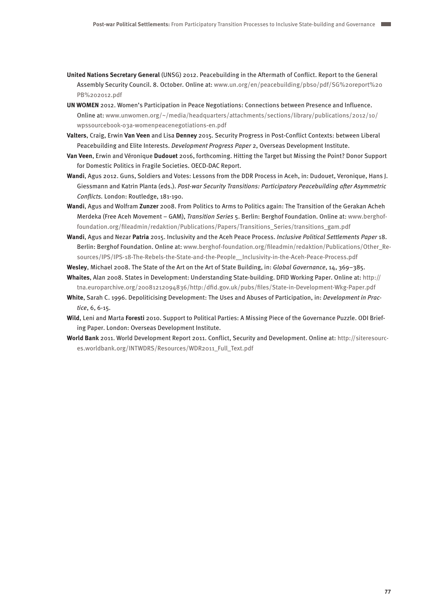- **United Nations Secretary General** (UNSG) 2012. Peacebuilding in the Aftermath of Conflict. Report to the General Assembly Security Council. 8. October. Online at: [www.un.org/en/peacebuilding/pbso/pdf/SG%20report%20](http://www.un.org/en/peacebuilding/pbso/pdf/SG%20report%20PB%202012.pdf) [PB%202012.pdf](http://www.un.org/en/peacebuilding/pbso/pdf/SG%20report%20PB%202012.pdf)
- **UN WOMEN** 2012. Women's Participation in Peace Negotiations: Connections between Presence and Influence. Online at: [www.unwomen.org/~/media/headquarters/attachments/sections/library/publications/2012/10/](http://www.unwomen.org/~/media/headquarters/attachments/sections/library/publications/2012/10/wpssourcebook-03a-womenpeacenegotiations-en.pdf) [wpssourcebook-03a-womenpeacenegotiations-en.pdf](http://www.unwomen.org/~/media/headquarters/attachments/sections/library/publications/2012/10/wpssourcebook-03a-womenpeacenegotiations-en.pdf)
- **Valters**, Craig, Erwin **Van Veen** and Lisa **Denney** 2015. Security Progress in Post-Conflict Contexts: between Liberal Peacebuilding and Elite Interests. Development Progress Paper 2, Overseas Development Institute.
- **Van Veen**, Erwin and Véronique **Dudouet** 2016, forthcoming. Hitting the Target but Missing the Point? Donor Support for Domestic Politics in Fragile Societies. OECD-DAC Report.
- **Wandi**, Agus 2012. Guns, Soldiers and Votes: Lessons from the DDR Process in Aceh, in: Dudouet, Veronique, Hans J. Giessmann and Katrin Planta (eds.). Post-war Security Transitions: Participatory Peacebuilding after Asymmetric Conflicts. London: Routledge, 181-190.
- **Wandi**, Agus and Wolfram **Zunzer** 2008. From Politics to Arms to Politics again: The Transition of the Gerakan Acheh Merdeka (Free Aceh Movement – GAM), Transition Series 5. Berlin: Berghof Foundation. Online at: [www.berghof](http://www.berghof-foundation.org/fileadmin/redaktion/Publications/Papers/Transitions_Series/transitions_gam.pdf)[foundation.org/fileadmin/redaktion/Publications/Papers/Transitions\\_Series/transitions\\_gam.pdf](http://www.berghof-foundation.org/fileadmin/redaktion/Publications/Papers/Transitions_Series/transitions_gam.pdf)
- **Wandi**, Agus and Nezar **Patria** 2015. Inclusivity and the Aceh Peace Process. Inclusive Political Settlements Paper 18. Berlin: Berghof Foundation. Online at: [www.berghof-foundation.org/fileadmin/redaktion/Publications/Other\\_Re](http://www.berghof-foundation.org/fileadmin/redaktion/Publications/Other_Resources/IPS/IPS-18-The-Rebels-the-State-and-the-People__Inclusivity-in-the-Aceh-Peace-Process.pdf)[sources/IPS/IPS-18-The-Rebels-the-State-and-the-People\\_\\_Inclusivity-in-the-Aceh-Peace-Process.pdf](http://www.berghof-foundation.org/fileadmin/redaktion/Publications/Other_Resources/IPS/IPS-18-The-Rebels-the-State-and-the-People__Inclusivity-in-the-Aceh-Peace-Process.pdf)

**Wesley**, Michael 2008. The State of the Art on the Art of State Building, in: Global Governance, 14, 369–385.

- **Whaites**, Alan 2008. States in Development: Understanding State-building. DFID Working Paper. Online at: [http://](http://tna.europarchive.org/20081212094836/http:/dfid.gov.uk/pubs/files/State-in-Development-Wkg-Paper.pdf) [tna.europarchive.org/20081212094836/http:/dfid.gov.uk/pubs/files/State-in-Development-Wkg-Paper.pdf](http://tna.europarchive.org/20081212094836/http:/dfid.gov.uk/pubs/files/State-in-Development-Wkg-Paper.pdf)
- **White**, Sarah C. 1996. Depoliticising Development: The Uses and Abuses of Participation, in: Development in Practice, 6, 6-15.
- **Wild**, Leni and Marta **Foresti** 2010. Support to Political Parties: A Missing Piece of the Governance Puzzle. ODI Briefing Paper. London: Overseas Development Institute.
- **World Bank** 2011. World Development Report 2011. Conflict, Security and Development. Online at: [http://siteresourc](http://siteresources.worldbank.org/INTWDRS/Resources/WDR2011_Full_Text.pdf)[es.worldbank.org/INTWDRS/Resources/WDR2011\\_Full\\_Text.pdf](http://siteresources.worldbank.org/INTWDRS/Resources/WDR2011_Full_Text.pdf)